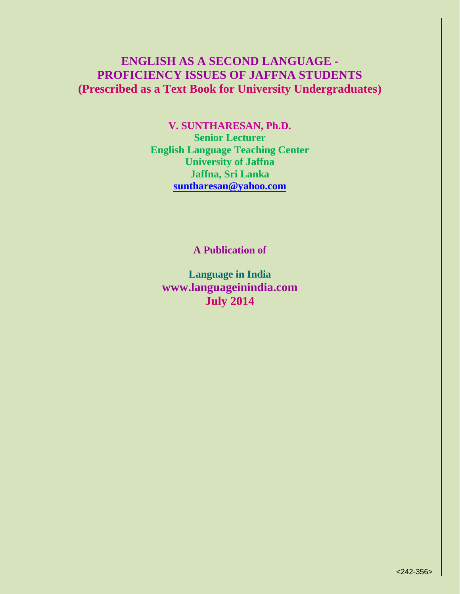# **ENGLISH AS A SECOND LANGUAGE - PROFICIENCY ISSUES OF JAFFNA STUDENTS (Prescribed as a Text Book for University Undergraduates)**

**V. SUNTHARESAN, Ph.D. Senior Lecturer English Language Teaching Center University of Jaffna Jaffna, Sri Lanka [suntharesan@yahoo.com](mailto:suntharesan@yahoo.com)**

**A Publication of**

**Language in India www.languageinindia.com July 2014**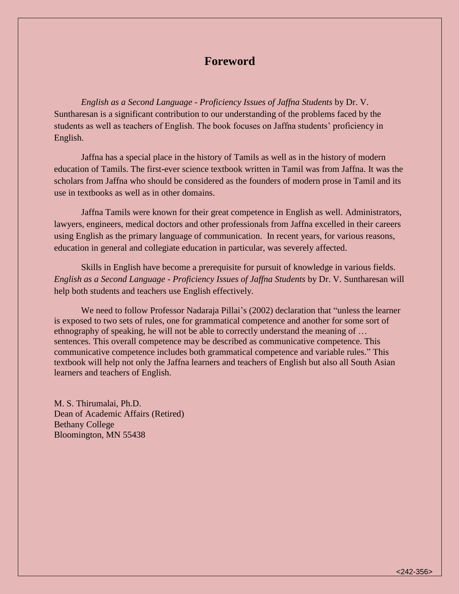# **Foreword**

*English as a Second Language - Proficiency Issues of Jaffna Students* by Dr. V. Suntharesan is a significant contribution to our understanding of the problems faced by the students as well as teachers of English. The book focuses on Jaffna students' proficiency in English.

Jaffna has a special place in the history of Tamils as well as in the history of modern education of Tamils. The first-ever science textbook written in Tamil was from Jaffna. It was the scholars from Jaffna who should be considered as the founders of modern prose in Tamil and its use in textbooks as well as in other domains.

Jaffna Tamils were known for their great competence in English as well. Administrators, lawyers, engineers, medical doctors and other professionals from Jaffna excelled in their careers using English as the primary language of communication. In recent years, for various reasons, education in general and collegiate education in particular, was severely affected.

Skills in English have become a prerequisite for pursuit of knowledge in various fields. *English as a Second Language - Proficiency Issues of Jaffna Students* by Dr. V. Suntharesan will help both students and teachers use English effectively.

We need to follow Professor Nadaraja Pillai's (2002) declaration that "unless the learner is exposed to two sets of rules, one for grammatical competence and another for some sort of ethnography of speaking, he will not be able to correctly understand the meaning of … sentences. This overall competence may be described as communicative competence. This communicative competence includes both grammatical competence and variable rules." This textbook will help not only the Jaffna learners and teachers of English but also all South Asian learners and teachers of English.

M. S. Thirumalai, Ph.D. Dean of Academic Affairs (Retired) Bethany College Bloomington, MN 55438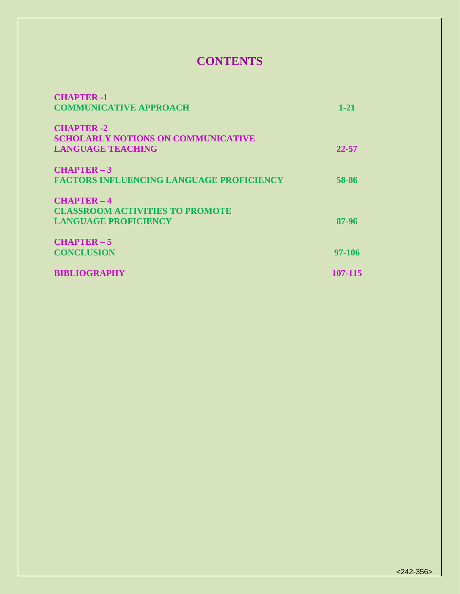# **CONTENTS**

| <b>CHAPTER -1</b>                               |          |
|-------------------------------------------------|----------|
| <b>COMMUNICATIVE APPROACH</b>                   | $1 - 21$ |
|                                                 |          |
| <b>CHAPTER -2</b>                               |          |
| <b>SCHOLARLY NOTIONS ON COMMUNICATIVE</b>       |          |
| <b>LANGUAGE TEACHING</b>                        | 22-57    |
|                                                 |          |
| $CHAPTER-3$                                     |          |
| <b>FACTORS INFLUENCING LANGUAGE PROFICIENCY</b> | 58-86    |
|                                                 |          |
| $CHAPTER-4$                                     |          |
| <b>CLASSROOM ACTIVITIES TO PROMOTE</b>          |          |
| <b>LANGUAGE PROFICIENCY</b>                     | 87-96    |
|                                                 |          |
| $CHAPTER-5$                                     |          |
| <b>CONCLUSION</b>                               | $97-106$ |
|                                                 |          |
| <b>BIBLIOGRAPHY</b>                             | 107-115  |
|                                                 |          |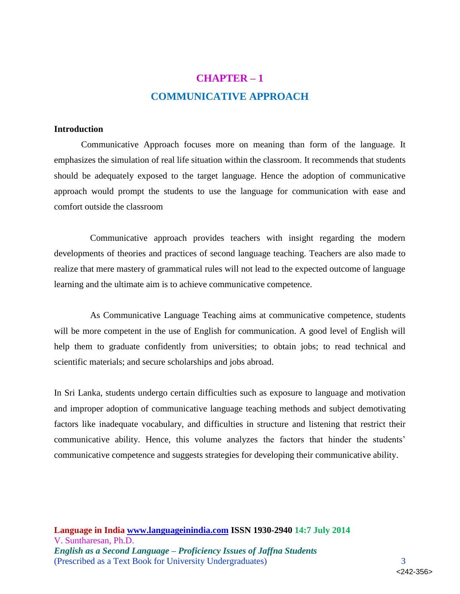# **CHAPTER – 1 COMMUNICATIVE APPROACH**

# **Introduction**

Communicative Approach focuses more on meaning than form of the language. It emphasizes the simulation of real life situation within the classroom. It recommends that students should be adequately exposed to the target language. Hence the adoption of communicative approach would prompt the students to use the language for communication with ease and comfort outside the classroom

 Communicative approach provides teachers with insight regarding the modern developments of theories and practices of second language teaching. Teachers are also made to realize that mere mastery of grammatical rules will not lead to the expected outcome of language learning and the ultimate aim is to achieve communicative competence.

 As Communicative Language Teaching aims at communicative competence, students will be more competent in the use of English for communication. A good level of English will help them to graduate confidently from universities; to obtain jobs; to read technical and scientific materials; and secure scholarships and jobs abroad.

In Sri Lanka, students undergo certain difficulties such as exposure to language and motivation and improper adoption of communicative language teaching methods and subject demotivating factors like inadequate vocabulary, and difficulties in structure and listening that restrict their communicative ability. Hence, this volume analyzes the factors that hinder the students' communicative competence and suggests strategies for developing their communicative ability.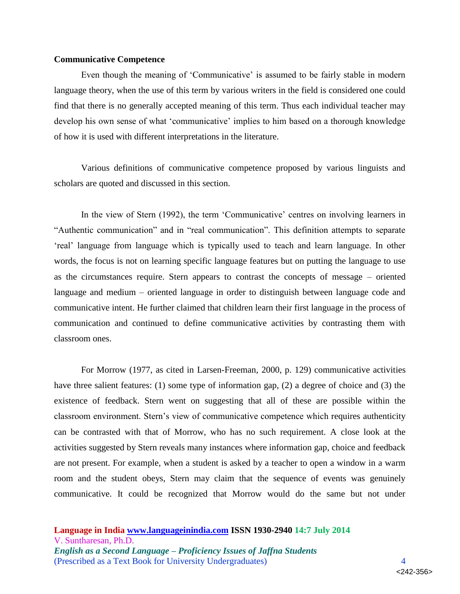#### **Communicative Competence**

Even though the meaning of 'Communicative' is assumed to be fairly stable in modern language theory, when the use of this term by various writers in the field is considered one could find that there is no generally accepted meaning of this term. Thus each individual teacher may develop his own sense of what 'communicative' implies to him based on a thorough knowledge of how it is used with different interpretations in the literature.

Various definitions of communicative competence proposed by various linguists and scholars are quoted and discussed in this section.

In the view of Stern (1992), the term 'Communicative' centres on involving learners in "Authentic communication" and in "real communication". This definition attempts to separate 'real' language from language which is typically used to teach and learn language. In other words, the focus is not on learning specific language features but on putting the language to use as the circumstances require. Stern appears to contrast the concepts of message – oriented language and medium – oriented language in order to distinguish between language code and communicative intent. He further claimed that children learn their first language in the process of communication and continued to define communicative activities by contrasting them with classroom ones.

For Morrow (1977, as cited in Larsen-Freeman, 2000, p. 129) communicative activities have three salient features: (1) some type of information gap, (2) a degree of choice and (3) the existence of feedback. Stern went on suggesting that all of these are possible within the classroom environment. Stern's view of communicative competence which requires authenticity can be contrasted with that of Morrow, who has no such requirement. A close look at the activities suggested by Stern reveals many instances where information gap, choice and feedback are not present. For example, when a student is asked by a teacher to open a window in a warm room and the student obeys, Stern may claim that the sequence of events was genuinely communicative. It could be recognized that Morrow would do the same but not under

**Language in India [www.languageinindia.com](http://www.languageinindia.com/) ISSN 1930-2940 14:7 July 2014** V. Suntharesan, Ph.D. *English as a Second Language – Proficiency Issues of Jaffna Students* (Prescribed as a Text Book for University Undergraduates) 4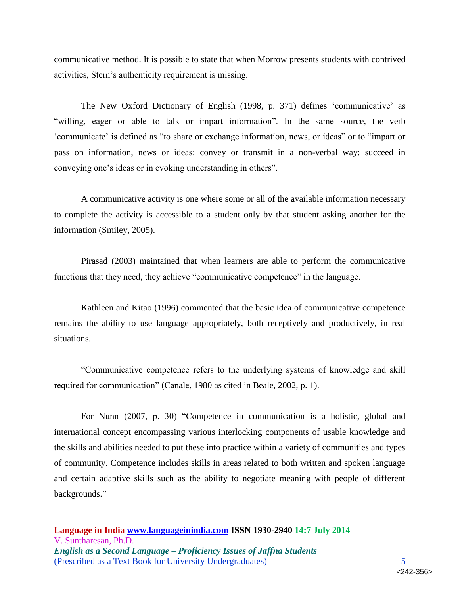communicative method. It is possible to state that when Morrow presents students with contrived activities, Stern's authenticity requirement is missing.

The New Oxford Dictionary of English (1998, p. 371) defines 'communicative' as "willing, eager or able to talk or impart information". In the same source, the verb 'communicate' is defined as "to share or exchange information, news, or ideas" or to "impart or pass on information, news or ideas: convey or transmit in a non-verbal way: succeed in conveying one's ideas or in evoking understanding in others".

A communicative activity is one where some or all of the available information necessary to complete the activity is accessible to a student only by that student asking another for the information (Smiley, 2005).

Pirasad (2003) maintained that when learners are able to perform the communicative functions that they need, they achieve "communicative competence" in the language.

Kathleen and Kitao (1996) commented that the basic idea of communicative competence remains the ability to use language appropriately, both receptively and productively, in real situations.

"Communicative competence refers to the underlying systems of knowledge and skill required for communication" (Canale, 1980 as cited in Beale, 2002, p. 1).

For Nunn (2007, p. 30) "Competence in communication is a holistic, global and international concept encompassing various interlocking components of usable knowledge and the skills and abilities needed to put these into practice within a variety of communities and types of community. Competence includes skills in areas related to both written and spoken language and certain adaptive skills such as the ability to negotiate meaning with people of different backgrounds."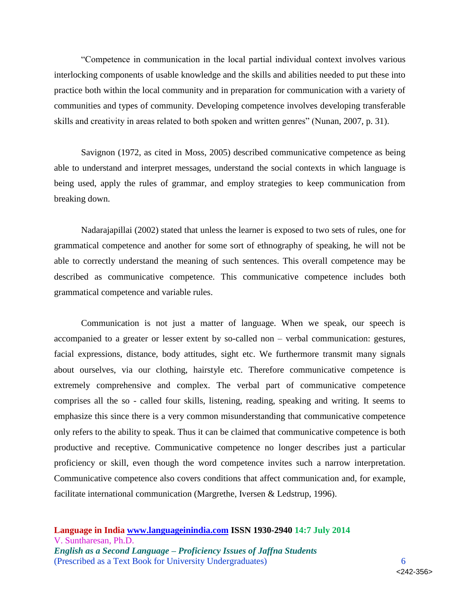"Competence in communication in the local partial individual context involves various interlocking components of usable knowledge and the skills and abilities needed to put these into practice both within the local community and in preparation for communication with a variety of communities and types of community. Developing competence involves developing transferable skills and creativity in areas related to both spoken and written genres" (Nunan, 2007, p. 31).

Savignon (1972, as cited in Moss, 2005) described communicative competence as being able to understand and interpret messages, understand the social contexts in which language is being used, apply the rules of grammar, and employ strategies to keep communication from breaking down.

Nadarajapillai (2002) stated that unless the learner is exposed to two sets of rules, one for grammatical competence and another for some sort of ethnography of speaking, he will not be able to correctly understand the meaning of such sentences. This overall competence may be described as communicative competence. This communicative competence includes both grammatical competence and variable rules.

Communication is not just a matter of language. When we speak, our speech is accompanied to a greater or lesser extent by so-called non – verbal communication: gestures, facial expressions, distance, body attitudes, sight etc. We furthermore transmit many signals about ourselves, via our clothing, hairstyle etc. Therefore communicative competence is extremely comprehensive and complex. The verbal part of communicative competence comprises all the so - called four skills, listening, reading, speaking and writing. It seems to emphasize this since there is a very common misunderstanding that communicative competence only refers to the ability to speak. Thus it can be claimed that communicative competence is both productive and receptive. Communicative competence no longer describes just a particular proficiency or skill, even though the word competence invites such a narrow interpretation. Communicative competence also covers conditions that affect communication and, for example, facilitate international communication (Margrethe, Iversen & Ledstrup, 1996).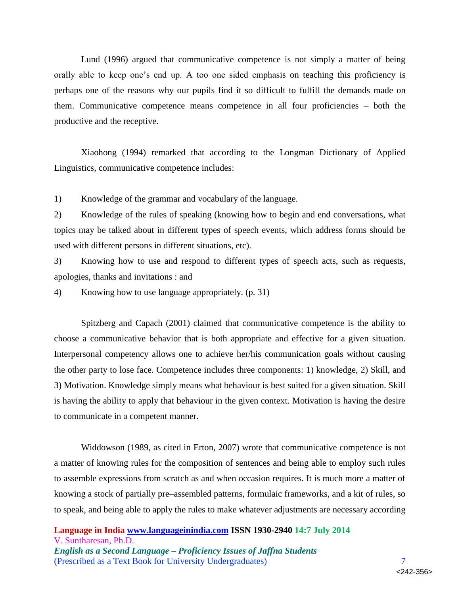Lund (1996) argued that communicative competence is not simply a matter of being orally able to keep one's end up. A too one sided emphasis on teaching this proficiency is perhaps one of the reasons why our pupils find it so difficult to fulfill the demands made on them. Communicative competence means competence in all four proficiencies – both the productive and the receptive.

Xiaohong (1994) remarked that according to the Longman Dictionary of Applied Linguistics, communicative competence includes:

1) Knowledge of the grammar and vocabulary of the language.

2) Knowledge of the rules of speaking (knowing how to begin and end conversations, what topics may be talked about in different types of speech events, which address forms should be used with different persons in different situations, etc).

3) Knowing how to use and respond to different types of speech acts, such as requests, apologies, thanks and invitations : and

4) Knowing how to use language appropriately. (p. 31)

Spitzberg and Capach (2001) claimed that communicative competence is the ability to choose a communicative behavior that is both appropriate and effective for a given situation. Interpersonal competency allows one to achieve her/his communication goals without causing the other party to lose face. Competence includes three components: 1) knowledge, 2) Skill, and 3) Motivation. Knowledge simply means what behaviour is best suited for a given situation. Skill is having the ability to apply that behaviour in the given context. Motivation is having the desire to communicate in a competent manner.

Widdowson (1989, as cited in Erton, 2007) wrote that communicative competence is not a matter of knowing rules for the composition of sentences and being able to employ such rules to assemble expressions from scratch as and when occasion requires. It is much more a matter of knowing a stock of partially pre–assembled patterns, formulaic frameworks, and a kit of rules, so to speak, and being able to apply the rules to make whatever adjustments are necessary according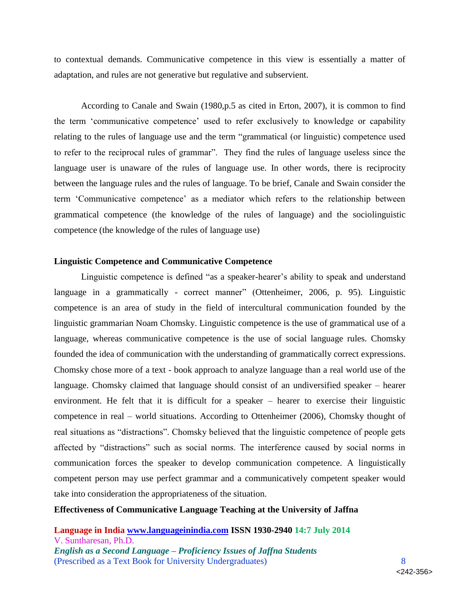to contextual demands. Communicative competence in this view is essentially a matter of adaptation, and rules are not generative but regulative and subservient.

According to Canale and Swain (1980,p.5 as cited in Erton, 2007), it is common to find the term 'communicative competence' used to refer exclusively to knowledge or capability relating to the rules of language use and the term "grammatical (or linguistic) competence used to refer to the reciprocal rules of grammar". They find the rules of language useless since the language user is unaware of the rules of language use. In other words, there is reciprocity between the language rules and the rules of language. To be brief, Canale and Swain consider the term 'Communicative competence' as a mediator which refers to the relationship between grammatical competence (the knowledge of the rules of language) and the sociolinguistic competence (the knowledge of the rules of language use)

# **Linguistic Competence and Communicative Competence**

Linguistic competence is defined "as a speaker-hearer's ability to speak and understand language in a grammatically - correct manner" (Ottenheimer, 2006, p. 95). Linguistic competence is an area of study in the field of intercultural communication founded by the linguistic grammarian Noam Chomsky. Linguistic competence is the use of grammatical use of a language, whereas communicative competence is the use of social language rules. Chomsky founded the idea of communication with the understanding of grammatically correct expressions. Chomsky chose more of a text - book approach to analyze language than a real world use of the language. Chomsky claimed that language should consist of an undiversified speaker – hearer environment. He felt that it is difficult for a speaker – hearer to exercise their linguistic competence in real – world situations. According to Ottenheimer (2006), Chomsky thought of real situations as "distractions". Chomsky believed that the linguistic competence of people gets affected by "distractions" such as social norms. The interference caused by social norms in communication forces the speaker to develop communication competence. A linguistically competent person may use perfect grammar and a communicatively competent speaker would take into consideration the appropriateness of the situation.

# **Effectiveness of Communicative Language Teaching at the University of Jaffna**

**Language in India [www.languageinindia.com](http://www.languageinindia.com/) ISSN 1930-2940 14:7 July 2014** V. Suntharesan, Ph.D. *English as a Second Language – Proficiency Issues of Jaffna Students* (Prescribed as a Text Book for University Undergraduates) 8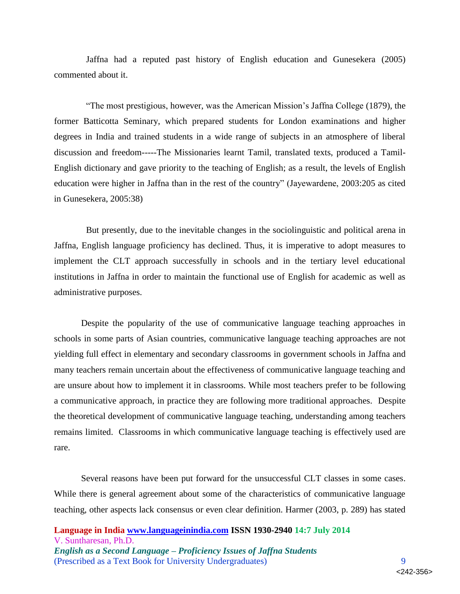Jaffna had a reputed past history of English education and Gunesekera (2005) commented about it.

"The most prestigious, however, was the American Mission's Jaffna College (1879), the former Batticotta Seminary, which prepared students for London examinations and higher degrees in India and trained students in a wide range of subjects in an atmosphere of liberal discussion and freedom-----The Missionaries learnt Tamil, translated texts, produced a Tamil-English dictionary and gave priority to the teaching of English; as a result, the levels of English education were higher in Jaffna than in the rest of the country" (Jayewardene, 2003:205 as cited in Gunesekera, 2005:38)

But presently, due to the inevitable changes in the sociolinguistic and political arena in Jaffna, English language proficiency has declined. Thus, it is imperative to adopt measures to implement the CLT approach successfully in schools and in the tertiary level educational institutions in Jaffna in order to maintain the functional use of English for academic as well as administrative purposes.

Despite the popularity of the use of communicative language teaching approaches in schools in some parts of Asian countries, communicative language teaching approaches are not yielding full effect in elementary and secondary classrooms in government schools in Jaffna and many teachers remain uncertain about the effectiveness of communicative language teaching and are unsure about how to implement it in classrooms. While most teachers prefer to be following a communicative approach, in practice they are following more traditional approaches. Despite the theoretical development of communicative language teaching, understanding among teachers remains limited. Classrooms in which communicative language teaching is effectively used are rare.

Several reasons have been put forward for the unsuccessful CLT classes in some cases. While there is general agreement about some of the characteristics of communicative language teaching, other aspects lack consensus or even clear definition. Harmer (2003, p. 289) has stated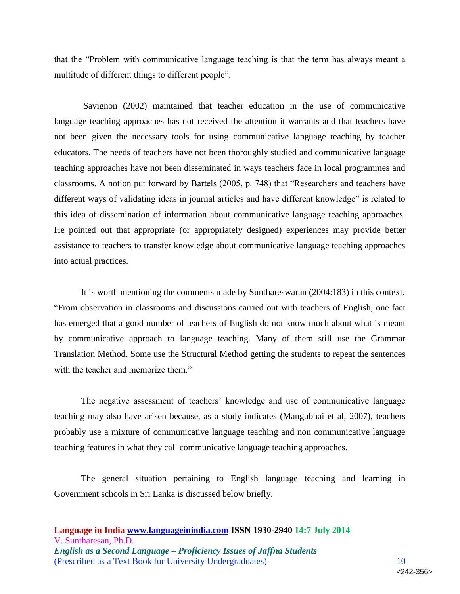that the "Problem with communicative language teaching is that the term has always meant a multitude of different things to different people".

Savignon (2002) maintained that teacher education in the use of communicative language teaching approaches has not received the attention it warrants and that teachers have not been given the necessary tools for using communicative language teaching by teacher educators. The needs of teachers have not been thoroughly studied and communicative language teaching approaches have not been disseminated in ways teachers face in local programmes and classrooms. A notion put forward by Bartels (2005, p. 748) that "Researchers and teachers have different ways of validating ideas in journal articles and have different knowledge" is related to this idea of dissemination of information about communicative language teaching approaches. He pointed out that appropriate (or appropriately designed) experiences may provide better assistance to teachers to transfer knowledge about communicative language teaching approaches into actual practices.

It is worth mentioning the comments made by Sunthareswaran (2004:183) in this context. "From observation in classrooms and discussions carried out with teachers of English, one fact has emerged that a good number of teachers of English do not know much about what is meant by communicative approach to language teaching. Many of them still use the Grammar Translation Method. Some use the Structural Method getting the students to repeat the sentences with the teacher and memorize them."

The negative assessment of teachers' knowledge and use of communicative language teaching may also have arisen because, as a study indicates (Mangubhai et al, 2007), teachers probably use a mixture of communicative language teaching and non communicative language teaching features in what they call communicative language teaching approaches.

The general situation pertaining to English language teaching and learning in Government schools in Sri Lanka is discussed below briefly.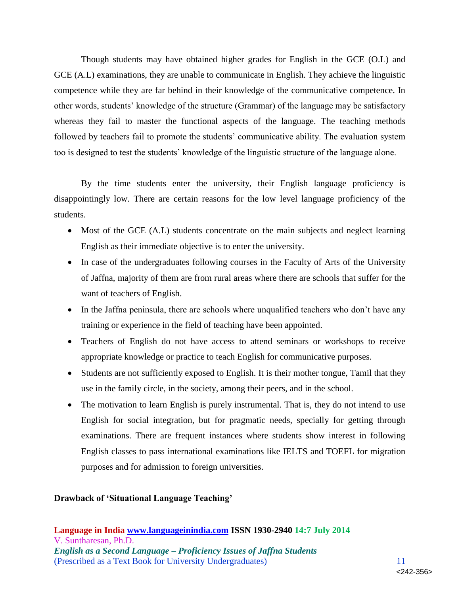Though students may have obtained higher grades for English in the GCE (O.L) and GCE (A.L) examinations, they are unable to communicate in English. They achieve the linguistic competence while they are far behind in their knowledge of the communicative competence. In other words, students' knowledge of the structure (Grammar) of the language may be satisfactory whereas they fail to master the functional aspects of the language. The teaching methods followed by teachers fail to promote the students' communicative ability. The evaluation system too is designed to test the students' knowledge of the linguistic structure of the language alone.

By the time students enter the university, their English language proficiency is disappointingly low. There are certain reasons for the low level language proficiency of the students.

- Most of the GCE (A.L) students concentrate on the main subjects and neglect learning English as their immediate objective is to enter the university.
- In case of the undergraduates following courses in the Faculty of Arts of the University of Jaffna, majority of them are from rural areas where there are schools that suffer for the want of teachers of English.
- In the Jaffna peninsula, there are schools where unqualified teachers who don't have any training or experience in the field of teaching have been appointed.
- Teachers of English do not have access to attend seminars or workshops to receive appropriate knowledge or practice to teach English for communicative purposes.
- Students are not sufficiently exposed to English. It is their mother tongue, Tamil that they use in the family circle, in the society, among their peers, and in the school.
- The motivation to learn English is purely instrumental. That is, they do not intend to use English for social integration, but for pragmatic needs, specially for getting through examinations. There are frequent instances where students show interest in following English classes to pass international examinations like IELTS and TOEFL for migration purposes and for admission to foreign universities.

# **Drawback of 'Situational Language Teaching'**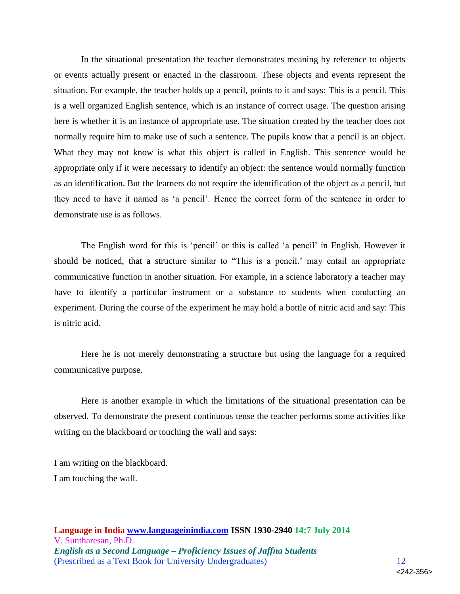In the situational presentation the teacher demonstrates meaning by reference to objects or events actually present or enacted in the classroom. These objects and events represent the situation. For example, the teacher holds up a pencil, points to it and says: This is a pencil. This is a well organized English sentence, which is an instance of correct usage. The question arising here is whether it is an instance of appropriate use. The situation created by the teacher does not normally require him to make use of such a sentence. The pupils know that a pencil is an object. What they may not know is what this object is called in English. This sentence would be appropriate only if it were necessary to identify an object: the sentence would normally function as an identification. But the learners do not require the identification of the object as a pencil, but they need to have it named as 'a pencil'. Hence the correct form of the sentence in order to demonstrate use is as follows.

The English word for this is 'pencil' or this is called 'a pencil' in English. However it should be noticed, that a structure similar to "This is a pencil.' may entail an appropriate communicative function in another situation. For example, in a science laboratory a teacher may have to identify a particular instrument or a substance to students when conducting an experiment. During the course of the experiment he may hold a bottle of nitric acid and say: This is nitric acid.

Here he is not merely demonstrating a structure but using the language for a required communicative purpose.

Here is another example in which the limitations of the situational presentation can be observed. To demonstrate the present continuous tense the teacher performs some activities like writing on the blackboard or touching the wall and says:

I am writing on the blackboard. I am touching the wall.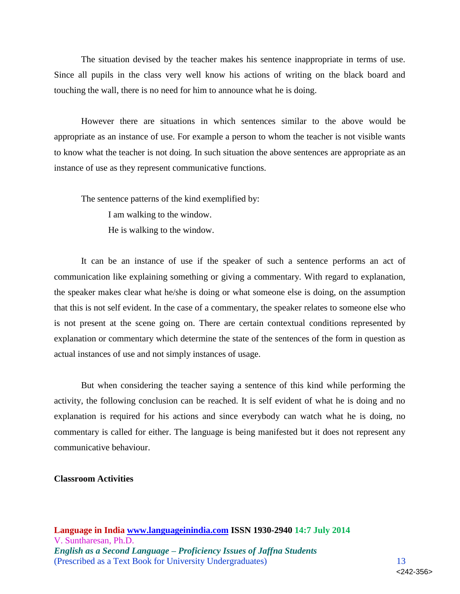The situation devised by the teacher makes his sentence inappropriate in terms of use. Since all pupils in the class very well know his actions of writing on the black board and touching the wall, there is no need for him to announce what he is doing.

However there are situations in which sentences similar to the above would be appropriate as an instance of use. For example a person to whom the teacher is not visible wants to know what the teacher is not doing. In such situation the above sentences are appropriate as an instance of use as they represent communicative functions.

The sentence patterns of the kind exemplified by:

I am walking to the window.

He is walking to the window.

It can be an instance of use if the speaker of such a sentence performs an act of communication like explaining something or giving a commentary. With regard to explanation, the speaker makes clear what he/she is doing or what someone else is doing, on the assumption that this is not self evident. In the case of a commentary, the speaker relates to someone else who is not present at the scene going on. There are certain contextual conditions represented by explanation or commentary which determine the state of the sentences of the form in question as actual instances of use and not simply instances of usage.

But when considering the teacher saying a sentence of this kind while performing the activity, the following conclusion can be reached. It is self evident of what he is doing and no explanation is required for his actions and since everybody can watch what he is doing, no commentary is called for either. The language is being manifested but it does not represent any communicative behaviour.

# **Classroom Activities**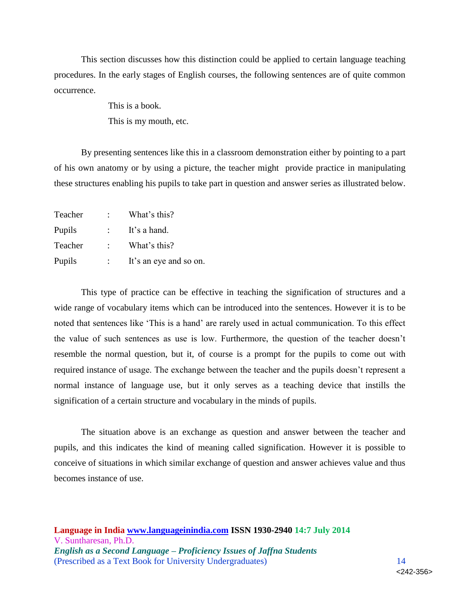This section discusses how this distinction could be applied to certain language teaching procedures. In the early stages of English courses, the following sentences are of quite common occurrence.

This is a book.

This is my mouth, etc.

By presenting sentences like this in a classroom demonstration either by pointing to a part of his own anatomy or by using a picture, the teacher might provide practice in manipulating these structures enabling his pupils to take part in question and answer series as illustrated below.

| Teacher | What's this?           |
|---------|------------------------|
| Pupils  | It's a hand.           |
| Teacher | What's this?           |
| Pupils  | It's an eye and so on. |

This type of practice can be effective in teaching the signification of structures and a wide range of vocabulary items which can be introduced into the sentences. However it is to be noted that sentences like 'This is a hand' are rarely used in actual communication. To this effect the value of such sentences as use is low. Furthermore, the question of the teacher doesn't resemble the normal question, but it, of course is a prompt for the pupils to come out with required instance of usage. The exchange between the teacher and the pupils doesn't represent a normal instance of language use, but it only serves as a teaching device that instills the signification of a certain structure and vocabulary in the minds of pupils.

The situation above is an exchange as question and answer between the teacher and pupils, and this indicates the kind of meaning called signification. However it is possible to conceive of situations in which similar exchange of question and answer achieves value and thus becomes instance of use.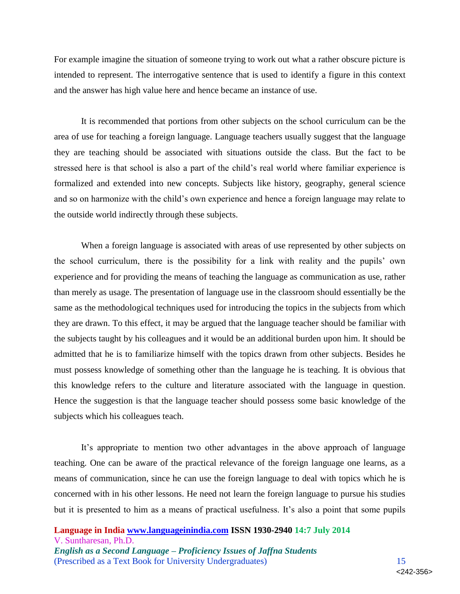For example imagine the situation of someone trying to work out what a rather obscure picture is intended to represent. The interrogative sentence that is used to identify a figure in this context and the answer has high value here and hence became an instance of use.

It is recommended that portions from other subjects on the school curriculum can be the area of use for teaching a foreign language. Language teachers usually suggest that the language they are teaching should be associated with situations outside the class. But the fact to be stressed here is that school is also a part of the child's real world where familiar experience is formalized and extended into new concepts. Subjects like history, geography, general science and so on harmonize with the child's own experience and hence a foreign language may relate to the outside world indirectly through these subjects.

When a foreign language is associated with areas of use represented by other subjects on the school curriculum, there is the possibility for a link with reality and the pupils' own experience and for providing the means of teaching the language as communication as use, rather than merely as usage. The presentation of language use in the classroom should essentially be the same as the methodological techniques used for introducing the topics in the subjects from which they are drawn. To this effect, it may be argued that the language teacher should be familiar with the subjects taught by his colleagues and it would be an additional burden upon him. It should be admitted that he is to familiarize himself with the topics drawn from other subjects. Besides he must possess knowledge of something other than the language he is teaching. It is obvious that this knowledge refers to the culture and literature associated with the language in question. Hence the suggestion is that the language teacher should possess some basic knowledge of the subjects which his colleagues teach.

It's appropriate to mention two other advantages in the above approach of language teaching. One can be aware of the practical relevance of the foreign language one learns, as a means of communication, since he can use the foreign language to deal with topics which he is concerned with in his other lessons. He need not learn the foreign language to pursue his studies but it is presented to him as a means of practical usefulness. It's also a point that some pupils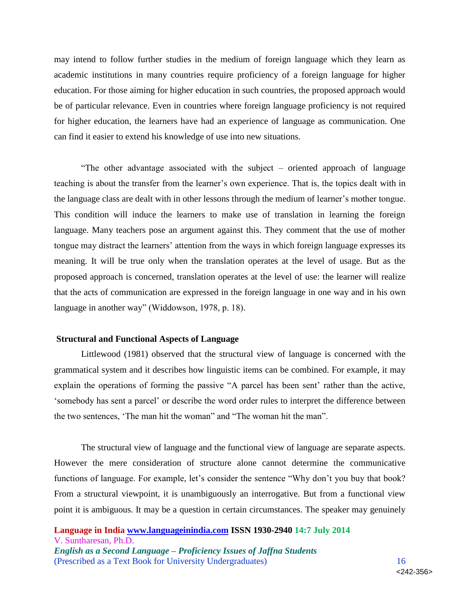may intend to follow further studies in the medium of foreign language which they learn as academic institutions in many countries require proficiency of a foreign language for higher education. For those aiming for higher education in such countries, the proposed approach would be of particular relevance. Even in countries where foreign language proficiency is not required for higher education, the learners have had an experience of language as communication. One can find it easier to extend his knowledge of use into new situations.

"The other advantage associated with the subject – oriented approach of language teaching is about the transfer from the learner's own experience. That is, the topics dealt with in the language class are dealt with in other lessons through the medium of learner's mother tongue. This condition will induce the learners to make use of translation in learning the foreign language. Many teachers pose an argument against this. They comment that the use of mother tongue may distract the learners' attention from the ways in which foreign language expresses its meaning. It will be true only when the translation operates at the level of usage. But as the proposed approach is concerned, translation operates at the level of use: the learner will realize that the acts of communication are expressed in the foreign language in one way and in his own language in another way" (Widdowson, 1978, p. 18).

# **Structural and Functional Aspects of Language**

Littlewood (1981) observed that the structural view of language is concerned with the grammatical system and it describes how linguistic items can be combined. For example, it may explain the operations of forming the passive "A parcel has been sent' rather than the active, 'somebody has sent a parcel' or describe the word order rules to interpret the difference between the two sentences, 'The man hit the woman" and "The woman hit the man".

The structural view of language and the functional view of language are separate aspects. However the mere consideration of structure alone cannot determine the communicative functions of language. For example, let's consider the sentence "Why don't you buy that book? From a structural viewpoint, it is unambiguously an interrogative. But from a functional view point it is ambiguous. It may be a question in certain circumstances. The speaker may genuinely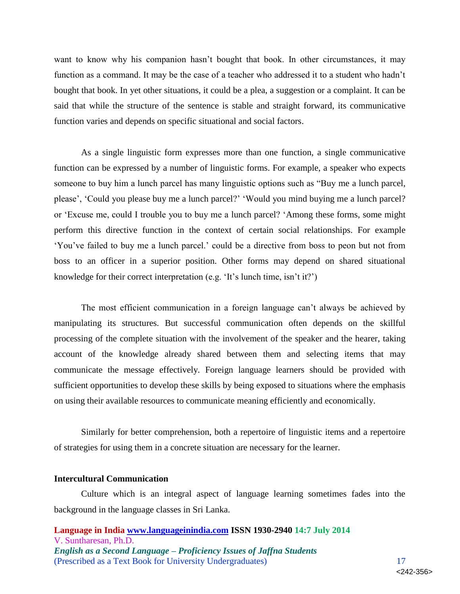want to know why his companion hasn't bought that book. In other circumstances, it may function as a command. It may be the case of a teacher who addressed it to a student who hadn't bought that book. In yet other situations, it could be a plea, a suggestion or a complaint. It can be said that while the structure of the sentence is stable and straight forward, its communicative function varies and depends on specific situational and social factors.

As a single linguistic form expresses more than one function, a single communicative function can be expressed by a number of linguistic forms. For example, a speaker who expects someone to buy him a lunch parcel has many linguistic options such as "Buy me a lunch parcel, please', 'Could you please buy me a lunch parcel?' 'Would you mind buying me a lunch parcel? or 'Excuse me, could I trouble you to buy me a lunch parcel? 'Among these forms, some might perform this directive function in the context of certain social relationships. For example 'You've failed to buy me a lunch parcel.' could be a directive from boss to peon but not from boss to an officer in a superior position. Other forms may depend on shared situational knowledge for their correct interpretation (e.g. 'It's lunch time, isn't it?')

The most efficient communication in a foreign language can't always be achieved by manipulating its structures. But successful communication often depends on the skillful processing of the complete situation with the involvement of the speaker and the hearer, taking account of the knowledge already shared between them and selecting items that may communicate the message effectively. Foreign language learners should be provided with sufficient opportunities to develop these skills by being exposed to situations where the emphasis on using their available resources to communicate meaning efficiently and economically.

Similarly for better comprehension, both a repertoire of linguistic items and a repertoire of strategies for using them in a concrete situation are necessary for the learner.

# **Intercultural Communication**

Culture which is an integral aspect of language learning sometimes fades into the background in the language classes in Sri Lanka.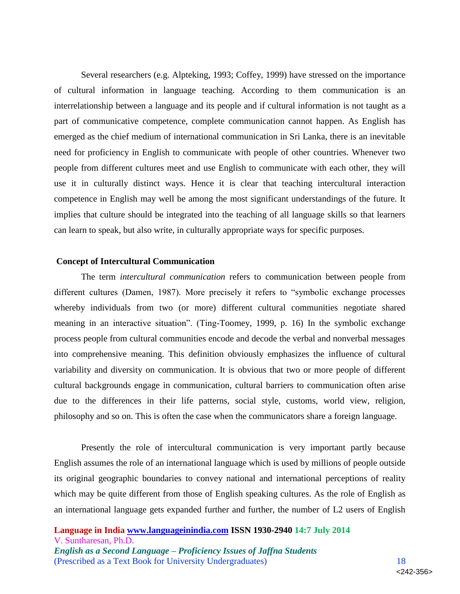Several researchers (e.g. Alpteking, 1993; Coffey, 1999) have stressed on the importance of cultural information in language teaching. According to them communication is an interrelationship between a language and its people and if cultural information is not taught as a part of communicative competence, complete communication cannot happen. As English has emerged as the chief medium of international communication in Sri Lanka, there is an inevitable need for proficiency in English to communicate with people of other countries. Whenever two people from different cultures meet and use English to communicate with each other, they will use it in culturally distinct ways. Hence it is clear that teaching intercultural interaction competence in English may well be among the most significant understandings of the future. It implies that culture should be integrated into the teaching of all language skills so that learners can learn to speak, but also write, in culturally appropriate ways for specific purposes.

# **Concept of Intercultural Communication**

The term *intercultural communication* refers to communication between people from different cultures (Damen, 1987). More precisely it refers to "symbolic exchange processes whereby individuals from two (or more) different cultural communities negotiate shared meaning in an interactive situation". (Ting-Toomey, 1999, p. 16) In the symbolic exchange process people from cultural communities encode and decode the verbal and nonverbal messages into comprehensive meaning. This definition obviously emphasizes the influence of cultural variability and diversity on communication. It is obvious that two or more people of different cultural backgrounds engage in communication, cultural barriers to communication often arise due to the differences in their life patterns, social style, customs, world view, religion, philosophy and so on. This is often the case when the communicators share a foreign language.

Presently the role of intercultural communication is very important partly because English assumes the role of an international language which is used by millions of people outside its original geographic boundaries to convey national and international perceptions of reality which may be quite different from those of English speaking cultures. As the role of English as an international language gets expanded further and further, the number of L2 users of English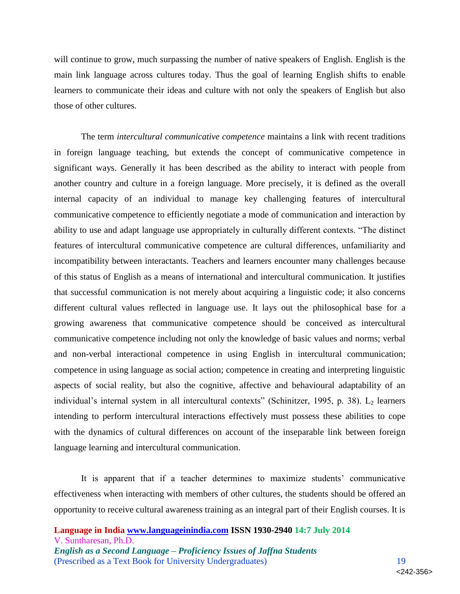will continue to grow, much surpassing the number of native speakers of English. English is the main link language across cultures today. Thus the goal of learning English shifts to enable learners to communicate their ideas and culture with not only the speakers of English but also those of other cultures.

The term *intercultural communicative competence* maintains a link with recent traditions in foreign language teaching, but extends the concept of communicative competence in significant ways. Generally it has been described as the ability to interact with people from another country and culture in a foreign language. More precisely, it is defined as the overall internal capacity of an individual to manage key challenging features of intercultural communicative competence to efficiently negotiate a mode of communication and interaction by ability to use and adapt language use appropriately in culturally different contexts. "The distinct features of intercultural communicative competence are cultural differences, unfamiliarity and incompatibility between interactants. Teachers and learners encounter many challenges because of this status of English as a means of international and intercultural communication. It justifies that successful communication is not merely about acquiring a linguistic code; it also concerns different cultural values reflected in language use. It lays out the philosophical base for a growing awareness that communicative competence should be conceived as intercultural communicative competence including not only the knowledge of basic values and norms; verbal and non-verbal interactional competence in using English in intercultural communication; competence in using language as social action; competence in creating and interpreting linguistic aspects of social reality, but also the cognitive, affective and behavioural adaptability of an individual's internal system in all intercultural contexts" (Schinitzer, 1995, p. 38).  $L_2$  learners intending to perform intercultural interactions effectively must possess these abilities to cope with the dynamics of cultural differences on account of the inseparable link between foreign language learning and intercultural communication.

It is apparent that if a teacher determines to maximize students' communicative effectiveness when interacting with members of other cultures, the students should be offered an opportunity to receive cultural awareness training as an integral part of their English courses. It is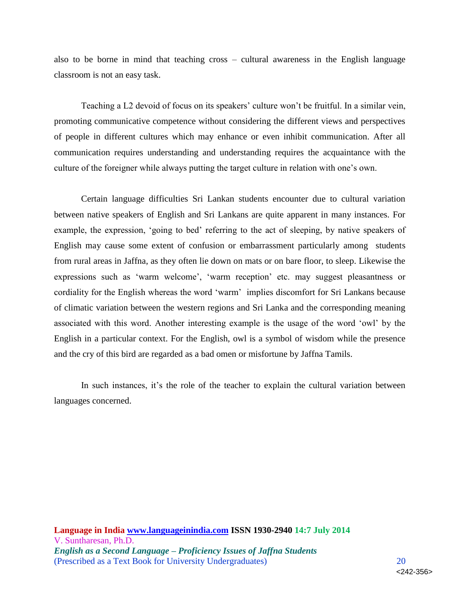also to be borne in mind that teaching cross – cultural awareness in the English language classroom is not an easy task.

Teaching a L2 devoid of focus on its speakers' culture won't be fruitful. In a similar vein, promoting communicative competence without considering the different views and perspectives of people in different cultures which may enhance or even inhibit communication. After all communication requires understanding and understanding requires the acquaintance with the culture of the foreigner while always putting the target culture in relation with one's own.

Certain language difficulties Sri Lankan students encounter due to cultural variation between native speakers of English and Sri Lankans are quite apparent in many instances. For example, the expression, 'going to bed' referring to the act of sleeping, by native speakers of English may cause some extent of confusion or embarrassment particularly among students from rural areas in Jaffna, as they often lie down on mats or on bare floor, to sleep. Likewise the expressions such as 'warm welcome', 'warm reception' etc. may suggest pleasantness or cordiality for the English whereas the word 'warm' implies discomfort for Sri Lankans because of climatic variation between the western regions and Sri Lanka and the corresponding meaning associated with this word. Another interesting example is the usage of the word 'owl' by the English in a particular context. For the English, owl is a symbol of wisdom while the presence and the cry of this bird are regarded as a bad omen or misfortune by Jaffna Tamils.

In such instances, it's the role of the teacher to explain the cultural variation between languages concerned.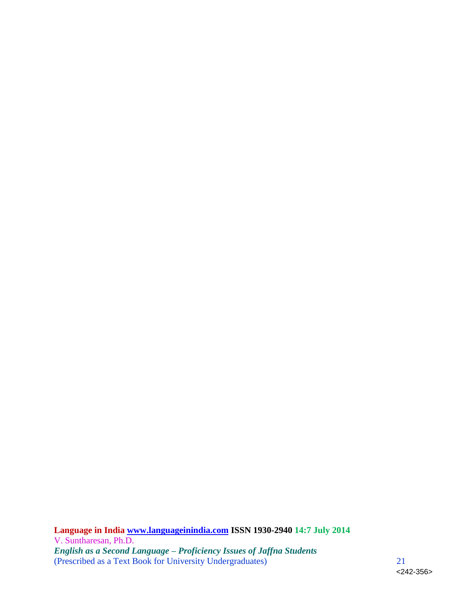**Language in India [www.languageinindia.com](http://www.languageinindia.com/) ISSN 1930-2940 14:7 July 2014** V. Suntharesan, Ph.D. *English as a Second Language – Proficiency Issues of Jaffna Students* (Prescribed as a Text Book for University Undergraduates) 21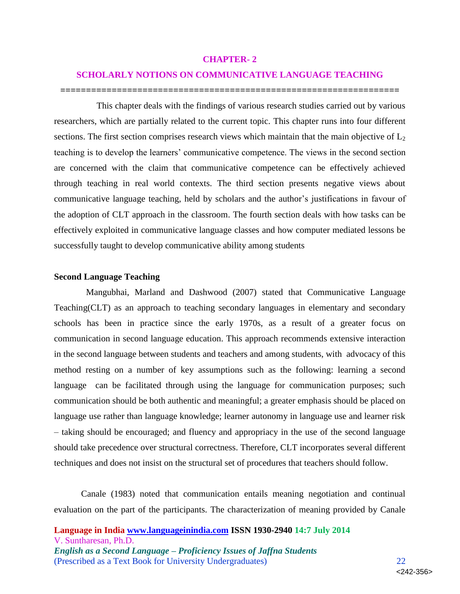#### **CHAPTER- 2**

# **SCHOLARLY NOTIONS ON COMMUNICATIVE LANGUAGE TEACHING**

**==================================================================**

This chapter deals with the findings of various research studies carried out by various researchers, which are partially related to the current topic. This chapter runs into four different sections. The first section comprises research views which maintain that the main objective of  $L<sub>2</sub>$ teaching is to develop the learners' communicative competence. The views in the second section are concerned with the claim that communicative competence can be effectively achieved through teaching in real world contexts. The third section presents negative views about communicative language teaching, held by scholars and the author's justifications in favour of the adoption of CLT approach in the classroom. The fourth section deals with how tasks can be effectively exploited in communicative language classes and how computer mediated lessons be successfully taught to develop communicative ability among students

#### **Second Language Teaching**

Mangubhai, Marland and Dashwood (2007) stated that Communicative Language Teaching(CLT) as an approach to teaching secondary languages in elementary and secondary schools has been in practice since the early 1970s, as a result of a greater focus on communication in second language education. This approach recommends extensive interaction in the second language between students and teachers and among students, with advocacy of this method resting on a number of key assumptions such as the following: learning a second language can be facilitated through using the language for communication purposes; such communication should be both authentic and meaningful; a greater emphasis should be placed on language use rather than language knowledge; learner autonomy in language use and learner risk – taking should be encouraged; and fluency and appropriacy in the use of the second language should take precedence over structural correctness. Therefore, CLT incorporates several different techniques and does not insist on the structural set of procedures that teachers should follow.

Canale (1983) noted that communication entails meaning negotiation and continual evaluation on the part of the participants. The characterization of meaning provided by Canale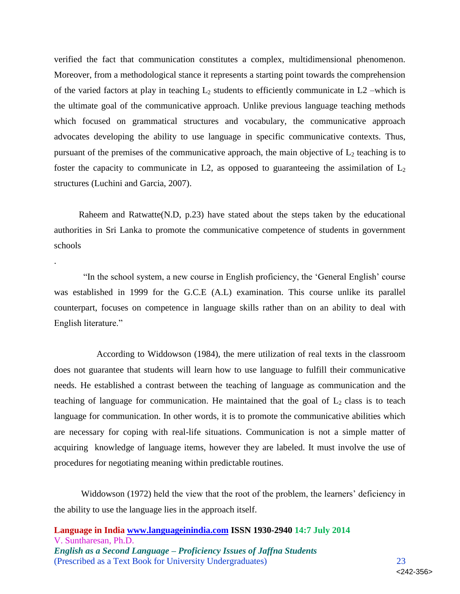verified the fact that communication constitutes a complex, multidimensional phenomenon. Moreover, from a methodological stance it represents a starting point towards the comprehension of the varied factors at play in teaching  $L_2$  students to efficiently communicate in  $L_2$  –which is the ultimate goal of the communicative approach. Unlike previous language teaching methods which focused on grammatical structures and vocabulary, the communicative approach advocates developing the ability to use language in specific communicative contexts. Thus, pursuant of the premises of the communicative approach, the main objective of  $L_2$  teaching is to foster the capacity to communicate in L2, as opposed to guaranteeing the assimilation of  $L_2$ structures (Luchini and Garcia, 2007).

 Raheem and Ratwatte(N.D, p.23) have stated about the steps taken by the educational authorities in Sri Lanka to promote the communicative competence of students in government schools

.

 "In the school system, a new course in English proficiency, the 'General English' course was established in 1999 for the G.C.E (A.L) examination. This course unlike its parallel counterpart, focuses on competence in language skills rather than on an ability to deal with English literature."

According to Widdowson (1984), the mere utilization of real texts in the classroom does not guarantee that students will learn how to use language to fulfill their communicative needs. He established a contrast between the teaching of language as communication and the teaching of language for communication. He maintained that the goal of  $L_2$  class is to teach language for communication. In other words, it is to promote the communicative abilities which are necessary for coping with real-life situations. Communication is not a simple matter of acquiring knowledge of language items, however they are labeled. It must involve the use of procedures for negotiating meaning within predictable routines.

Widdowson (1972) held the view that the root of the problem, the learners' deficiency in the ability to use the language lies in the approach itself.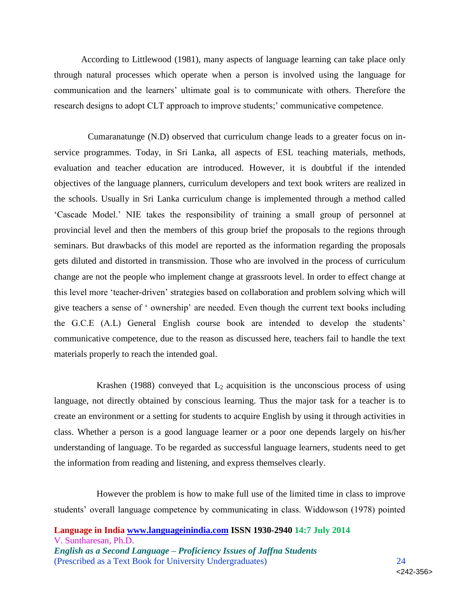According to Littlewood (1981), many aspects of language learning can take place only through natural processes which operate when a person is involved using the language for communication and the learners' ultimate goal is to communicate with others. Therefore the research designs to adopt CLT approach to improve students;' communicative competence.

 Cumaranatunge (N.D) observed that curriculum change leads to a greater focus on inservice programmes. Today, in Sri Lanka, all aspects of ESL teaching materials, methods, evaluation and teacher education are introduced. However, it is doubtful if the intended objectives of the language planners, curriculum developers and text book writers are realized in the schools. Usually in Sri Lanka curriculum change is implemented through a method called 'Cascade Model.' NIE takes the responsibility of training a small group of personnel at provincial level and then the members of this group brief the proposals to the regions through seminars. But drawbacks of this model are reported as the information regarding the proposals gets diluted and distorted in transmission. Those who are involved in the process of curriculum change are not the people who implement change at grassroots level. In order to effect change at this level more 'teacher-driven' strategies based on collaboration and problem solving which will give teachers a sense of ' ownership' are needed. Even though the current text books including the G.C.E (A.L) General English course book are intended to develop the students' communicative competence, due to the reason as discussed here, teachers fail to handle the text materials properly to reach the intended goal.

Krashen (1988) conveyed that  $L_2$  acquisition is the unconscious process of using language, not directly obtained by conscious learning. Thus the major task for a teacher is to create an environment or a setting for students to acquire English by using it through activities in class. Whether a person is a good language learner or a poor one depends largely on his/her understanding of language. To be regarded as successful language learners, students need to get the information from reading and listening, and express themselves clearly.

However the problem is how to make full use of the limited time in class to improve students' overall language competence by communicating in class. Widdowson (1978) pointed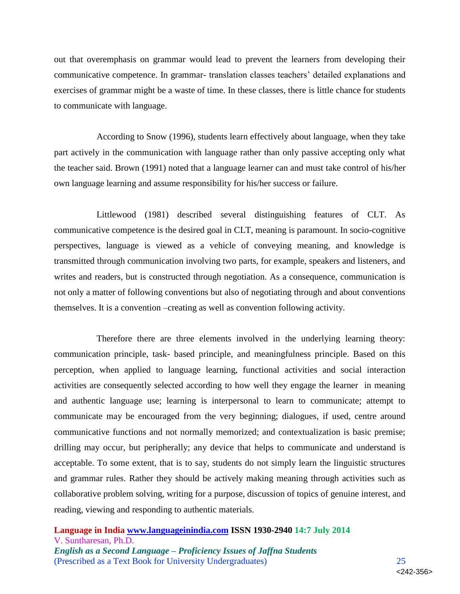out that overemphasis on grammar would lead to prevent the learners from developing their communicative competence. In grammar- translation classes teachers' detailed explanations and exercises of grammar might be a waste of time. In these classes, there is little chance for students to communicate with language.

According to Snow (1996), students learn effectively about language, when they take part actively in the communication with language rather than only passive accepting only what the teacher said. Brown (1991) noted that a language learner can and must take control of his/her own language learning and assume responsibility for his/her success or failure.

Littlewood (1981) described several distinguishing features of CLT. As communicative competence is the desired goal in CLT, meaning is paramount. In socio-cognitive perspectives, language is viewed as a vehicle of conveying meaning, and knowledge is transmitted through communication involving two parts, for example, speakers and listeners, and writes and readers, but is constructed through negotiation. As a consequence, communication is not only a matter of following conventions but also of negotiating through and about conventions themselves. It is a convention –creating as well as convention following activity.

Therefore there are three elements involved in the underlying learning theory: communication principle, task- based principle, and meaningfulness principle. Based on this perception, when applied to language learning, functional activities and social interaction activities are consequently selected according to how well they engage the learner in meaning and authentic language use; learning is interpersonal to learn to communicate; attempt to communicate may be encouraged from the very beginning; dialogues, if used, centre around communicative functions and not normally memorized; and contextualization is basic premise; drilling may occur, but peripherally; any device that helps to communicate and understand is acceptable. To some extent, that is to say, students do not simply learn the linguistic structures and grammar rules. Rather they should be actively making meaning through activities such as collaborative problem solving, writing for a purpose, discussion of topics of genuine interest, and reading, viewing and responding to authentic materials.

**Language in India [www.languageinindia.com](http://www.languageinindia.com/) ISSN 1930-2940 14:7 July 2014** V. Suntharesan, Ph.D. *English as a Second Language – Proficiency Issues of Jaffna Students* (Prescribed as a Text Book for University Undergraduates) 25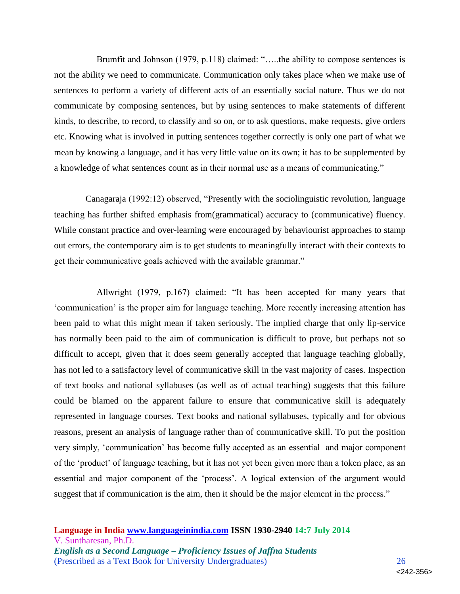Brumfit and Johnson (1979, p.118) claimed: "…..the ability to compose sentences is not the ability we need to communicate. Communication only takes place when we make use of sentences to perform a variety of different acts of an essentially social nature. Thus we do not communicate by composing sentences, but by using sentences to make statements of different kinds, to describe, to record, to classify and so on, or to ask questions, make requests, give orders etc. Knowing what is involved in putting sentences together correctly is only one part of what we mean by knowing a language, and it has very little value on its own; it has to be supplemented by a knowledge of what sentences count as in their normal use as a means of communicating."

 Canagaraja (1992:12) observed, "Presently with the sociolinguistic revolution, language teaching has further shifted emphasis from(grammatical) accuracy to (communicative) fluency. While constant practice and over-learning were encouraged by behaviourist approaches to stamp out errors, the contemporary aim is to get students to meaningfully interact with their contexts to get their communicative goals achieved with the available grammar."

Allwright (1979, p.167) claimed: "It has been accepted for many years that 'communication' is the proper aim for language teaching. More recently increasing attention has been paid to what this might mean if taken seriously. The implied charge that only lip-service has normally been paid to the aim of communication is difficult to prove, but perhaps not so difficult to accept, given that it does seem generally accepted that language teaching globally, has not led to a satisfactory level of communicative skill in the vast majority of cases. Inspection of text books and national syllabuses (as well as of actual teaching) suggests that this failure could be blamed on the apparent failure to ensure that communicative skill is adequately represented in language courses. Text books and national syllabuses, typically and for obvious reasons, present an analysis of language rather than of communicative skill. To put the position very simply, 'communication' has become fully accepted as an essential and major component of the 'product' of language teaching, but it has not yet been given more than a token place, as an essential and major component of the 'process'. A logical extension of the argument would suggest that if communication is the aim, then it should be the major element in the process."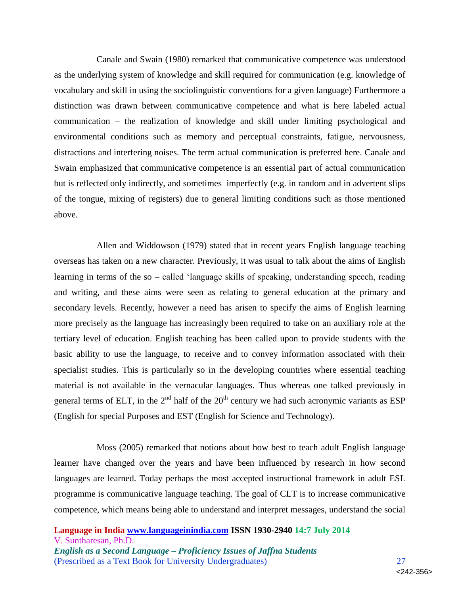Canale and Swain (1980) remarked that communicative competence was understood as the underlying system of knowledge and skill required for communication (e.g. knowledge of vocabulary and skill in using the sociolinguistic conventions for a given language) Furthermore a distinction was drawn between communicative competence and what is here labeled actual communication – the realization of knowledge and skill under limiting psychological and environmental conditions such as memory and perceptual constraints, fatigue, nervousness, distractions and interfering noises. The term actual communication is preferred here. Canale and Swain emphasized that communicative competence is an essential part of actual communication but is reflected only indirectly, and sometimes imperfectly (e.g. in random and in advertent slips of the tongue, mixing of registers) due to general limiting conditions such as those mentioned above.

Allen and Widdowson (1979) stated that in recent years English language teaching overseas has taken on a new character. Previously, it was usual to talk about the aims of English learning in terms of the so – called 'language skills of speaking, understanding speech, reading and writing, and these aims were seen as relating to general education at the primary and secondary levels. Recently, however a need has arisen to specify the aims of English learning more precisely as the language has increasingly been required to take on an auxiliary role at the tertiary level of education. English teaching has been called upon to provide students with the basic ability to use the language, to receive and to convey information associated with their specialist studies. This is particularly so in the developing countries where essential teaching material is not available in the vernacular languages. Thus whereas one talked previously in general terms of ELT, in the  $2<sup>nd</sup>$  half of the  $20<sup>th</sup>$  century we had such acronymic variants as ESP (English for special Purposes and EST (English for Science and Technology).

Moss (2005) remarked that notions about how best to teach adult English language learner have changed over the years and have been influenced by research in how second languages are learned. Today perhaps the most accepted instructional framework in adult ESL programme is communicative language teaching. The goal of CLT is to increase communicative competence, which means being able to understand and interpret messages, understand the social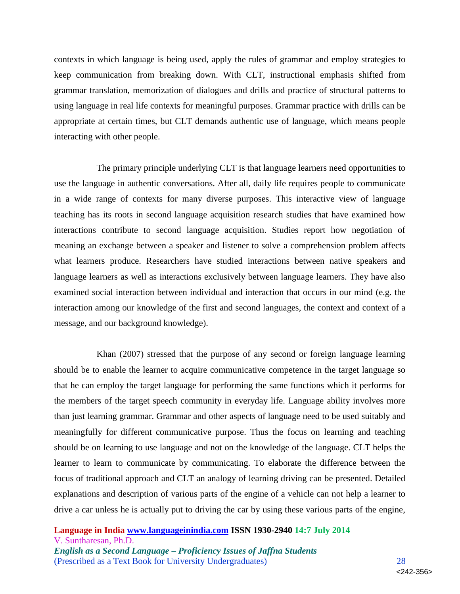contexts in which language is being used, apply the rules of grammar and employ strategies to keep communication from breaking down. With CLT, instructional emphasis shifted from grammar translation, memorization of dialogues and drills and practice of structural patterns to using language in real life contexts for meaningful purposes. Grammar practice with drills can be appropriate at certain times, but CLT demands authentic use of language, which means people interacting with other people.

The primary principle underlying CLT is that language learners need opportunities to use the language in authentic conversations. After all, daily life requires people to communicate in a wide range of contexts for many diverse purposes. This interactive view of language teaching has its roots in second language acquisition research studies that have examined how interactions contribute to second language acquisition. Studies report how negotiation of meaning an exchange between a speaker and listener to solve a comprehension problem affects what learners produce. Researchers have studied interactions between native speakers and language learners as well as interactions exclusively between language learners. They have also examined social interaction between individual and interaction that occurs in our mind (e.g. the interaction among our knowledge of the first and second languages, the context and context of a message, and our background knowledge).

Khan (2007) stressed that the purpose of any second or foreign language learning should be to enable the learner to acquire communicative competence in the target language so that he can employ the target language for performing the same functions which it performs for the members of the target speech community in everyday life. Language ability involves more than just learning grammar. Grammar and other aspects of language need to be used suitably and meaningfully for different communicative purpose. Thus the focus on learning and teaching should be on learning to use language and not on the knowledge of the language. CLT helps the learner to learn to communicate by communicating. To elaborate the difference between the focus of traditional approach and CLT an analogy of learning driving can be presented. Detailed explanations and description of various parts of the engine of a vehicle can not help a learner to drive a car unless he is actually put to driving the car by using these various parts of the engine,

**Language in India [www.languageinindia.com](http://www.languageinindia.com/) ISSN 1930-2940 14:7 July 2014** V. Suntharesan, Ph.D. *English as a Second Language – Proficiency Issues of Jaffna Students* (Prescribed as a Text Book for University Undergraduates) 28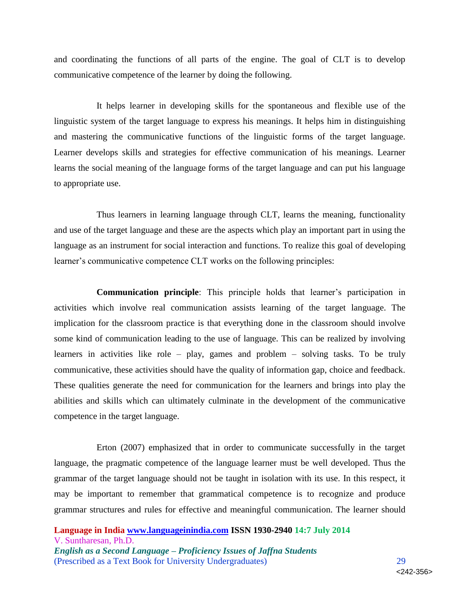and coordinating the functions of all parts of the engine. The goal of CLT is to develop communicative competence of the learner by doing the following.

It helps learner in developing skills for the spontaneous and flexible use of the linguistic system of the target language to express his meanings. It helps him in distinguishing and mastering the communicative functions of the linguistic forms of the target language. Learner develops skills and strategies for effective communication of his meanings. Learner learns the social meaning of the language forms of the target language and can put his language to appropriate use.

Thus learners in learning language through CLT, learns the meaning, functionality and use of the target language and these are the aspects which play an important part in using the language as an instrument for social interaction and functions. To realize this goal of developing learner's communicative competence CLT works on the following principles:

**Communication principle**: This principle holds that learner's participation in activities which involve real communication assists learning of the target language. The implication for the classroom practice is that everything done in the classroom should involve some kind of communication leading to the use of language. This can be realized by involving learners in activities like role – play, games and problem – solving tasks. To be truly communicative, these activities should have the quality of information gap, choice and feedback. These qualities generate the need for communication for the learners and brings into play the abilities and skills which can ultimately culminate in the development of the communicative competence in the target language.

Erton (2007) emphasized that in order to communicate successfully in the target language, the pragmatic competence of the language learner must be well developed. Thus the grammar of the target language should not be taught in isolation with its use. In this respect, it may be important to remember that grammatical competence is to recognize and produce grammar structures and rules for effective and meaningful communication. The learner should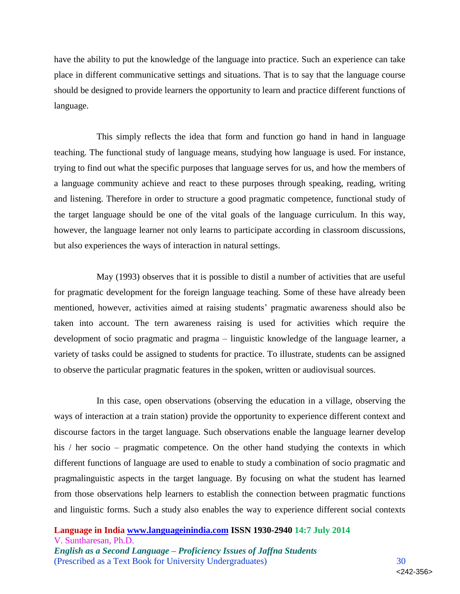have the ability to put the knowledge of the language into practice. Such an experience can take place in different communicative settings and situations. That is to say that the language course should be designed to provide learners the opportunity to learn and practice different functions of language.

This simply reflects the idea that form and function go hand in hand in language teaching. The functional study of language means, studying how language is used. For instance, trying to find out what the specific purposes that language serves for us, and how the members of a language community achieve and react to these purposes through speaking, reading, writing and listening. Therefore in order to structure a good pragmatic competence, functional study of the target language should be one of the vital goals of the language curriculum. In this way, however, the language learner not only learns to participate according in classroom discussions, but also experiences the ways of interaction in natural settings.

May (1993) observes that it is possible to distil a number of activities that are useful for pragmatic development for the foreign language teaching. Some of these have already been mentioned, however, activities aimed at raising students' pragmatic awareness should also be taken into account. The tern awareness raising is used for activities which require the development of socio pragmatic and pragma – linguistic knowledge of the language learner, a variety of tasks could be assigned to students for practice. To illustrate, students can be assigned to observe the particular pragmatic features in the spoken, written or audiovisual sources.

In this case, open observations (observing the education in a village, observing the ways of interaction at a train station) provide the opportunity to experience different context and discourse factors in the target language. Such observations enable the language learner develop his / her socio – pragmatic competence. On the other hand studying the contexts in which different functions of language are used to enable to study a combination of socio pragmatic and pragmalinguistic aspects in the target language. By focusing on what the student has learned from those observations help learners to establish the connection between pragmatic functions and linguistic forms. Such a study also enables the way to experience different social contexts

**Language in India [www.languageinindia.com](http://www.languageinindia.com/) ISSN 1930-2940 14:7 July 2014** V. Suntharesan, Ph.D. *English as a Second Language – Proficiency Issues of Jaffna Students* (Prescribed as a Text Book for University Undergraduates) 30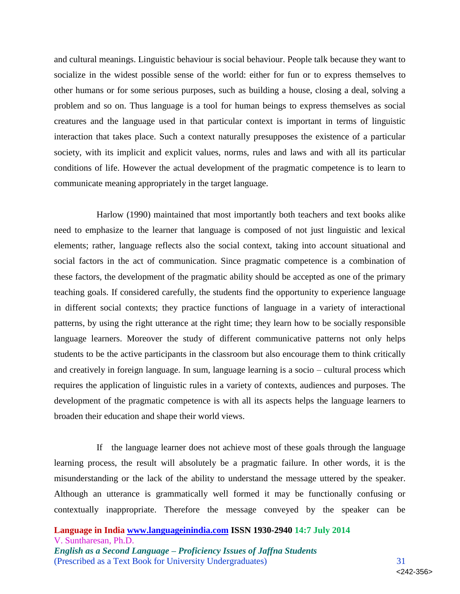and cultural meanings. Linguistic behaviour is social behaviour. People talk because they want to socialize in the widest possible sense of the world: either for fun or to express themselves to other humans or for some serious purposes, such as building a house, closing a deal, solving a problem and so on. Thus language is a tool for human beings to express themselves as social creatures and the language used in that particular context is important in terms of linguistic interaction that takes place. Such a context naturally presupposes the existence of a particular society, with its implicit and explicit values, norms, rules and laws and with all its particular conditions of life. However the actual development of the pragmatic competence is to learn to communicate meaning appropriately in the target language.

Harlow (1990) maintained that most importantly both teachers and text books alike need to emphasize to the learner that language is composed of not just linguistic and lexical elements; rather, language reflects also the social context, taking into account situational and social factors in the act of communication. Since pragmatic competence is a combination of these factors, the development of the pragmatic ability should be accepted as one of the primary teaching goals. If considered carefully, the students find the opportunity to experience language in different social contexts; they practice functions of language in a variety of interactional patterns, by using the right utterance at the right time; they learn how to be socially responsible language learners. Moreover the study of different communicative patterns not only helps students to be the active participants in the classroom but also encourage them to think critically and creatively in foreign language. In sum, language learning is a socio – cultural process which requires the application of linguistic rules in a variety of contexts, audiences and purposes. The development of the pragmatic competence is with all its aspects helps the language learners to broaden their education and shape their world views.

If the language learner does not achieve most of these goals through the language learning process, the result will absolutely be a pragmatic failure. In other words, it is the misunderstanding or the lack of the ability to understand the message uttered by the speaker. Although an utterance is grammatically well formed it may be functionally confusing or contextually inappropriate. Therefore the message conveyed by the speaker can be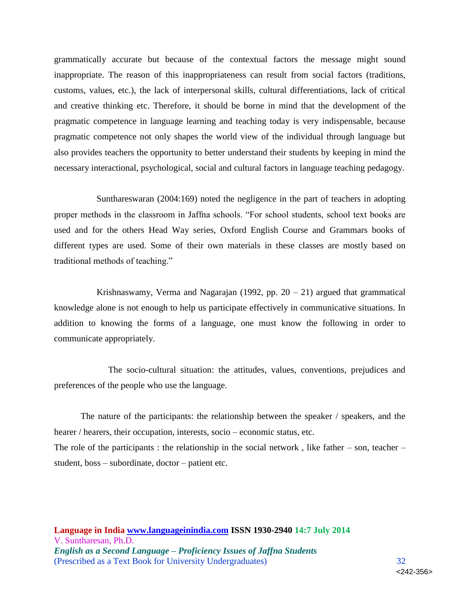grammatically accurate but because of the contextual factors the message might sound inappropriate. The reason of this inappropriateness can result from social factors (traditions, customs, values, etc.), the lack of interpersonal skills, cultural differentiations, lack of critical and creative thinking etc. Therefore, it should be borne in mind that the development of the pragmatic competence in language learning and teaching today is very indispensable, because pragmatic competence not only shapes the world view of the individual through language but also provides teachers the opportunity to better understand their students by keeping in mind the necessary interactional, psychological, social and cultural factors in language teaching pedagogy.

Sunthareswaran (2004:169) noted the negligence in the part of teachers in adopting proper methods in the classroom in Jaffna schools. "For school students, school text books are used and for the others Head Way series, Oxford English Course and Grammars books of different types are used. Some of their own materials in these classes are mostly based on traditional methods of teaching."

Krishnaswamy, Verma and Nagarajan (1992, pp.  $20 - 21$ ) argued that grammatical knowledge alone is not enough to help us participate effectively in communicative situations. In addition to knowing the forms of a language, one must know the following in order to communicate appropriately.

The socio-cultural situation: the attitudes, values, conventions, prejudices and preferences of the people who use the language.

The nature of the participants: the relationship between the speaker / speakers, and the hearer / hearers, their occupation, interests, socio – economic status, etc. The role of the participants : the relationship in the social network , like father – son, teacher – student, boss – subordinate, doctor – patient etc.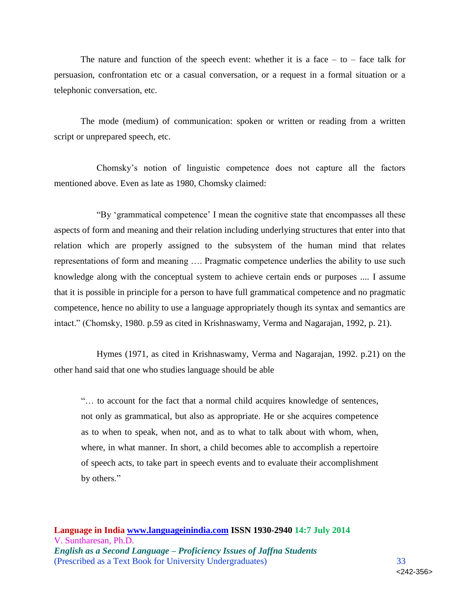The nature and function of the speech event: whether it is a face  $-$  to  $-$  face talk for persuasion, confrontation etc or a casual conversation, or a request in a formal situation or a telephonic conversation, etc.

The mode (medium) of communication: spoken or written or reading from a written script or unprepared speech, etc.

Chomsky's notion of linguistic competence does not capture all the factors mentioned above. Even as late as 1980, Chomsky claimed:

"By 'grammatical competence' I mean the cognitive state that encompasses all these aspects of form and meaning and their relation including underlying structures that enter into that relation which are properly assigned to the subsystem of the human mind that relates representations of form and meaning …. Pragmatic competence underlies the ability to use such knowledge along with the conceptual system to achieve certain ends or purposes .... I assume that it is possible in principle for a person to have full grammatical competence and no pragmatic competence, hence no ability to use a language appropriately though its syntax and semantics are intact." (Chomsky, 1980. p.59 as cited in Krishnaswamy, Verma and Nagarajan, 1992, p. 21).

Hymes (1971, as cited in Krishnaswamy, Verma and Nagarajan, 1992. p.21) on the other hand said that one who studies language should be able

"… to account for the fact that a normal child acquires knowledge of sentences, not only as grammatical, but also as appropriate. He or she acquires competence as to when to speak, when not, and as to what to talk about with whom, when, where, in what manner. In short, a child becomes able to accomplish a repertoire of speech acts, to take part in speech events and to evaluate their accomplishment by others."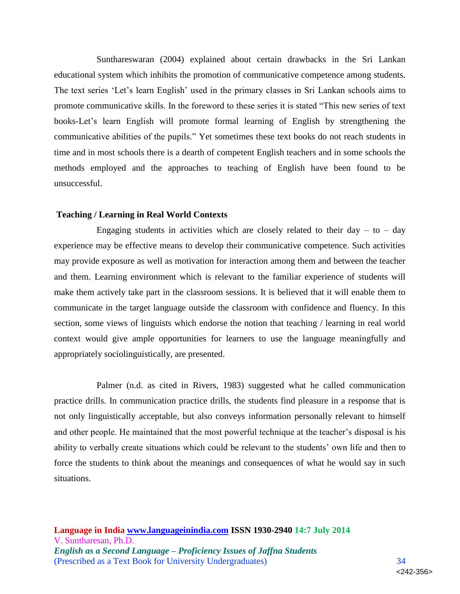Sunthareswaran (2004) explained about certain drawbacks in the Sri Lankan educational system which inhibits the promotion of communicative competence among students. The text series 'Let's learn English' used in the primary classes in Sri Lankan schools aims to promote communicative skills. In the foreword to these series it is stated "This new series of text books-Let's learn English will promote formal learning of English by strengthening the communicative abilities of the pupils." Yet sometimes these text books do not reach students in time and in most schools there is a dearth of competent English teachers and in some schools the methods employed and the approaches to teaching of English have been found to be unsuccessful.

#### **Teaching / Learning in Real World Contexts**

Engaging students in activities which are closely related to their day  $-$  to  $-$  day experience may be effective means to develop their communicative competence. Such activities may provide exposure as well as motivation for interaction among them and between the teacher and them. Learning environment which is relevant to the familiar experience of students will make them actively take part in the classroom sessions. It is believed that it will enable them to communicate in the target language outside the classroom with confidence and fluency. In this section, some views of linguists which endorse the notion that teaching / learning in real world context would give ample opportunities for learners to use the language meaningfully and appropriately sociolinguistically, are presented.

Palmer (n.d. as cited in Rivers, 1983) suggested what he called communication practice drills. In communication practice drills, the students find pleasure in a response that is not only linguistically acceptable, but also conveys information personally relevant to himself and other people. He maintained that the most powerful technique at the teacher's disposal is his ability to verbally create situations which could be relevant to the students' own life and then to force the students to think about the meanings and consequences of what he would say in such situations.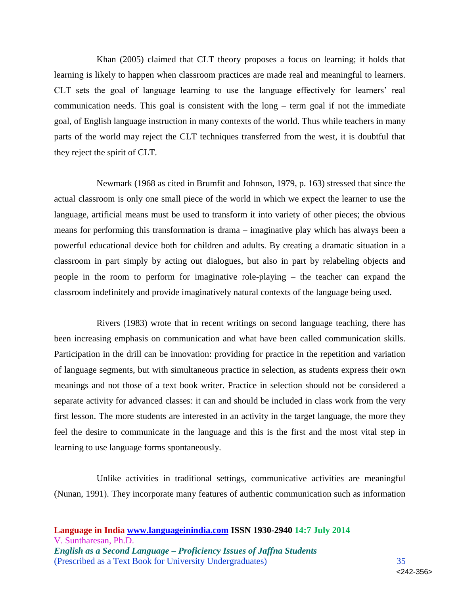Khan (2005) claimed that CLT theory proposes a focus on learning; it holds that learning is likely to happen when classroom practices are made real and meaningful to learners. CLT sets the goal of language learning to use the language effectively for learners' real communication needs. This goal is consistent with the long – term goal if not the immediate goal, of English language instruction in many contexts of the world. Thus while teachers in many parts of the world may reject the CLT techniques transferred from the west, it is doubtful that they reject the spirit of CLT.

Newmark (1968 as cited in Brumfit and Johnson, 1979, p. 163) stressed that since the actual classroom is only one small piece of the world in which we expect the learner to use the language, artificial means must be used to transform it into variety of other pieces; the obvious means for performing this transformation is drama – imaginative play which has always been a powerful educational device both for children and adults. By creating a dramatic situation in a classroom in part simply by acting out dialogues, but also in part by relabeling objects and people in the room to perform for imaginative role-playing – the teacher can expand the classroom indefinitely and provide imaginatively natural contexts of the language being used.

Rivers (1983) wrote that in recent writings on second language teaching, there has been increasing emphasis on communication and what have been called communication skills. Participation in the drill can be innovation: providing for practice in the repetition and variation of language segments, but with simultaneous practice in selection, as students express their own meanings and not those of a text book writer. Practice in selection should not be considered a separate activity for advanced classes: it can and should be included in class work from the very first lesson. The more students are interested in an activity in the target language, the more they feel the desire to communicate in the language and this is the first and the most vital step in learning to use language forms spontaneously.

Unlike activities in traditional settings, communicative activities are meaningful (Nunan, 1991). They incorporate many features of authentic communication such as information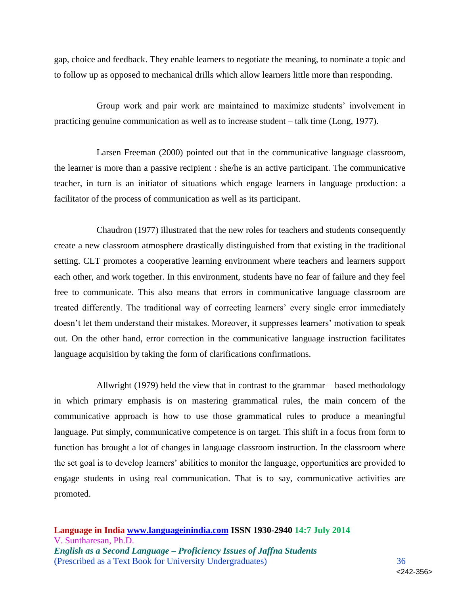gap, choice and feedback. They enable learners to negotiate the meaning, to nominate a topic and to follow up as opposed to mechanical drills which allow learners little more than responding.

Group work and pair work are maintained to maximize students' involvement in practicing genuine communication as well as to increase student – talk time (Long, 1977).

Larsen Freeman (2000) pointed out that in the communicative language classroom, the learner is more than a passive recipient : she/he is an active participant. The communicative teacher, in turn is an initiator of situations which engage learners in language production: a facilitator of the process of communication as well as its participant.

Chaudron (1977) illustrated that the new roles for teachers and students consequently create a new classroom atmosphere drastically distinguished from that existing in the traditional setting. CLT promotes a cooperative learning environment where teachers and learners support each other, and work together. In this environment, students have no fear of failure and they feel free to communicate. This also means that errors in communicative language classroom are treated differently. The traditional way of correcting learners' every single error immediately doesn't let them understand their mistakes. Moreover, it suppresses learners' motivation to speak out. On the other hand, error correction in the communicative language instruction facilitates language acquisition by taking the form of clarifications confirmations.

Allwright (1979) held the view that in contrast to the grammar – based methodology in which primary emphasis is on mastering grammatical rules, the main concern of the communicative approach is how to use those grammatical rules to produce a meaningful language. Put simply, communicative competence is on target. This shift in a focus from form to function has brought a lot of changes in language classroom instruction. In the classroom where the set goal is to develop learners' abilities to monitor the language, opportunities are provided to engage students in using real communication. That is to say, communicative activities are promoted.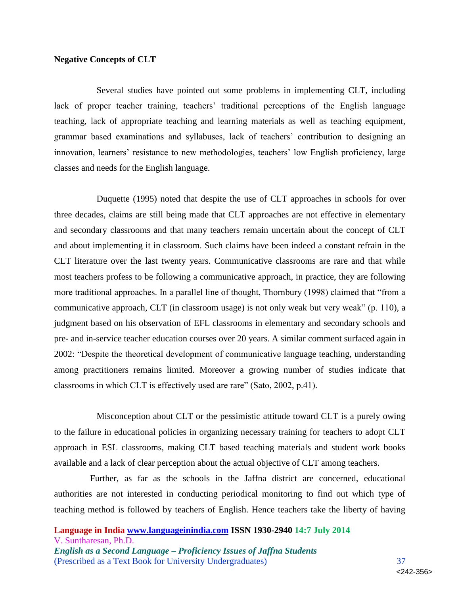# **Negative Concepts of CLT**

Several studies have pointed out some problems in implementing CLT, including lack of proper teacher training, teachers' traditional perceptions of the English language teaching, lack of appropriate teaching and learning materials as well as teaching equipment, grammar based examinations and syllabuses, lack of teachers' contribution to designing an innovation, learners' resistance to new methodologies, teachers' low English proficiency, large classes and needs for the English language.

Duquette (1995) noted that despite the use of CLT approaches in schools for over three decades, claims are still being made that CLT approaches are not effective in elementary and secondary classrooms and that many teachers remain uncertain about the concept of CLT and about implementing it in classroom. Such claims have been indeed a constant refrain in the CLT literature over the last twenty years. Communicative classrooms are rare and that while most teachers profess to be following a communicative approach, in practice, they are following more traditional approaches. In a parallel line of thought, Thornbury (1998) claimed that "from a communicative approach, CLT (in classroom usage) is not only weak but very weak" (p. 110), a judgment based on his observation of EFL classrooms in elementary and secondary schools and pre- and in-service teacher education courses over 20 years. A similar comment surfaced again in 2002: "Despite the theoretical development of communicative language teaching, understanding among practitioners remains limited. Moreover a growing number of studies indicate that classrooms in which CLT is effectively used are rare" (Sato, 2002, p.41).

Misconception about CLT or the pessimistic attitude toward CLT is a purely owing to the failure in educational policies in organizing necessary training for teachers to adopt CLT approach in ESL classrooms, making CLT based teaching materials and student work books available and a lack of clear perception about the actual objective of CLT among teachers.

 Further, as far as the schools in the Jaffna district are concerned, educational authorities are not interested in conducting periodical monitoring to find out which type of teaching method is followed by teachers of English. Hence teachers take the liberty of having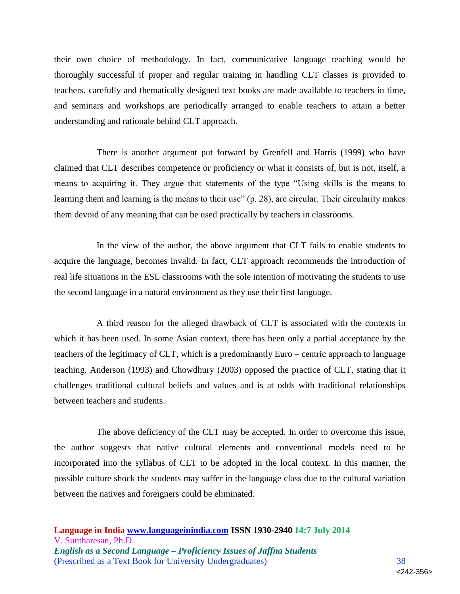their own choice of methodology. In fact, communicative language teaching would be thoroughly successful if proper and regular training in handling CLT classes is provided to teachers, carefully and thematically designed text books are made available to teachers in time, and seminars and workshops are periodically arranged to enable teachers to attain a better understanding and rationale behind CLT approach.

There is another argument put forward by Grenfell and Harris (1999) who have claimed that CLT describes competence or proficiency or what it consists of, but is not, itself, a means to acquiring it. They argue that statements of the type "Using skills is the means to learning them and learning is the means to their use" (p. 28), are circular. Their circularity makes them devoid of any meaning that can be used practically by teachers in classrooms.

In the view of the author, the above argument that CLT fails to enable students to acquire the language, becomes invalid. In fact, CLT approach recommends the introduction of real life situations in the ESL classrooms with the sole intention of motivating the students to use the second language in a natural environment as they use their first language.

A third reason for the alleged drawback of CLT is associated with the contexts in which it has been used. In some Asian context, there has been only a partial acceptance by the teachers of the legitimacy of CLT, which is a predominantly Euro – centric approach to language teaching. Anderson (1993) and Chowdhury (2003) opposed the practice of CLT, stating that it challenges traditional cultural beliefs and values and is at odds with traditional relationships between teachers and students.

The above deficiency of the CLT may be accepted. In order to overcome this issue, the author suggests that native cultural elements and conventional models need to be incorporated into the syllabus of CLT to be adopted in the local context. In this manner, the possible culture shock the students may suffer in the language class due to the cultural variation between the natives and foreigners could be eliminated.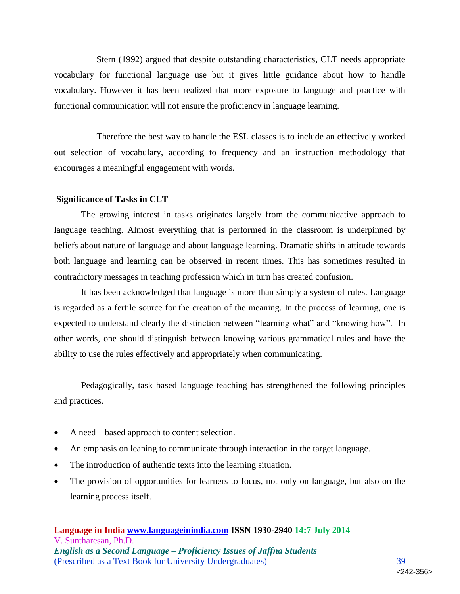Stern (1992) argued that despite outstanding characteristics, CLT needs appropriate vocabulary for functional language use but it gives little guidance about how to handle vocabulary. However it has been realized that more exposure to language and practice with functional communication will not ensure the proficiency in language learning.

Therefore the best way to handle the ESL classes is to include an effectively worked out selection of vocabulary, according to frequency and an instruction methodology that encourages a meaningful engagement with words.

# **Significance of Tasks in CLT**

The growing interest in tasks originates largely from the communicative approach to language teaching. Almost everything that is performed in the classroom is underpinned by beliefs about nature of language and about language learning. Dramatic shifts in attitude towards both language and learning can be observed in recent times. This has sometimes resulted in contradictory messages in teaching profession which in turn has created confusion.

It has been acknowledged that language is more than simply a system of rules. Language is regarded as a fertile source for the creation of the meaning. In the process of learning, one is expected to understand clearly the distinction between "learning what" and "knowing how". In other words, one should distinguish between knowing various grammatical rules and have the ability to use the rules effectively and appropriately when communicating.

Pedagogically, task based language teaching has strengthened the following principles and practices.

- A need based approach to content selection.
- An emphasis on leaning to communicate through interaction in the target language.
- The introduction of authentic texts into the learning situation.
- The provision of opportunities for learners to focus, not only on language, but also on the learning process itself.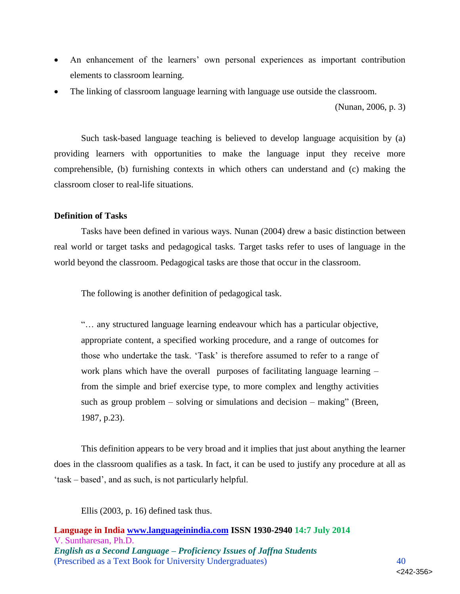- An enhancement of the learners' own personal experiences as important contribution elements to classroom learning.
- The linking of classroom language learning with language use outside the classroom.

(Nunan, 2006, p. 3)

Such task-based language teaching is believed to develop language acquisition by (a) providing learners with opportunities to make the language input they receive more comprehensible, (b) furnishing contexts in which others can understand and (c) making the classroom closer to real-life situations.

### **Definition of Tasks**

Tasks have been defined in various ways. Nunan (2004) drew a basic distinction between real world or target tasks and pedagogical tasks. Target tasks refer to uses of language in the world beyond the classroom. Pedagogical tasks are those that occur in the classroom.

The following is another definition of pedagogical task.

"… any structured language learning endeavour which has a particular objective, appropriate content, a specified working procedure, and a range of outcomes for those who undertake the task. 'Task' is therefore assumed to refer to a range of work plans which have the overall purposes of facilitating language learning – from the simple and brief exercise type, to more complex and lengthy activities such as group problem  $-$  solving or simulations and decision  $-$  making" (Breen, 1987, p.23).

This definition appears to be very broad and it implies that just about anything the learner does in the classroom qualifies as a task. In fact, it can be used to justify any procedure at all as 'task – based', and as such, is not particularly helpful.

Ellis (2003, p. 16) defined task thus.

**Language in India [www.languageinindia.com](http://www.languageinindia.com/) ISSN 1930-2940 14:7 July 2014** V. Suntharesan, Ph.D. *English as a Second Language – Proficiency Issues of Jaffna Students* (Prescribed as a Text Book for University Undergraduates) 40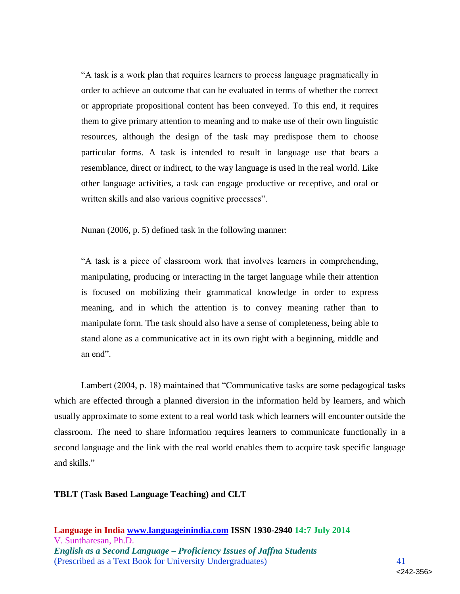"A task is a work plan that requires learners to process language pragmatically in order to achieve an outcome that can be evaluated in terms of whether the correct or appropriate propositional content has been conveyed. To this end, it requires them to give primary attention to meaning and to make use of their own linguistic resources, although the design of the task may predispose them to choose particular forms. A task is intended to result in language use that bears a resemblance, direct or indirect, to the way language is used in the real world. Like other language activities, a task can engage productive or receptive, and oral or written skills and also various cognitive processes".

Nunan (2006, p. 5) defined task in the following manner:

"A task is a piece of classroom work that involves learners in comprehending, manipulating, producing or interacting in the target language while their attention is focused on mobilizing their grammatical knowledge in order to express meaning, and in which the attention is to convey meaning rather than to manipulate form. The task should also have a sense of completeness, being able to stand alone as a communicative act in its own right with a beginning, middle and an end".

Lambert (2004, p. 18) maintained that "Communicative tasks are some pedagogical tasks which are effected through a planned diversion in the information held by learners, and which usually approximate to some extent to a real world task which learners will encounter outside the classroom. The need to share information requires learners to communicate functionally in a second language and the link with the real world enables them to acquire task specific language and skills."

# **TBLT (Task Based Language Teaching) and CLT**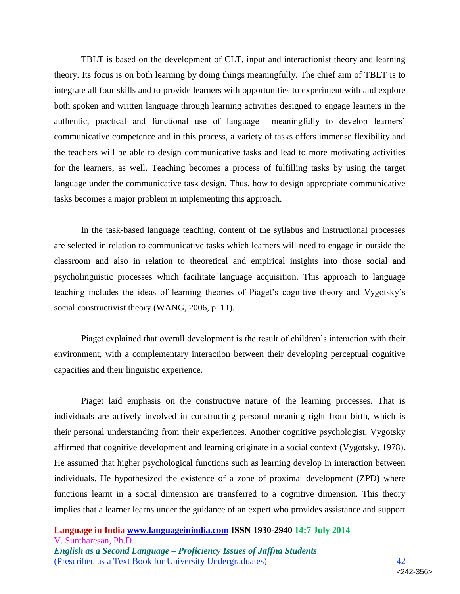TBLT is based on the development of CLT, input and interactionist theory and learning theory. Its focus is on both learning by doing things meaningfully. The chief aim of TBLT is to integrate all four skills and to provide learners with opportunities to experiment with and explore both spoken and written language through learning activities designed to engage learners in the authentic, practical and functional use of language meaningfully to develop learners' communicative competence and in this process, a variety of tasks offers immense flexibility and the teachers will be able to design communicative tasks and lead to more motivating activities for the learners, as well. Teaching becomes a process of fulfilling tasks by using the target language under the communicative task design. Thus, how to design appropriate communicative tasks becomes a major problem in implementing this approach.

In the task-based language teaching, content of the syllabus and instructional processes are selected in relation to communicative tasks which learners will need to engage in outside the classroom and also in relation to theoretical and empirical insights into those social and psycholinguistic processes which facilitate language acquisition. This approach to language teaching includes the ideas of learning theories of Piaget's cognitive theory and Vygotsky's social constructivist theory (WANG, 2006, p. 11).

Piaget explained that overall development is the result of children's interaction with their environment, with a complementary interaction between their developing perceptual cognitive capacities and their linguistic experience.

Piaget laid emphasis on the constructive nature of the learning processes. That is individuals are actively involved in constructing personal meaning right from birth, which is their personal understanding from their experiences. Another cognitive psychologist, Vygotsky affirmed that cognitive development and learning originate in a social context (Vygotsky, 1978). He assumed that higher psychological functions such as learning develop in interaction between individuals. He hypothesized the existence of a zone of proximal development (ZPD) where functions learnt in a social dimension are transferred to a cognitive dimension. This theory implies that a learner learns under the guidance of an expert who provides assistance and support

**Language in India [www.languageinindia.com](http://www.languageinindia.com/) ISSN 1930-2940 14:7 July 2014** V. Suntharesan, Ph.D. *English as a Second Language – Proficiency Issues of Jaffna Students* (Prescribed as a Text Book for University Undergraduates) 42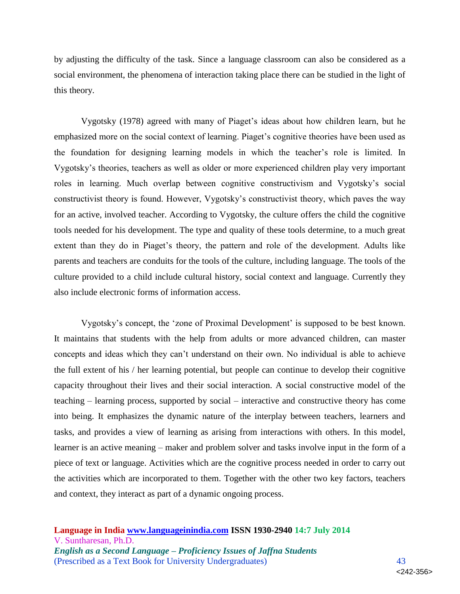by adjusting the difficulty of the task. Since a language classroom can also be considered as a social environment, the phenomena of interaction taking place there can be studied in the light of this theory.

Vygotsky (1978) agreed with many of Piaget's ideas about how children learn, but he emphasized more on the social context of learning. Piaget's cognitive theories have been used as the foundation for designing learning models in which the teacher's role is limited. In Vygotsky's theories, teachers as well as older or more experienced children play very important roles in learning. Much overlap between cognitive constructivism and Vygotsky's social constructivist theory is found. However, Vygotsky's constructivist theory, which paves the way for an active, involved teacher. According to Vygotsky, the culture offers the child the cognitive tools needed for his development. The type and quality of these tools determine, to a much great extent than they do in Piaget's theory, the pattern and role of the development. Adults like parents and teachers are conduits for the tools of the culture, including language. The tools of the culture provided to a child include cultural history, social context and language. Currently they also include electronic forms of information access.

Vygotsky's concept, the 'zone of Proximal Development' is supposed to be best known. It maintains that students with the help from adults or more advanced children, can master concepts and ideas which they can't understand on their own. No individual is able to achieve the full extent of his / her learning potential, but people can continue to develop their cognitive capacity throughout their lives and their social interaction. A social constructive model of the teaching – learning process, supported by social – interactive and constructive theory has come into being. It emphasizes the dynamic nature of the interplay between teachers, learners and tasks, and provides a view of learning as arising from interactions with others. In this model, learner is an active meaning – maker and problem solver and tasks involve input in the form of a piece of text or language. Activities which are the cognitive process needed in order to carry out the activities which are incorporated to them. Together with the other two key factors, teachers and context, they interact as part of a dynamic ongoing process.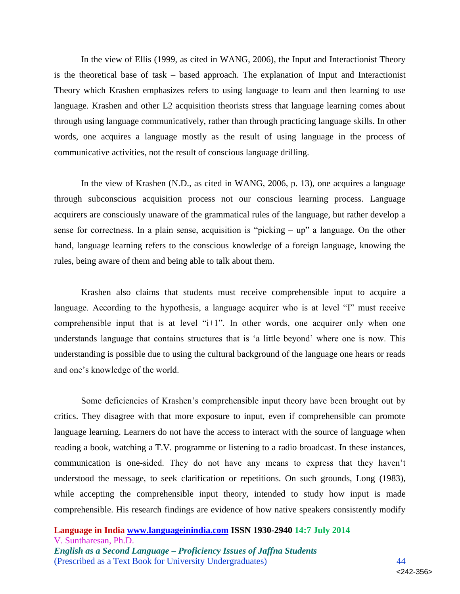In the view of Ellis (1999, as cited in WANG, 2006), the Input and Interactionist Theory is the theoretical base of task – based approach. The explanation of Input and Interactionist Theory which Krashen emphasizes refers to using language to learn and then learning to use language. Krashen and other L2 acquisition theorists stress that language learning comes about through using language communicatively, rather than through practicing language skills. In other words, one acquires a language mostly as the result of using language in the process of communicative activities, not the result of conscious language drilling.

In the view of Krashen (N.D., as cited in WANG, 2006, p. 13), one acquires a language through subconscious acquisition process not our conscious learning process. Language acquirers are consciously unaware of the grammatical rules of the language, but rather develop a sense for correctness. In a plain sense, acquisition is "picking – up" a language. On the other hand, language learning refers to the conscious knowledge of a foreign language, knowing the rules, being aware of them and being able to talk about them.

Krashen also claims that students must receive comprehensible input to acquire a language. According to the hypothesis, a language acquirer who is at level "I" must receive comprehensible input that is at level "i+1". In other words, one acquirer only when one understands language that contains structures that is 'a little beyond' where one is now. This understanding is possible due to using the cultural background of the language one hears or reads and one's knowledge of the world.

Some deficiencies of Krashen's comprehensible input theory have been brought out by critics. They disagree with that more exposure to input, even if comprehensible can promote language learning. Learners do not have the access to interact with the source of language when reading a book, watching a T.V. programme or listening to a radio broadcast. In these instances, communication is one-sided. They do not have any means to express that they haven't understood the message, to seek clarification or repetitions. On such grounds, Long (1983), while accepting the comprehensible input theory, intended to study how input is made comprehensible. His research findings are evidence of how native speakers consistently modify

**Language in India [www.languageinindia.com](http://www.languageinindia.com/) ISSN 1930-2940 14:7 July 2014** V. Suntharesan, Ph.D. *English as a Second Language – Proficiency Issues of Jaffna Students* (Prescribed as a Text Book for University Undergraduates) 44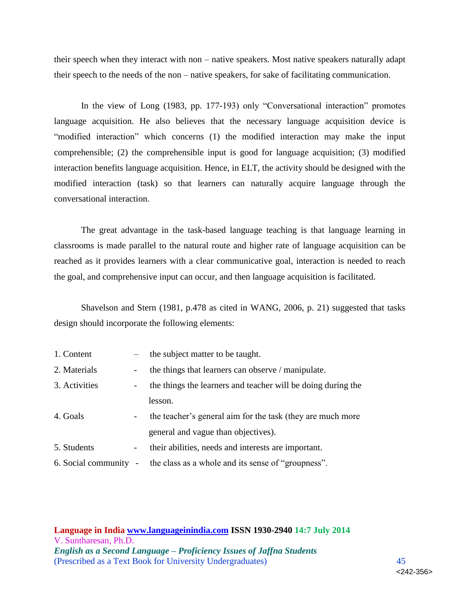their speech when they interact with non – native speakers. Most native speakers naturally adapt their speech to the needs of the non – native speakers, for sake of facilitating communication.

In the view of Long (1983, pp. 177-193) only "Conversational interaction" promotes language acquisition. He also believes that the necessary language acquisition device is "modified interaction" which concerns (1) the modified interaction may make the input comprehensible; (2) the comprehensible input is good for language acquisition; (3) modified interaction benefits language acquisition. Hence, in ELT, the activity should be designed with the modified interaction (task) so that learners can naturally acquire language through the conversational interaction.

The great advantage in the task-based language teaching is that language learning in classrooms is made parallel to the natural route and higher rate of language acquisition can be reached as it provides learners with a clear communicative goal, interaction is needed to reach the goal, and comprehensive input can occur, and then language acquisition is facilitated.

Shavelson and Stern (1981, p.478 as cited in WANG, 2006, p. 21) suggested that tasks design should incorporate the following elements:

| 1. Content            |                          | the subject matter to be taught.                             |
|-----------------------|--------------------------|--------------------------------------------------------------|
| 2. Materials          | $\overline{\phantom{a}}$ | the things that learners can observe / manipulate.           |
| 3. Activities         | $\overline{\phantom{a}}$ | the things the learners and teacher will be doing during the |
|                       |                          | lesson.                                                      |
| 4. Goals              | $\overline{\phantom{a}}$ | the teacher's general aim for the task (they are much more   |
|                       |                          | general and vague than objectives).                          |
| 5. Students           | $\blacksquare$           | their abilities, needs and interests are important.          |
| 6. Social community - |                          | the class as a whole and its sense of "groupness".           |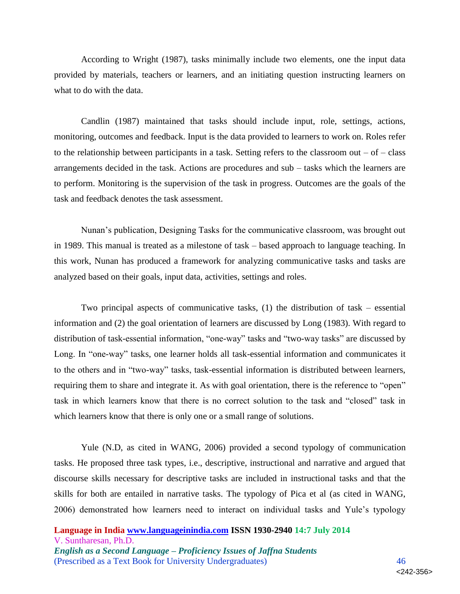According to Wright (1987), tasks minimally include two elements, one the input data provided by materials, teachers or learners, and an initiating question instructing learners on what to do with the data.

Candlin (1987) maintained that tasks should include input, role, settings, actions, monitoring, outcomes and feedback. Input is the data provided to learners to work on. Roles refer to the relationship between participants in a task. Setting refers to the classroom out  $-$  of  $-$  class arrangements decided in the task. Actions are procedures and sub – tasks which the learners are to perform. Monitoring is the supervision of the task in progress. Outcomes are the goals of the task and feedback denotes the task assessment.

Nunan's publication, Designing Tasks for the communicative classroom, was brought out in 1989. This manual is treated as a milestone of task – based approach to language teaching. In this work, Nunan has produced a framework for analyzing communicative tasks and tasks are analyzed based on their goals, input data, activities, settings and roles.

Two principal aspects of communicative tasks, (1) the distribution of task – essential information and (2) the goal orientation of learners are discussed by Long (1983). With regard to distribution of task-essential information, "one-way" tasks and "two-way tasks" are discussed by Long. In "one-way" tasks, one learner holds all task-essential information and communicates it to the others and in "two-way" tasks, task-essential information is distributed between learners, requiring them to share and integrate it. As with goal orientation, there is the reference to "open" task in which learners know that there is no correct solution to the task and "closed" task in which learners know that there is only one or a small range of solutions.

Yule (N.D, as cited in WANG, 2006) provided a second typology of communication tasks. He proposed three task types, i.e., descriptive, instructional and narrative and argued that discourse skills necessary for descriptive tasks are included in instructional tasks and that the skills for both are entailed in narrative tasks. The typology of Pica et al (as cited in WANG, 2006) demonstrated how learners need to interact on individual tasks and Yule's typology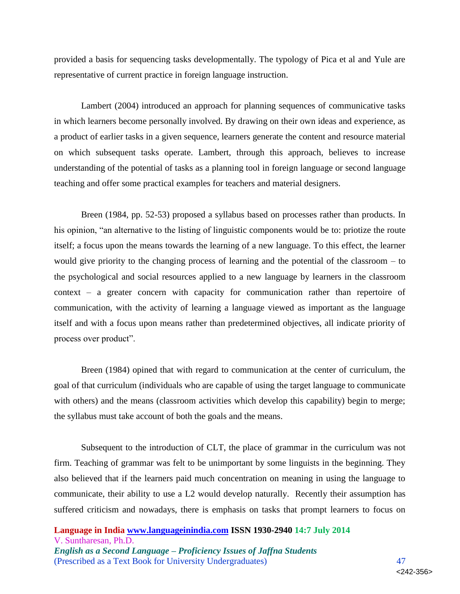provided a basis for sequencing tasks developmentally. The typology of Pica et al and Yule are representative of current practice in foreign language instruction.

Lambert (2004) introduced an approach for planning sequences of communicative tasks in which learners become personally involved. By drawing on their own ideas and experience, as a product of earlier tasks in a given sequence, learners generate the content and resource material on which subsequent tasks operate. Lambert, through this approach, believes to increase understanding of the potential of tasks as a planning tool in foreign language or second language teaching and offer some practical examples for teachers and material designers.

Breen (1984, pp. 52-53) proposed a syllabus based on processes rather than products. In his opinion, "an alternative to the listing of linguistic components would be to: priotize the route itself; a focus upon the means towards the learning of a new language. To this effect, the learner would give priority to the changing process of learning and the potential of the classroom – to the psychological and social resources applied to a new language by learners in the classroom context – a greater concern with capacity for communication rather than repertoire of communication, with the activity of learning a language viewed as important as the language itself and with a focus upon means rather than predetermined objectives, all indicate priority of process over product".

Breen (1984) opined that with regard to communication at the center of curriculum, the goal of that curriculum (individuals who are capable of using the target language to communicate with others) and the means (classroom activities which develop this capability) begin to merge; the syllabus must take account of both the goals and the means.

Subsequent to the introduction of CLT, the place of grammar in the curriculum was not firm. Teaching of grammar was felt to be unimportant by some linguists in the beginning. They also believed that if the learners paid much concentration on meaning in using the language to communicate, their ability to use a L2 would develop naturally. Recently their assumption has suffered criticism and nowadays, there is emphasis on tasks that prompt learners to focus on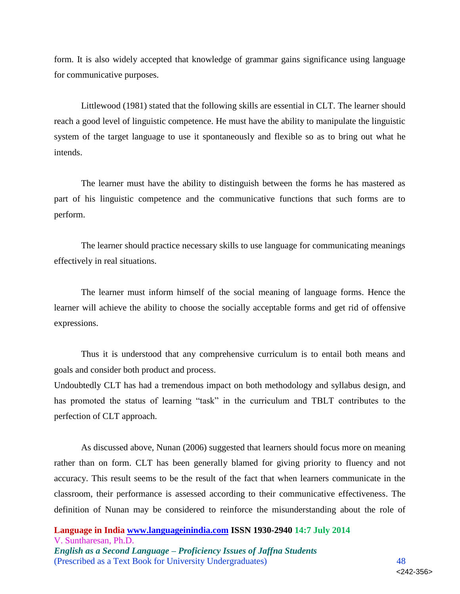form. It is also widely accepted that knowledge of grammar gains significance using language for communicative purposes.

Littlewood (1981) stated that the following skills are essential in CLT. The learner should reach a good level of linguistic competence. He must have the ability to manipulate the linguistic system of the target language to use it spontaneously and flexible so as to bring out what he intends.

The learner must have the ability to distinguish between the forms he has mastered as part of his linguistic competence and the communicative functions that such forms are to perform.

The learner should practice necessary skills to use language for communicating meanings effectively in real situations.

The learner must inform himself of the social meaning of language forms. Hence the learner will achieve the ability to choose the socially acceptable forms and get rid of offensive expressions.

Thus it is understood that any comprehensive curriculum is to entail both means and goals and consider both product and process.

Undoubtedly CLT has had a tremendous impact on both methodology and syllabus design, and has promoted the status of learning "task" in the curriculum and TBLT contributes to the perfection of CLT approach.

As discussed above, Nunan (2006) suggested that learners should focus more on meaning rather than on form. CLT has been generally blamed for giving priority to fluency and not accuracy. This result seems to be the result of the fact that when learners communicate in the classroom, their performance is assessed according to their communicative effectiveness. The definition of Nunan may be considered to reinforce the misunderstanding about the role of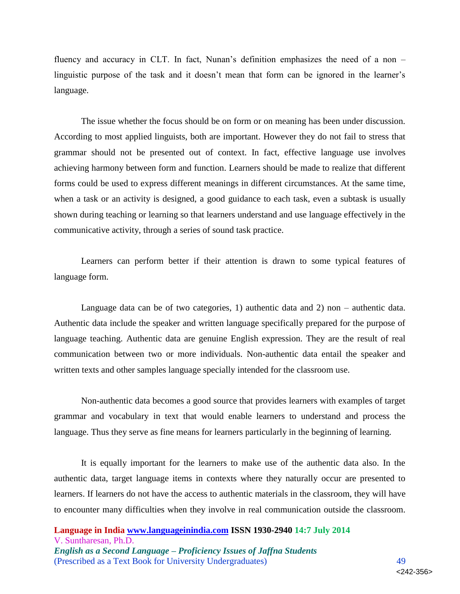fluency and accuracy in CLT. In fact, Nunan's definition emphasizes the need of a non – linguistic purpose of the task and it doesn't mean that form can be ignored in the learner's language.

The issue whether the focus should be on form or on meaning has been under discussion. According to most applied linguists, both are important. However they do not fail to stress that grammar should not be presented out of context. In fact, effective language use involves achieving harmony between form and function. Learners should be made to realize that different forms could be used to express different meanings in different circumstances. At the same time, when a task or an activity is designed, a good guidance to each task, even a subtask is usually shown during teaching or learning so that learners understand and use language effectively in the communicative activity, through a series of sound task practice.

Learners can perform better if their attention is drawn to some typical features of language form.

Language data can be of two categories, 1) authentic data and 2) non – authentic data. Authentic data include the speaker and written language specifically prepared for the purpose of language teaching. Authentic data are genuine English expression. They are the result of real communication between two or more individuals. Non-authentic data entail the speaker and written texts and other samples language specially intended for the classroom use.

Non-authentic data becomes a good source that provides learners with examples of target grammar and vocabulary in text that would enable learners to understand and process the language. Thus they serve as fine means for learners particularly in the beginning of learning.

It is equally important for the learners to make use of the authentic data also. In the authentic data, target language items in contexts where they naturally occur are presented to learners. If learners do not have the access to authentic materials in the classroom, they will have to encounter many difficulties when they involve in real communication outside the classroom.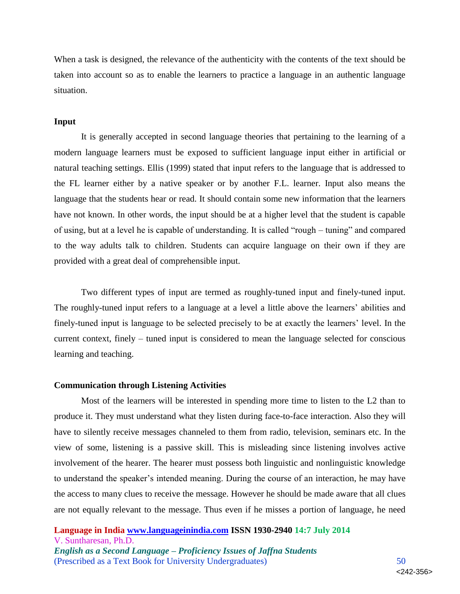When a task is designed, the relevance of the authenticity with the contents of the text should be taken into account so as to enable the learners to practice a language in an authentic language situation.

### **Input**

It is generally accepted in second language theories that pertaining to the learning of a modern language learners must be exposed to sufficient language input either in artificial or natural teaching settings. Ellis (1999) stated that input refers to the language that is addressed to the FL learner either by a native speaker or by another F.L. learner. Input also means the language that the students hear or read. It should contain some new information that the learners have not known. In other words, the input should be at a higher level that the student is capable of using, but at a level he is capable of understanding. It is called "rough – tuning" and compared to the way adults talk to children. Students can acquire language on their own if they are provided with a great deal of comprehensible input.

Two different types of input are termed as roughly-tuned input and finely-tuned input. The roughly-tuned input refers to a language at a level a little above the learners' abilities and finely-tuned input is language to be selected precisely to be at exactly the learners' level. In the current context, finely – tuned input is considered to mean the language selected for conscious learning and teaching.

### **Communication through Listening Activities**

Most of the learners will be interested in spending more time to listen to the L2 than to produce it. They must understand what they listen during face-to-face interaction. Also they will have to silently receive messages channeled to them from radio, television, seminars etc. In the view of some, listening is a passive skill. This is misleading since listening involves active involvement of the hearer. The hearer must possess both linguistic and nonlinguistic knowledge to understand the speaker's intended meaning. During the course of an interaction, he may have the access to many clues to receive the message. However he should be made aware that all clues are not equally relevant to the message. Thus even if he misses a portion of language, he need

**Language in India [www.languageinindia.com](http://www.languageinindia.com/) ISSN 1930-2940 14:7 July 2014** V. Suntharesan, Ph.D. *English as a Second Language – Proficiency Issues of Jaffna Students* (Prescribed as a Text Book for University Undergraduates) 50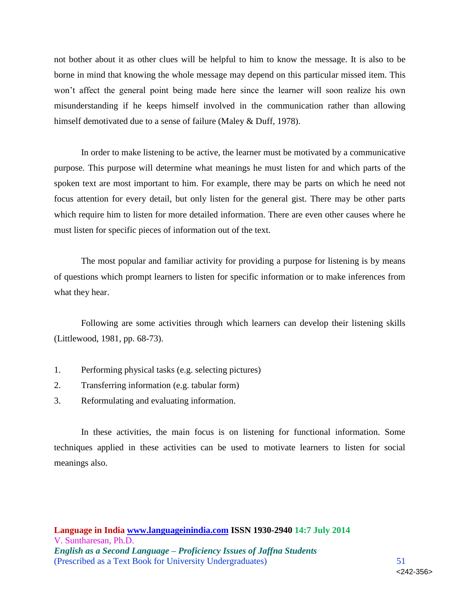not bother about it as other clues will be helpful to him to know the message. It is also to be borne in mind that knowing the whole message may depend on this particular missed item. This won't affect the general point being made here since the learner will soon realize his own misunderstanding if he keeps himself involved in the communication rather than allowing himself demotivated due to a sense of failure (Maley & Duff, 1978).

In order to make listening to be active, the learner must be motivated by a communicative purpose. This purpose will determine what meanings he must listen for and which parts of the spoken text are most important to him. For example, there may be parts on which he need not focus attention for every detail, but only listen for the general gist. There may be other parts which require him to listen for more detailed information. There are even other causes where he must listen for specific pieces of information out of the text.

The most popular and familiar activity for providing a purpose for listening is by means of questions which prompt learners to listen for specific information or to make inferences from what they hear.

Following are some activities through which learners can develop their listening skills (Littlewood, 1981, pp. 68-73).

- 1. Performing physical tasks (e.g. selecting pictures)
- 2. Transferring information (e.g. tabular form)
- 3. Reformulating and evaluating information.

In these activities, the main focus is on listening for functional information. Some techniques applied in these activities can be used to motivate learners to listen for social meanings also.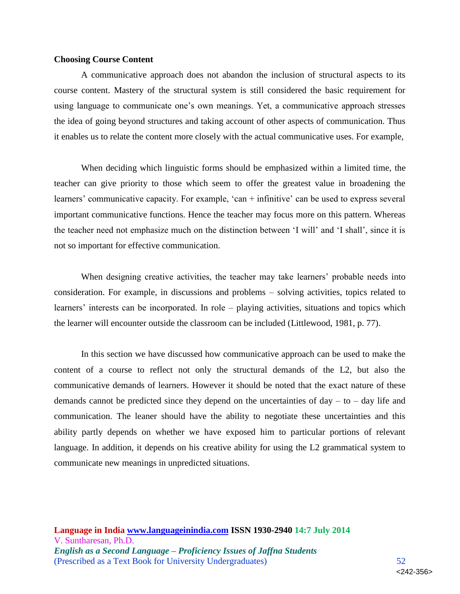### **Choosing Course Content**

A communicative approach does not abandon the inclusion of structural aspects to its course content. Mastery of the structural system is still considered the basic requirement for using language to communicate one's own meanings. Yet, a communicative approach stresses the idea of going beyond structures and taking account of other aspects of communication. Thus it enables us to relate the content more closely with the actual communicative uses. For example,

When deciding which linguistic forms should be emphasized within a limited time, the teacher can give priority to those which seem to offer the greatest value in broadening the learners' communicative capacity. For example, 'can + infinitive' can be used to express several important communicative functions. Hence the teacher may focus more on this pattern. Whereas the teacher need not emphasize much on the distinction between 'I will' and 'I shall', since it is not so important for effective communication.

When designing creative activities, the teacher may take learners' probable needs into consideration. For example, in discussions and problems – solving activities, topics related to learners' interests can be incorporated. In role – playing activities, situations and topics which the learner will encounter outside the classroom can be included (Littlewood, 1981, p. 77).

In this section we have discussed how communicative approach can be used to make the content of a course to reflect not only the structural demands of the L2, but also the communicative demands of learners. However it should be noted that the exact nature of these demands cannot be predicted since they depend on the uncertainties of  $day - to - day$  life and communication. The leaner should have the ability to negotiate these uncertainties and this ability partly depends on whether we have exposed him to particular portions of relevant language. In addition, it depends on his creative ability for using the L2 grammatical system to communicate new meanings in unpredicted situations.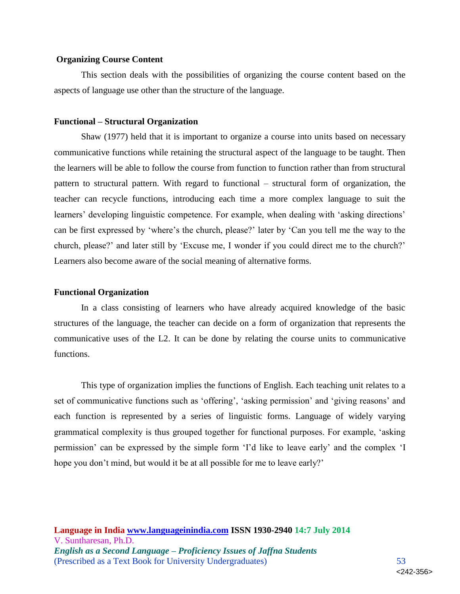## **Organizing Course Content**

This section deals with the possibilities of organizing the course content based on the aspects of language use other than the structure of the language.

### **Functional – Structural Organization**

Shaw (1977) held that it is important to organize a course into units based on necessary communicative functions while retaining the structural aspect of the language to be taught. Then the learners will be able to follow the course from function to function rather than from structural pattern to structural pattern. With regard to functional – structural form of organization, the teacher can recycle functions, introducing each time a more complex language to suit the learners' developing linguistic competence. For example, when dealing with 'asking directions' can be first expressed by 'where's the church, please?' later by 'Can you tell me the way to the church, please?' and later still by 'Excuse me, I wonder if you could direct me to the church?' Learners also become aware of the social meaning of alternative forms.

### **Functional Organization**

In a class consisting of learners who have already acquired knowledge of the basic structures of the language, the teacher can decide on a form of organization that represents the communicative uses of the L2. It can be done by relating the course units to communicative functions.

This type of organization implies the functions of English. Each teaching unit relates to a set of communicative functions such as 'offering', 'asking permission' and 'giving reasons' and each function is represented by a series of linguistic forms. Language of widely varying grammatical complexity is thus grouped together for functional purposes. For example, 'asking permission' can be expressed by the simple form 'I'd like to leave early' and the complex 'I hope you don't mind, but would it be at all possible for me to leave early?'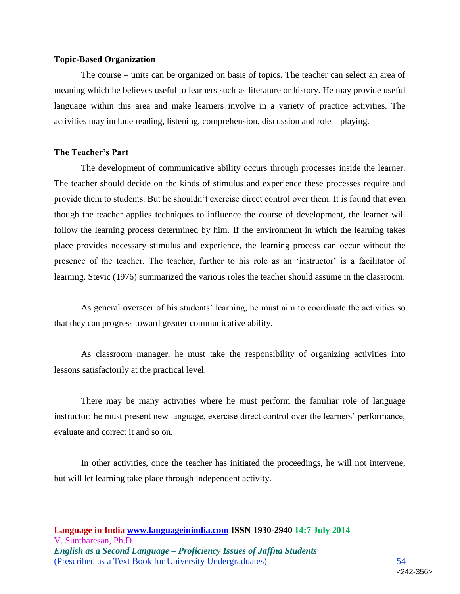### **Topic-Based Organization**

The course – units can be organized on basis of topics. The teacher can select an area of meaning which he believes useful to learners such as literature or history. He may provide useful language within this area and make learners involve in a variety of practice activities. The activities may include reading, listening, comprehension, discussion and role – playing.

### **The Teacher's Part**

The development of communicative ability occurs through processes inside the learner. The teacher should decide on the kinds of stimulus and experience these processes require and provide them to students. But he shouldn't exercise direct control over them. It is found that even though the teacher applies techniques to influence the course of development, the learner will follow the learning process determined by him. If the environment in which the learning takes place provides necessary stimulus and experience, the learning process can occur without the presence of the teacher. The teacher, further to his role as an 'instructor' is a facilitator of learning. Stevic (1976) summarized the various roles the teacher should assume in the classroom.

As general overseer of his students' learning, he must aim to coordinate the activities so that they can progress toward greater communicative ability.

As classroom manager, he must take the responsibility of organizing activities into lessons satisfactorily at the practical level.

There may be many activities where he must perform the familiar role of language instructor: he must present new language, exercise direct control over the learners' performance, evaluate and correct it and so on.

In other activities, once the teacher has initiated the proceedings, he will not intervene, but will let learning take place through independent activity.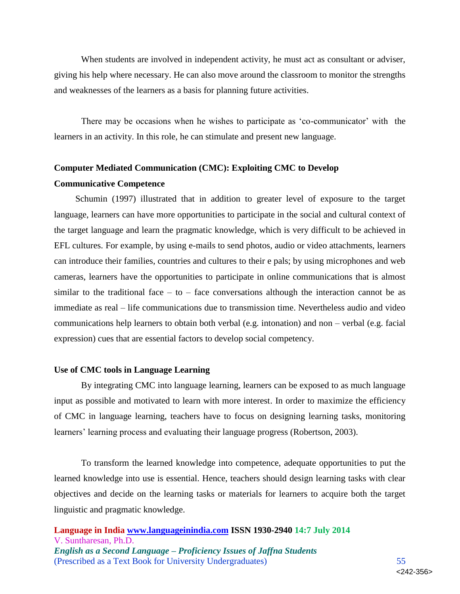When students are involved in independent activity, he must act as consultant or adviser, giving his help where necessary. He can also move around the classroom to monitor the strengths and weaknesses of the learners as a basis for planning future activities.

There may be occasions when he wishes to participate as 'co-communicator' with the learners in an activity. In this role, he can stimulate and present new language.

# **Computer Mediated Communication (CMC): Exploiting CMC to Develop Communicative Competence**

Schumin (1997) illustrated that in addition to greater level of exposure to the target language, learners can have more opportunities to participate in the social and cultural context of the target language and learn the pragmatic knowledge, which is very difficult to be achieved in EFL cultures. For example, by using e-mails to send photos, audio or video attachments, learners can introduce their families, countries and cultures to their e pals; by using microphones and web cameras, learners have the opportunities to participate in online communications that is almost similar to the traditional face  $-$  to  $-$  face conversations although the interaction cannot be as immediate as real – life communications due to transmission time. Nevertheless audio and video communications help learners to obtain both verbal (e.g. intonation) and non – verbal (e.g. facial expression) cues that are essential factors to develop social competency.

### **Use of CMC tools in Language Learning**

By integrating CMC into language learning, learners can be exposed to as much language input as possible and motivated to learn with more interest. In order to maximize the efficiency of CMC in language learning, teachers have to focus on designing learning tasks, monitoring learners' learning process and evaluating their language progress (Robertson, 2003).

To transform the learned knowledge into competence, adequate opportunities to put the learned knowledge into use is essential. Hence, teachers should design learning tasks with clear objectives and decide on the learning tasks or materials for learners to acquire both the target linguistic and pragmatic knowledge.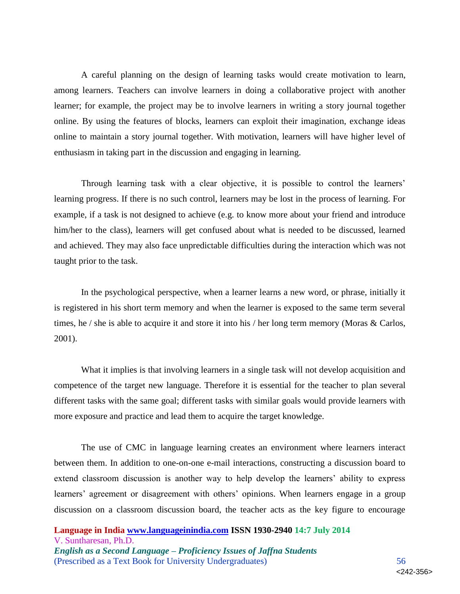A careful planning on the design of learning tasks would create motivation to learn, among learners. Teachers can involve learners in doing a collaborative project with another learner; for example, the project may be to involve learners in writing a story journal together online. By using the features of blocks, learners can exploit their imagination, exchange ideas online to maintain a story journal together. With motivation, learners will have higher level of enthusiasm in taking part in the discussion and engaging in learning.

Through learning task with a clear objective, it is possible to control the learners' learning progress. If there is no such control, learners may be lost in the process of learning. For example, if a task is not designed to achieve (e.g. to know more about your friend and introduce him/her to the class), learners will get confused about what is needed to be discussed, learned and achieved. They may also face unpredictable difficulties during the interaction which was not taught prior to the task.

In the psychological perspective, when a learner learns a new word, or phrase, initially it is registered in his short term memory and when the learner is exposed to the same term several times, he / she is able to acquire it and store it into his / her long term memory (Moras & Carlos, 2001).

What it implies is that involving learners in a single task will not develop acquisition and competence of the target new language. Therefore it is essential for the teacher to plan several different tasks with the same goal; different tasks with similar goals would provide learners with more exposure and practice and lead them to acquire the target knowledge.

The use of CMC in language learning creates an environment where learners interact between them. In addition to one-on-one e-mail interactions, constructing a discussion board to extend classroom discussion is another way to help develop the learners' ability to express learners' agreement or disagreement with others' opinions. When learners engage in a group discussion on a classroom discussion board, the teacher acts as the key figure to encourage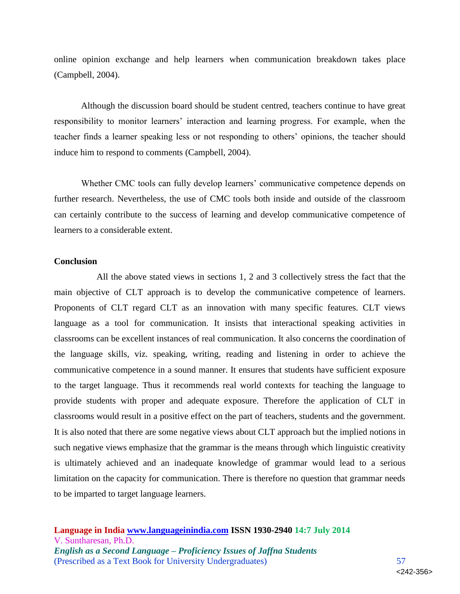online opinion exchange and help learners when communication breakdown takes place (Campbell, 2004).

Although the discussion board should be student centred, teachers continue to have great responsibility to monitor learners' interaction and learning progress. For example, when the teacher finds a learner speaking less or not responding to others' opinions, the teacher should induce him to respond to comments (Campbell, 2004).

Whether CMC tools can fully develop learners' communicative competence depends on further research. Nevertheless, the use of CMC tools both inside and outside of the classroom can certainly contribute to the success of learning and develop communicative competence of learners to a considerable extent.

## **Conclusion**

All the above stated views in sections 1, 2 and 3 collectively stress the fact that the main objective of CLT approach is to develop the communicative competence of learners. Proponents of CLT regard CLT as an innovation with many specific features. CLT views language as a tool for communication. It insists that interactional speaking activities in classrooms can be excellent instances of real communication. It also concerns the coordination of the language skills, viz. speaking, writing, reading and listening in order to achieve the communicative competence in a sound manner. It ensures that students have sufficient exposure to the target language. Thus it recommends real world contexts for teaching the language to provide students with proper and adequate exposure. Therefore the application of CLT in classrooms would result in a positive effect on the part of teachers, students and the government. It is also noted that there are some negative views about CLT approach but the implied notions in such negative views emphasize that the grammar is the means through which linguistic creativity is ultimately achieved and an inadequate knowledge of grammar would lead to a serious limitation on the capacity for communication. There is therefore no question that grammar needs to be imparted to target language learners.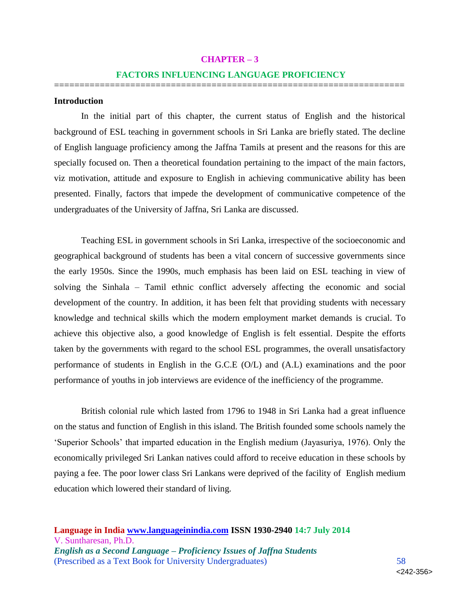# **CHAPTER – 3 FACTORS INFLUENCING LANGUAGE PROFICIENCY** =====================================================================

### **Introduction**

In the initial part of this chapter, the current status of English and the historical background of ESL teaching in government schools in Sri Lanka are briefly stated. The decline of English language proficiency among the Jaffna Tamils at present and the reasons for this are specially focused on. Then a theoretical foundation pertaining to the impact of the main factors, viz motivation, attitude and exposure to English in achieving communicative ability has been presented. Finally, factors that impede the development of communicative competence of the undergraduates of the University of Jaffna, Sri Lanka are discussed.

Teaching ESL in government schools in Sri Lanka, irrespective of the socioeconomic and geographical background of students has been a vital concern of successive governments since the early 1950s. Since the 1990s, much emphasis has been laid on ESL teaching in view of solving the Sinhala – Tamil ethnic conflict adversely affecting the economic and social development of the country. In addition, it has been felt that providing students with necessary knowledge and technical skills which the modern employment market demands is crucial. To achieve this objective also, a good knowledge of English is felt essential. Despite the efforts taken by the governments with regard to the school ESL programmes, the overall unsatisfactory performance of students in English in the G.C.E (O/L) and (A.L) examinations and the poor performance of youths in job interviews are evidence of the inefficiency of the programme.

British colonial rule which lasted from 1796 to 1948 in Sri Lanka had a great influence on the status and function of English in this island. The British founded some schools namely the 'Superior Schools' that imparted education in the English medium (Jayasuriya, 1976). Only the economically privileged Sri Lankan natives could afford to receive education in these schools by paying a fee. The poor lower class Sri Lankans were deprived of the facility of English medium education which lowered their standard of living.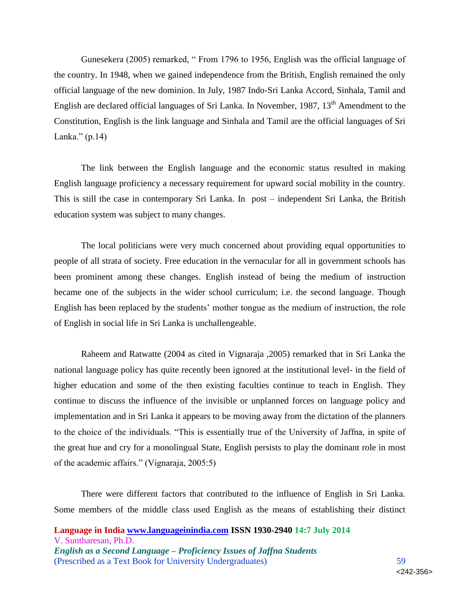Gunesekera (2005) remarked, " From 1796 to 1956, English was the official language of the country. In 1948, when we gained independence from the British, English remained the only official language of the new dominion. In July, 1987 Indo-Sri Lanka Accord, Sinhala, Tamil and English are declared official languages of Sri Lanka. In November, 1987, 13<sup>th</sup> Amendment to the Constitution, English is the link language and Sinhala and Tamil are the official languages of Sri Lanka."  $(p.14)$ 

The link between the English language and the economic status resulted in making English language proficiency a necessary requirement for upward social mobility in the country. This is still the case in contemporary Sri Lanka. In post – independent Sri Lanka, the British education system was subject to many changes.

The local politicians were very much concerned about providing equal opportunities to people of all strata of society. Free education in the vernacular for all in government schools has been prominent among these changes. English instead of being the medium of instruction became one of the subjects in the wider school curriculum; i.e. the second language. Though English has been replaced by the students' mother tongue as the medium of instruction, the role of English in social life in Sri Lanka is unchallengeable.

Raheem and Ratwatte (2004 as cited in Vignaraja ,2005) remarked that in Sri Lanka the national language policy has quite recently been ignored at the institutional level- in the field of higher education and some of the then existing faculties continue to teach in English. They continue to discuss the influence of the invisible or unplanned forces on language policy and implementation and in Sri Lanka it appears to be moving away from the dictation of the planners to the choice of the individuals. "This is essentially true of the University of Jaffna, in spite of the great hue and cry for a monolingual State, English persists to play the dominant role in most of the academic affairs." (Vignaraja, 2005:5)

There were different factors that contributed to the influence of English in Sri Lanka. Some members of the middle class used English as the means of establishing their distinct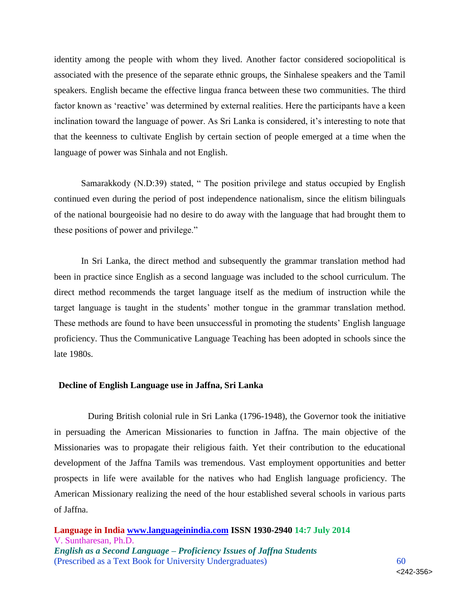identity among the people with whom they lived. Another factor considered sociopolitical is associated with the presence of the separate ethnic groups, the Sinhalese speakers and the Tamil speakers. English became the effective lingua franca between these two communities. The third factor known as 'reactive' was determined by external realities. Here the participants have a keen inclination toward the language of power. As Sri Lanka is considered, it's interesting to note that that the keenness to cultivate English by certain section of people emerged at a time when the language of power was Sinhala and not English.

Samarakkody (N.D:39) stated, " The position privilege and status occupied by English continued even during the period of post independence nationalism, since the elitism bilinguals of the national bourgeoisie had no desire to do away with the language that had brought them to these positions of power and privilege."

In Sri Lanka, the direct method and subsequently the grammar translation method had been in practice since English as a second language was included to the school curriculum. The direct method recommends the target language itself as the medium of instruction while the target language is taught in the students' mother tongue in the grammar translation method. These methods are found to have been unsuccessful in promoting the students' English language proficiency. Thus the Communicative Language Teaching has been adopted in schools since the late 1980s.

### **Decline of English Language use in Jaffna, Sri Lanka**

 During British colonial rule in Sri Lanka (1796-1948), the Governor took the initiative in persuading the American Missionaries to function in Jaffna. The main objective of the Missionaries was to propagate their religious faith. Yet their contribution to the educational development of the Jaffna Tamils was tremendous. Vast employment opportunities and better prospects in life were available for the natives who had English language proficiency. The American Missionary realizing the need of the hour established several schools in various parts of Jaffna.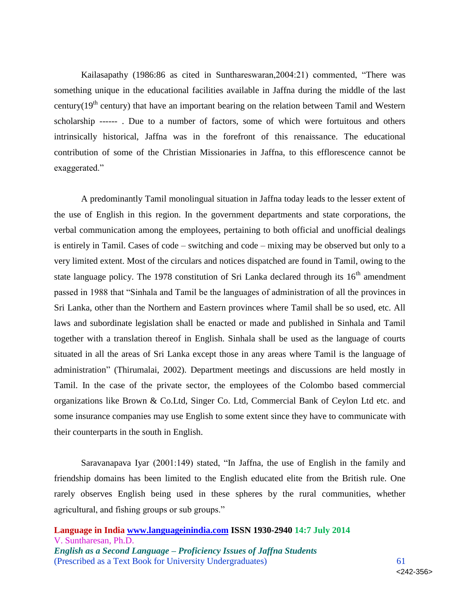Kailasapathy (1986:86 as cited in Sunthareswaran,2004:21) commented, "There was something unique in the educational facilities available in Jaffna during the middle of the last century( $19<sup>th</sup>$  century) that have an important bearing on the relation between Tamil and Western scholarship ------ . Due to a number of factors, some of which were fortuitous and others intrinsically historical, Jaffna was in the forefront of this renaissance. The educational contribution of some of the Christian Missionaries in Jaffna, to this efflorescence cannot be exaggerated."

A predominantly Tamil monolingual situation in Jaffna today leads to the lesser extent of the use of English in this region. In the government departments and state corporations, the verbal communication among the employees, pertaining to both official and unofficial dealings is entirely in Tamil. Cases of code – switching and code – mixing may be observed but only to a very limited extent. Most of the circulars and notices dispatched are found in Tamil, owing to the state language policy. The 1978 constitution of Sri Lanka declared through its  $16<sup>th</sup>$  amendment passed in 1988 that "Sinhala and Tamil be the languages of administration of all the provinces in Sri Lanka, other than the Northern and Eastern provinces where Tamil shall be so used, etc. All laws and subordinate legislation shall be enacted or made and published in Sinhala and Tamil together with a translation thereof in English. Sinhala shall be used as the language of courts situated in all the areas of Sri Lanka except those in any areas where Tamil is the language of administration" (Thirumalai, 2002). Department meetings and discussions are held mostly in Tamil. In the case of the private sector, the employees of the Colombo based commercial organizations like Brown & Co.Ltd, Singer Co. Ltd, Commercial Bank of Ceylon Ltd etc. and some insurance companies may use English to some extent since they have to communicate with their counterparts in the south in English.

Saravanapava Iyar (2001:149) stated, "In Jaffna, the use of English in the family and friendship domains has been limited to the English educated elite from the British rule. One rarely observes English being used in these spheres by the rural communities, whether agricultural, and fishing groups or sub groups."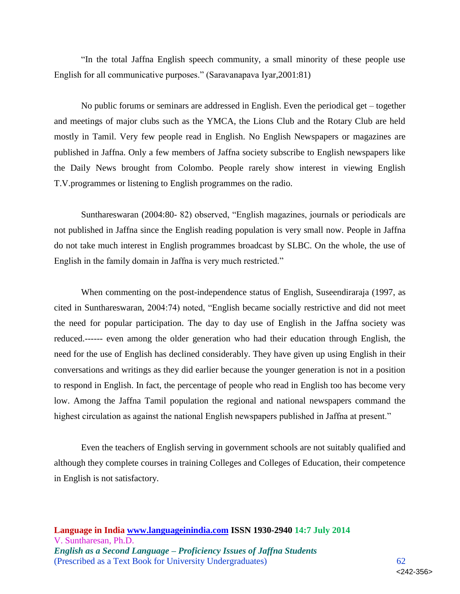"In the total Jaffna English speech community, a small minority of these people use English for all communicative purposes." (Saravanapava Iyar,2001:81)

No public forums or seminars are addressed in English. Even the periodical get – together and meetings of major clubs such as the YMCA, the Lions Club and the Rotary Club are held mostly in Tamil. Very few people read in English. No English Newspapers or magazines are published in Jaffna. Only a few members of Jaffna society subscribe to English newspapers like the Daily News brought from Colombo. People rarely show interest in viewing English T.V.programmes or listening to English programmes on the radio.

Sunthareswaran (2004:80- 82) observed, "English magazines, journals or periodicals are not published in Jaffna since the English reading population is very small now. People in Jaffna do not take much interest in English programmes broadcast by SLBC. On the whole, the use of English in the family domain in Jaffna is very much restricted."

When commenting on the post-independence status of English, Suseendiraraja (1997, as cited in Sunthareswaran, 2004:74) noted, "English became socially restrictive and did not meet the need for popular participation. The day to day use of English in the Jaffna society was reduced.------ even among the older generation who had their education through English, the need for the use of English has declined considerably. They have given up using English in their conversations and writings as they did earlier because the younger generation is not in a position to respond in English. In fact, the percentage of people who read in English too has become very low. Among the Jaffna Tamil population the regional and national newspapers command the highest circulation as against the national English newspapers published in Jaffna at present."

Even the teachers of English serving in government schools are not suitably qualified and although they complete courses in training Colleges and Colleges of Education, their competence in English is not satisfactory.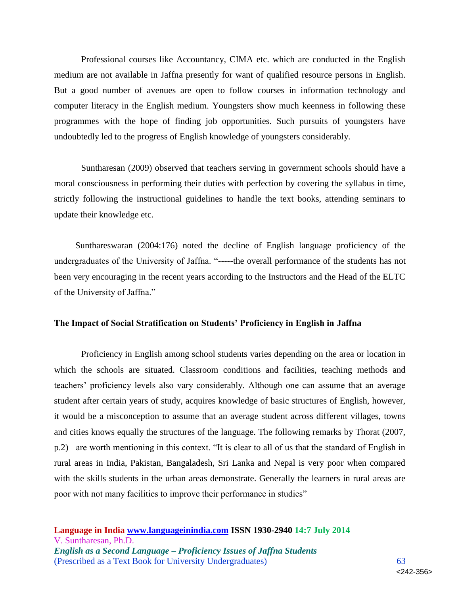Professional courses like Accountancy, CIMA etc. which are conducted in the English medium are not available in Jaffna presently for want of qualified resource persons in English. But a good number of avenues are open to follow courses in information technology and computer literacy in the English medium. Youngsters show much keenness in following these programmes with the hope of finding job opportunities. Such pursuits of youngsters have undoubtedly led to the progress of English knowledge of youngsters considerably.

Suntharesan (2009) observed that teachers serving in government schools should have a moral consciousness in performing their duties with perfection by covering the syllabus in time, strictly following the instructional guidelines to handle the text books, attending seminars to update their knowledge etc.

Sunthareswaran (2004:176) noted the decline of English language proficiency of the undergraduates of the University of Jaffna. "-----the overall performance of the students has not been very encouraging in the recent years according to the Instructors and the Head of the ELTC of the University of Jaffna."

### **The Impact of Social Stratification on Students' Proficiency in English in Jaffna**

Proficiency in English among school students varies depending on the area or location in which the schools are situated. Classroom conditions and facilities, teaching methods and teachers' proficiency levels also vary considerably. Although one can assume that an average student after certain years of study, acquires knowledge of basic structures of English, however, it would be a misconception to assume that an average student across different villages, towns and cities knows equally the structures of the language. The following remarks by Thorat (2007, p.2) are worth mentioning in this context. "It is clear to all of us that the standard of English in rural areas in India, Pakistan, Bangaladesh, Sri Lanka and Nepal is very poor when compared with the skills students in the urban areas demonstrate. Generally the learners in rural areas are poor with not many facilities to improve their performance in studies"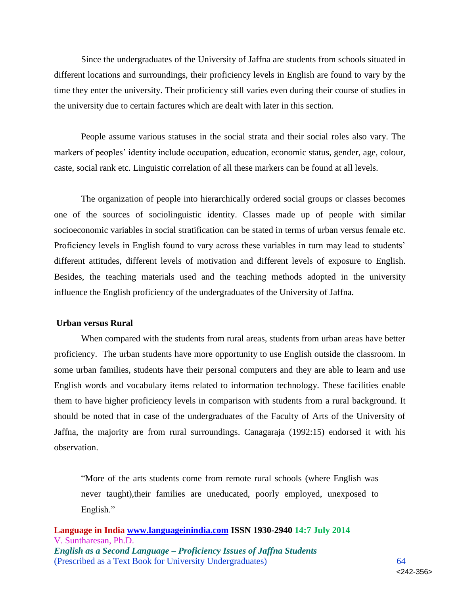Since the undergraduates of the University of Jaffna are students from schools situated in different locations and surroundings, their proficiency levels in English are found to vary by the time they enter the university. Their proficiency still varies even during their course of studies in the university due to certain factures which are dealt with later in this section.

People assume various statuses in the social strata and their social roles also vary. The markers of peoples' identity include occupation, education, economic status, gender, age, colour, caste, social rank etc. Linguistic correlation of all these markers can be found at all levels.

The organization of people into hierarchically ordered social groups or classes becomes one of the sources of sociolinguistic identity. Classes made up of people with similar socioeconomic variables in social stratification can be stated in terms of urban versus female etc. Proficiency levels in English found to vary across these variables in turn may lead to students' different attitudes, different levels of motivation and different levels of exposure to English. Besides, the teaching materials used and the teaching methods adopted in the university influence the English proficiency of the undergraduates of the University of Jaffna.

### **Urban versus Rural**

When compared with the students from rural areas, students from urban areas have better proficiency. The urban students have more opportunity to use English outside the classroom. In some urban families, students have their personal computers and they are able to learn and use English words and vocabulary items related to information technology. These facilities enable them to have higher proficiency levels in comparison with students from a rural background. It should be noted that in case of the undergraduates of the Faculty of Arts of the University of Jaffna, the majority are from rural surroundings. Canagaraja (1992:15) endorsed it with his observation.

"More of the arts students come from remote rural schools (where English was never taught),their families are uneducated, poorly employed, unexposed to English."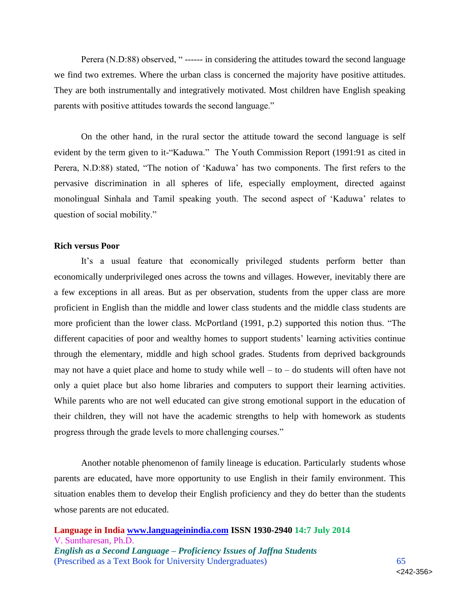Perera (N.D:88) observed, " ------ in considering the attitudes toward the second language we find two extremes. Where the urban class is concerned the majority have positive attitudes. They are both instrumentally and integratively motivated. Most children have English speaking parents with positive attitudes towards the second language."

On the other hand, in the rural sector the attitude toward the second language is self evident by the term given to it-"Kaduwa." The Youth Commission Report (1991:91 as cited in Perera, N.D:88) stated, "The notion of 'Kaduwa' has two components. The first refers to the pervasive discrimination in all spheres of life, especially employment, directed against monolingual Sinhala and Tamil speaking youth. The second aspect of 'Kaduwa' relates to question of social mobility."

#### **Rich versus Poor**

It's a usual feature that economically privileged students perform better than economically underprivileged ones across the towns and villages. However, inevitably there are a few exceptions in all areas. But as per observation, students from the upper class are more proficient in English than the middle and lower class students and the middle class students are more proficient than the lower class. McPortland (1991, p.2) supported this notion thus. "The different capacities of poor and wealthy homes to support students' learning activities continue through the elementary, middle and high school grades. Students from deprived backgrounds may not have a quiet place and home to study while well  $-$  to  $-$  do students will often have not only a quiet place but also home libraries and computers to support their learning activities. While parents who are not well educated can give strong emotional support in the education of their children, they will not have the academic strengths to help with homework as students progress through the grade levels to more challenging courses."

Another notable phenomenon of family lineage is education. Particularly students whose parents are educated, have more opportunity to use English in their family environment. This situation enables them to develop their English proficiency and they do better than the students whose parents are not educated.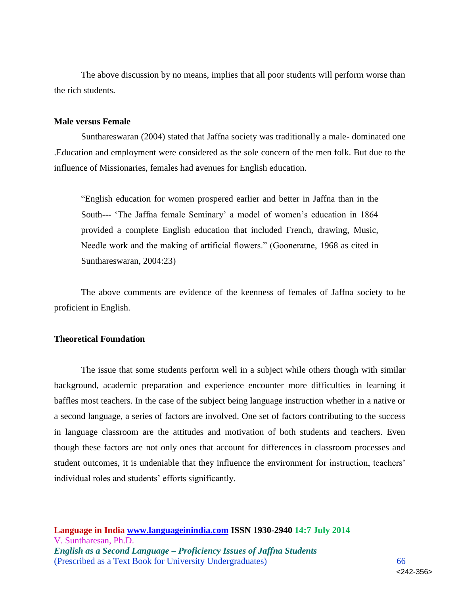The above discussion by no means, implies that all poor students will perform worse than the rich students.

### **Male versus Female**

Sunthareswaran (2004) stated that Jaffna society was traditionally a male- dominated one .Education and employment were considered as the sole concern of the men folk. But due to the influence of Missionaries, females had avenues for English education.

"English education for women prospered earlier and better in Jaffna than in the South--- 'The Jaffna female Seminary' a model of women's education in 1864 provided a complete English education that included French, drawing, Music, Needle work and the making of artificial flowers." (Gooneratne, 1968 as cited in Sunthareswaran, 2004:23)

The above comments are evidence of the keenness of females of Jaffna society to be proficient in English.

# **Theoretical Foundation**

The issue that some students perform well in a subject while others though with similar background, academic preparation and experience encounter more difficulties in learning it baffles most teachers. In the case of the subject being language instruction whether in a native or a second language, a series of factors are involved. One set of factors contributing to the success in language classroom are the attitudes and motivation of both students and teachers. Even though these factors are not only ones that account for differences in classroom processes and student outcomes, it is undeniable that they influence the environment for instruction, teachers' individual roles and students' efforts significantly.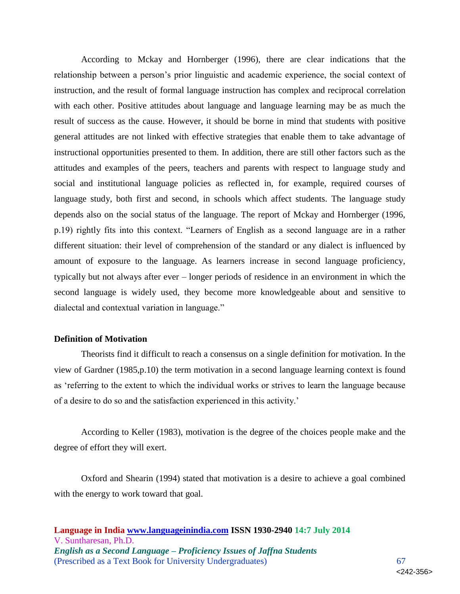According to Mckay and Hornberger (1996), there are clear indications that the relationship between a person's prior linguistic and academic experience, the social context of instruction, and the result of formal language instruction has complex and reciprocal correlation with each other. Positive attitudes about language and language learning may be as much the result of success as the cause. However, it should be borne in mind that students with positive general attitudes are not linked with effective strategies that enable them to take advantage of instructional opportunities presented to them. In addition, there are still other factors such as the attitudes and examples of the peers, teachers and parents with respect to language study and social and institutional language policies as reflected in, for example, required courses of language study, both first and second, in schools which affect students. The language study depends also on the social status of the language. The report of Mckay and Hornberger (1996, p.19) rightly fits into this context. "Learners of English as a second language are in a rather different situation: their level of comprehension of the standard or any dialect is influenced by amount of exposure to the language. As learners increase in second language proficiency, typically but not always after ever – longer periods of residence in an environment in which the second language is widely used, they become more knowledgeable about and sensitive to dialectal and contextual variation in language."

# **Definition of Motivation**

Theorists find it difficult to reach a consensus on a single definition for motivation. In the view of Gardner (1985,p.10) the term motivation in a second language learning context is found as 'referring to the extent to which the individual works or strives to learn the language because of a desire to do so and the satisfaction experienced in this activity.'

According to Keller (1983), motivation is the degree of the choices people make and the degree of effort they will exert.

Oxford and Shearin (1994) stated that motivation is a desire to achieve a goal combined with the energy to work toward that goal.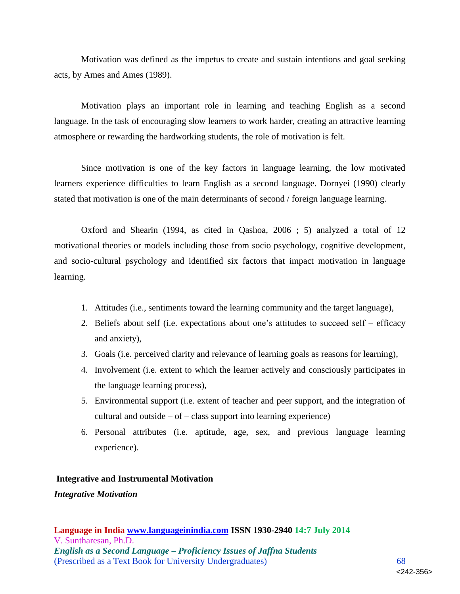Motivation was defined as the impetus to create and sustain intentions and goal seeking acts, by Ames and Ames (1989).

Motivation plays an important role in learning and teaching English as a second language. In the task of encouraging slow learners to work harder, creating an attractive learning atmosphere or rewarding the hardworking students, the role of motivation is felt.

Since motivation is one of the key factors in language learning, the low motivated learners experience difficulties to learn English as a second language. Dornyei (1990) clearly stated that motivation is one of the main determinants of second / foreign language learning.

Oxford and Shearin (1994, as cited in Qashoa, 2006 ; 5) analyzed a total of 12 motivational theories or models including those from socio psychology, cognitive development, and socio-cultural psychology and identified six factors that impact motivation in language learning.

- 1. Attitudes (i.e., sentiments toward the learning community and the target language),
- 2. Beliefs about self (i.e. expectations about one's attitudes to succeed self efficacy and anxiety),
- 3. Goals (i.e. perceived clarity and relevance of learning goals as reasons for learning),
- 4. Involvement (i.e. extent to which the learner actively and consciously participates in the language learning process),
- 5. Environmental support (i.e. extent of teacher and peer support, and the integration of cultural and outside  $-$  of  $-$  class support into learning experience)
- 6. Personal attributes (i.e. aptitude, age, sex, and previous language learning experience).

# **Integrative and Instrumental Motivation**

# *Integrative Motivation*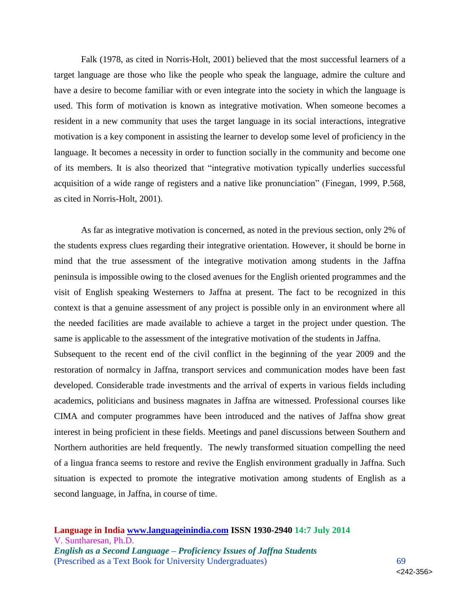Falk (1978, as cited in Norris-Holt, 2001) believed that the most successful learners of a target language are those who like the people who speak the language, admire the culture and have a desire to become familiar with or even integrate into the society in which the language is used. This form of motivation is known as integrative motivation. When someone becomes a resident in a new community that uses the target language in its social interactions, integrative motivation is a key component in assisting the learner to develop some level of proficiency in the language. It becomes a necessity in order to function socially in the community and become one of its members. It is also theorized that "integrative motivation typically underlies successful acquisition of a wide range of registers and a native like pronunciation" (Finegan, 1999, P.568, as cited in Norris-Holt, 2001).

As far as integrative motivation is concerned, as noted in the previous section, only 2% of the students express clues regarding their integrative orientation. However, it should be borne in mind that the true assessment of the integrative motivation among students in the Jaffna peninsula is impossible owing to the closed avenues for the English oriented programmes and the visit of English speaking Westerners to Jaffna at present. The fact to be recognized in this context is that a genuine assessment of any project is possible only in an environment where all the needed facilities are made available to achieve a target in the project under question. The same is applicable to the assessment of the integrative motivation of the students in Jaffna.

Subsequent to the recent end of the civil conflict in the beginning of the year 2009 and the restoration of normalcy in Jaffna, transport services and communication modes have been fast developed. Considerable trade investments and the arrival of experts in various fields including academics, politicians and business magnates in Jaffna are witnessed. Professional courses like CIMA and computer programmes have been introduced and the natives of Jaffna show great interest in being proficient in these fields. Meetings and panel discussions between Southern and Northern authorities are held frequently. The newly transformed situation compelling the need of a lingua franca seems to restore and revive the English environment gradually in Jaffna. Such situation is expected to promote the integrative motivation among students of English as a second language, in Jaffna, in course of time.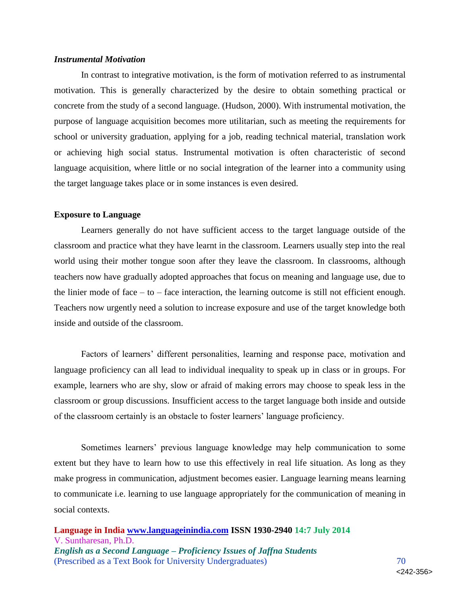### *Instrumental Motivation*

In contrast to integrative motivation, is the form of motivation referred to as instrumental motivation. This is generally characterized by the desire to obtain something practical or concrete from the study of a second language. (Hudson, 2000). With instrumental motivation, the purpose of language acquisition becomes more utilitarian, such as meeting the requirements for school or university graduation, applying for a job, reading technical material, translation work or achieving high social status. Instrumental motivation is often characteristic of second language acquisition, where little or no social integration of the learner into a community using the target language takes place or in some instances is even desired.

### **Exposure to Language**

Learners generally do not have sufficient access to the target language outside of the classroom and practice what they have learnt in the classroom. Learners usually step into the real world using their mother tongue soon after they leave the classroom. In classrooms, although teachers now have gradually adopted approaches that focus on meaning and language use, due to the linier mode of face  $-$  to  $-$  face interaction, the learning outcome is still not efficient enough. Teachers now urgently need a solution to increase exposure and use of the target knowledge both inside and outside of the classroom.

Factors of learners' different personalities, learning and response pace, motivation and language proficiency can all lead to individual inequality to speak up in class or in groups. For example, learners who are shy, slow or afraid of making errors may choose to speak less in the classroom or group discussions. Insufficient access to the target language both inside and outside of the classroom certainly is an obstacle to foster learners' language proficiency.

Sometimes learners' previous language knowledge may help communication to some extent but they have to learn how to use this effectively in real life situation. As long as they make progress in communication, adjustment becomes easier. Language learning means learning to communicate i.e. learning to use language appropriately for the communication of meaning in social contexts.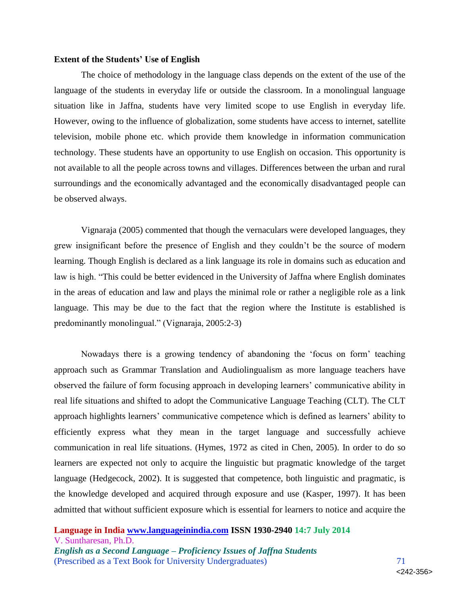### **Extent of the Students' Use of English**

The choice of methodology in the language class depends on the extent of the use of the language of the students in everyday life or outside the classroom. In a monolingual language situation like in Jaffna, students have very limited scope to use English in everyday life. However, owing to the influence of globalization, some students have access to internet, satellite television, mobile phone etc. which provide them knowledge in information communication technology. These students have an opportunity to use English on occasion. This opportunity is not available to all the people across towns and villages. Differences between the urban and rural surroundings and the economically advantaged and the economically disadvantaged people can be observed always.

Vignaraja (2005) commented that though the vernaculars were developed languages, they grew insignificant before the presence of English and they couldn't be the source of modern learning. Though English is declared as a link language its role in domains such as education and law is high. "This could be better evidenced in the University of Jaffna where English dominates in the areas of education and law and plays the minimal role or rather a negligible role as a link language. This may be due to the fact that the region where the Institute is established is predominantly monolingual." (Vignaraja, 2005:2-3)

Nowadays there is a growing tendency of abandoning the 'focus on form' teaching approach such as Grammar Translation and Audiolingualism as more language teachers have observed the failure of form focusing approach in developing learners' communicative ability in real life situations and shifted to adopt the Communicative Language Teaching (CLT). The CLT approach highlights learners' communicative competence which is defined as learners' ability to efficiently express what they mean in the target language and successfully achieve communication in real life situations. (Hymes, 1972 as cited in Chen, 2005). In order to do so learners are expected not only to acquire the linguistic but pragmatic knowledge of the target language (Hedgecock, 2002). It is suggested that competence, both linguistic and pragmatic, is the knowledge developed and acquired through exposure and use (Kasper, 1997). It has been admitted that without sufficient exposure which is essential for learners to notice and acquire the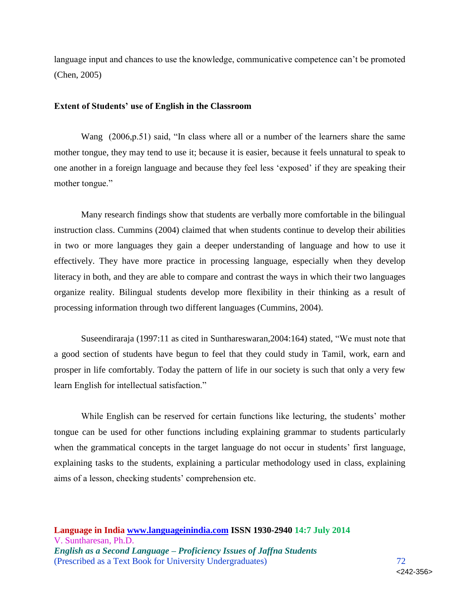language input and chances to use the knowledge, communicative competence can't be promoted (Chen, 2005)

## **Extent of Students' use of English in the Classroom**

Wang (2006,p.51) said, "In class where all or a number of the learners share the same mother tongue, they may tend to use it; because it is easier, because it feels unnatural to speak to one another in a foreign language and because they feel less 'exposed' if they are speaking their mother tongue."

Many research findings show that students are verbally more comfortable in the bilingual instruction class. Cummins (2004) claimed that when students continue to develop their abilities in two or more languages they gain a deeper understanding of language and how to use it effectively. They have more practice in processing language, especially when they develop literacy in both, and they are able to compare and contrast the ways in which their two languages organize reality. Bilingual students develop more flexibility in their thinking as a result of processing information through two different languages (Cummins, 2004).

Suseendiraraja (1997:11 as cited in Sunthareswaran,2004:164) stated, "We must note that a good section of students have begun to feel that they could study in Tamil, work, earn and prosper in life comfortably. Today the pattern of life in our society is such that only a very few learn English for intellectual satisfaction."

 While English can be reserved for certain functions like lecturing, the students' mother tongue can be used for other functions including explaining grammar to students particularly when the grammatical concepts in the target language do not occur in students' first language, explaining tasks to the students, explaining a particular methodology used in class, explaining aims of a lesson, checking students' comprehension etc.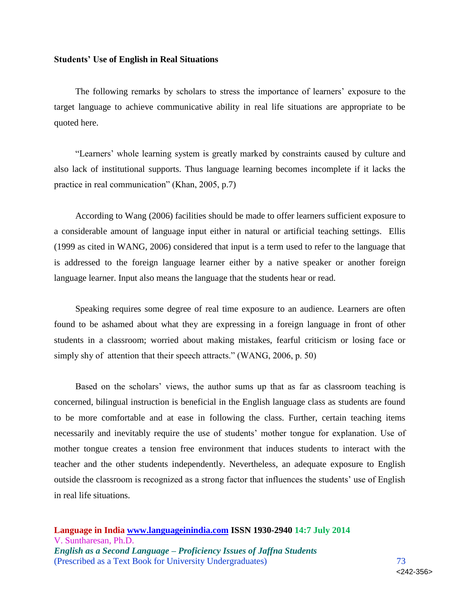#### **Students' Use of English in Real Situations**

The following remarks by scholars to stress the importance of learners' exposure to the target language to achieve communicative ability in real life situations are appropriate to be quoted here.

"Learners' whole learning system is greatly marked by constraints caused by culture and also lack of institutional supports. Thus language learning becomes incomplete if it lacks the practice in real communication" (Khan, 2005, p.7)

According to Wang (2006) facilities should be made to offer learners sufficient exposure to a considerable amount of language input either in natural or artificial teaching settings. Ellis (1999 as cited in WANG, 2006) considered that input is a term used to refer to the language that is addressed to the foreign language learner either by a native speaker or another foreign language learner. Input also means the language that the students hear or read.

Speaking requires some degree of real time exposure to an audience. Learners are often found to be ashamed about what they are expressing in a foreign language in front of other students in a classroom; worried about making mistakes, fearful criticism or losing face or simply shy of attention that their speech attracts." (WANG, 2006, p. 50)

Based on the scholars' views, the author sums up that as far as classroom teaching is concerned, bilingual instruction is beneficial in the English language class as students are found to be more comfortable and at ease in following the class. Further, certain teaching items necessarily and inevitably require the use of students' mother tongue for explanation. Use of mother tongue creates a tension free environment that induces students to interact with the teacher and the other students independently. Nevertheless, an adequate exposure to English outside the classroom is recognized as a strong factor that influences the students' use of English in real life situations.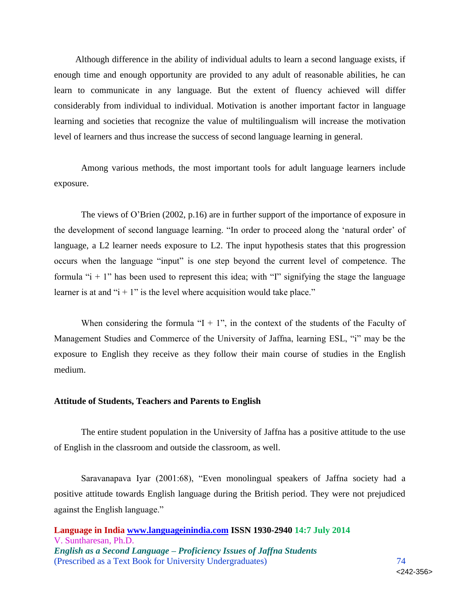Although difference in the ability of individual adults to learn a second language exists, if enough time and enough opportunity are provided to any adult of reasonable abilities, he can learn to communicate in any language. But the extent of fluency achieved will differ considerably from individual to individual. Motivation is another important factor in language learning and societies that recognize the value of multilingualism will increase the motivation level of learners and thus increase the success of second language learning in general.

Among various methods, the most important tools for adult language learners include exposure.

The views of O'Brien (2002, p.16) are in further support of the importance of exposure in the development of second language learning. "In order to proceed along the 'natural order' of language, a L2 learner needs exposure to L2. The input hypothesis states that this progression occurs when the language "input" is one step beyond the current level of competence. The formula " $i + 1$ " has been used to represent this idea; with "I" signifying the stage the language learner is at and " $i + 1$ " is the level where acquisition would take place."

When considering the formula " $I + 1$ ", in the context of the students of the Faculty of Management Studies and Commerce of the University of Jaffna, learning ESL, "i" may be the exposure to English they receive as they follow their main course of studies in the English medium.

#### **Attitude of Students, Teachers and Parents to English**

The entire student population in the University of Jaffna has a positive attitude to the use of English in the classroom and outside the classroom, as well.

Saravanapava Iyar (2001:68), "Even monolingual speakers of Jaffna society had a positive attitude towards English language during the British period. They were not prejudiced against the English language."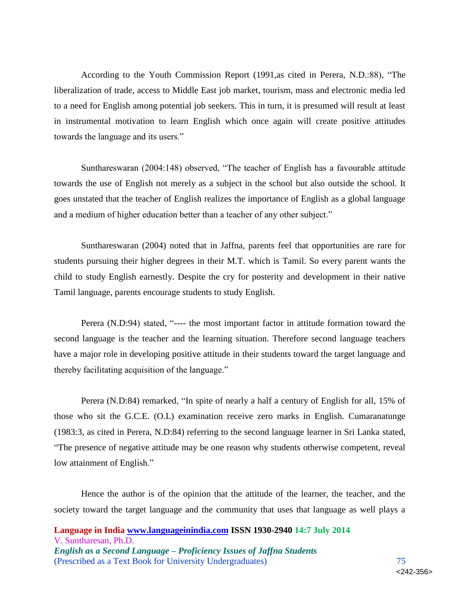According to the Youth Commission Report (1991,as cited in Perera, N.D.:88), "The liberalization of trade, access to Middle East job market, tourism, mass and electronic media led to a need for English among potential job seekers. This in turn, it is presumed will result at least in instrumental motivation to learn English which once again will create positive attitudes towards the language and its users."

Sunthareswaran (2004:148) observed, "The teacher of English has a favourable attitude towards the use of English not merely as a subject in the school but also outside the school. It goes unstated that the teacher of English realizes the importance of English as a global language and a medium of higher education better than a teacher of any other subject."

Sunthareswaran (2004) noted that in Jaffna, parents feel that opportunities are rare for students pursuing their higher degrees in their M.T. which is Tamil. So every parent wants the child to study English earnestly. Despite the cry for posterity and development in their native Tamil language, parents encourage students to study English.

Perera (N.D:94) stated, "---- the most important factor in attitude formation toward the second language is the teacher and the learning situation. Therefore second language teachers have a major role in developing positive attitude in their students toward the target language and thereby facilitating acquisition of the language."

Perera (N.D:84) remarked, "In spite of nearly a half a century of English for all, 15% of those who sit the G.C.E. (O.L) examination receive zero marks in English. Cumaranatunge (1983:3, as cited in Perera, N.D:84) referring to the second language learner in Sri Lanka stated, "The presence of negative attitude may be one reason why students otherwise competent, reveal low attainment of English."

Hence the author is of the opinion that the attitude of the learner, the teacher, and the society toward the target language and the community that uses that language as well plays a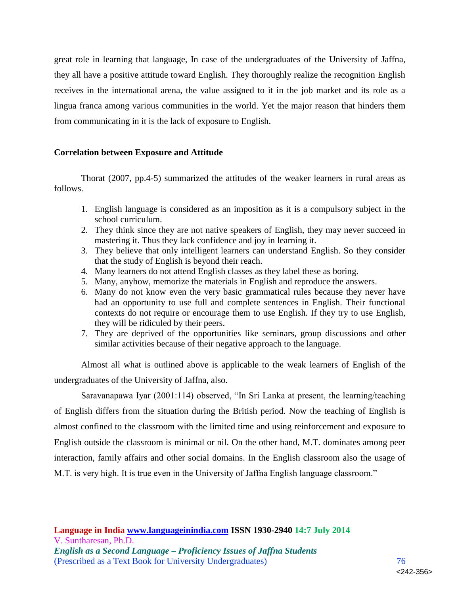great role in learning that language, In case of the undergraduates of the University of Jaffna, they all have a positive attitude toward English. They thoroughly realize the recognition English receives in the international arena, the value assigned to it in the job market and its role as a lingua franca among various communities in the world. Yet the major reason that hinders them from communicating in it is the lack of exposure to English.

## **Correlation between Exposure and Attitude**

Thorat (2007, pp.4-5) summarized the attitudes of the weaker learners in rural areas as follows.

- 1. English language is considered as an imposition as it is a compulsory subject in the school curriculum.
- 2. They think since they are not native speakers of English, they may never succeed in mastering it. Thus they lack confidence and joy in learning it.
- 3. They believe that only intelligent learners can understand English. So they consider that the study of English is beyond their reach.
- 4. Many learners do not attend English classes as they label these as boring.
- 5. Many, anyhow, memorize the materials in English and reproduce the answers.
- 6. Many do not know even the very basic grammatical rules because they never have had an opportunity to use full and complete sentences in English. Their functional contexts do not require or encourage them to use English. If they try to use English, they will be ridiculed by their peers.
- 7. They are deprived of the opportunities like seminars, group discussions and other similar activities because of their negative approach to the language.

Almost all what is outlined above is applicable to the weak learners of English of the undergraduates of the University of Jaffna, also.

Saravanapawa Iyar (2001:114) observed, "In Sri Lanka at present, the learning/teaching of English differs from the situation during the British period. Now the teaching of English is almost confined to the classroom with the limited time and using reinforcement and exposure to English outside the classroom is minimal or nil. On the other hand, M.T. dominates among peer interaction, family affairs and other social domains. In the English classroom also the usage of M.T. is very high. It is true even in the University of Jaffna English language classroom."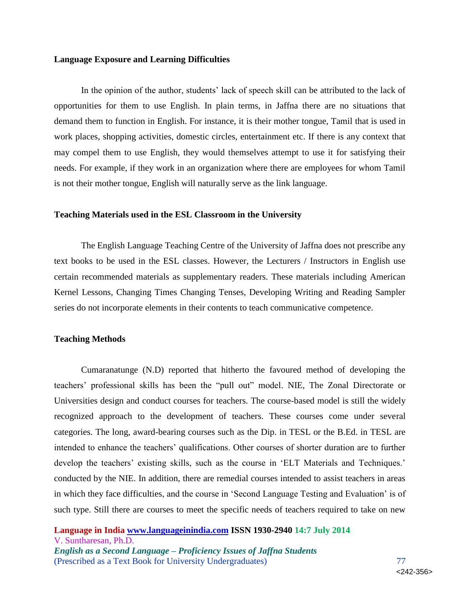# **Language Exposure and Learning Difficulties**

In the opinion of the author, students' lack of speech skill can be attributed to the lack of opportunities for them to use English. In plain terms, in Jaffna there are no situations that demand them to function in English. For instance, it is their mother tongue, Tamil that is used in work places, shopping activities, domestic circles, entertainment etc. If there is any context that may compel them to use English, they would themselves attempt to use it for satisfying their needs. For example, if they work in an organization where there are employees for whom Tamil is not their mother tongue, English will naturally serve as the link language.

#### **Teaching Materials used in the ESL Classroom in the University**

The English Language Teaching Centre of the University of Jaffna does not prescribe any text books to be used in the ESL classes. However, the Lecturers / Instructors in English use certain recommended materials as supplementary readers. These materials including American Kernel Lessons, Changing Times Changing Tenses, Developing Writing and Reading Sampler series do not incorporate elements in their contents to teach communicative competence.

## **Teaching Methods**

Cumaranatunge (N.D) reported that hitherto the favoured method of developing the teachers' professional skills has been the "pull out" model. NIE, The Zonal Directorate or Universities design and conduct courses for teachers. The course-based model is still the widely recognized approach to the development of teachers. These courses come under several categories. The long, award-bearing courses such as the Dip. in TESL or the B.Ed. in TESL are intended to enhance the teachers' qualifications. Other courses of shorter duration are to further develop the teachers' existing skills, such as the course in 'ELT Materials and Techniques.' conducted by the NIE. In addition, there are remedial courses intended to assist teachers in areas in which they face difficulties, and the course in 'Second Language Testing and Evaluation' is of such type. Still there are courses to meet the specific needs of teachers required to take on new

**Language in India [www.languageinindia.com](http://www.languageinindia.com/) ISSN 1930-2940 14:7 July 2014** V. Suntharesan, Ph.D. *English as a Second Language – Proficiency Issues of Jaffna Students* (Prescribed as a Text Book for University Undergraduates) 77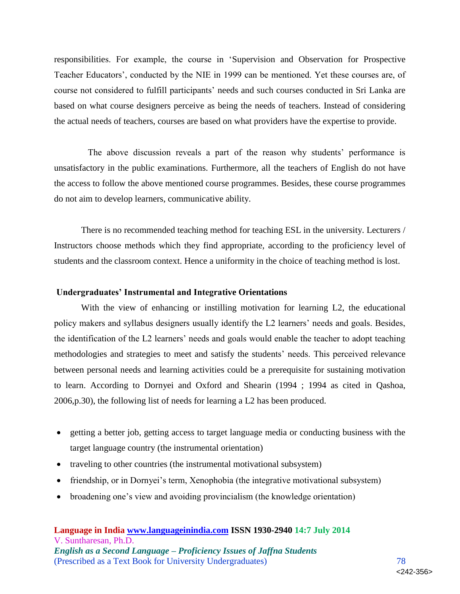responsibilities. For example, the course in 'Supervision and Observation for Prospective Teacher Educators', conducted by the NIE in 1999 can be mentioned. Yet these courses are, of course not considered to fulfill participants' needs and such courses conducted in Sri Lanka are based on what course designers perceive as being the needs of teachers. Instead of considering the actual needs of teachers, courses are based on what providers have the expertise to provide.

 The above discussion reveals a part of the reason why students' performance is unsatisfactory in the public examinations. Furthermore, all the teachers of English do not have the access to follow the above mentioned course programmes. Besides, these course programmes do not aim to develop learners, communicative ability.

There is no recommended teaching method for teaching ESL in the university. Lecturers / Instructors choose methods which they find appropriate, according to the proficiency level of students and the classroom context. Hence a uniformity in the choice of teaching method is lost.

# **Undergraduates' Instrumental and Integrative Orientations**

With the view of enhancing or instilling motivation for learning L2, the educational policy makers and syllabus designers usually identify the L2 learners' needs and goals. Besides, the identification of the L2 learners' needs and goals would enable the teacher to adopt teaching methodologies and strategies to meet and satisfy the students' needs. This perceived relevance between personal needs and learning activities could be a prerequisite for sustaining motivation to learn. According to Dornyei and Oxford and Shearin (1994 ; 1994 as cited in Qashoa, 2006,p.30), the following list of needs for learning a L2 has been produced.

- getting a better job, getting access to target language media or conducting business with the target language country (the instrumental orientation)
- traveling to other countries (the instrumental motivational subsystem)
- friendship, or in Dornyei's term, Xenophobia (the integrative motivational subsystem)
- broadening one's view and avoiding provincialism (the knowledge orientation)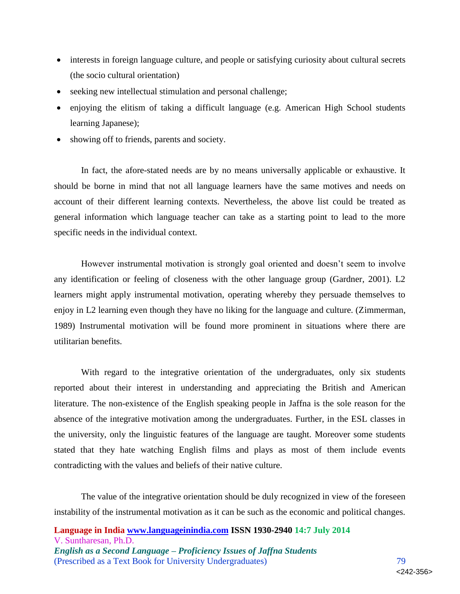- interests in foreign language culture, and people or satisfying curiosity about cultural secrets (the socio cultural orientation)
- seeking new intellectual stimulation and personal challenge;
- enjoying the elitism of taking a difficult language (e.g. American High School students learning Japanese);
- showing off to friends, parents and society.

In fact, the afore-stated needs are by no means universally applicable or exhaustive. It should be borne in mind that not all language learners have the same motives and needs on account of their different learning contexts. Nevertheless, the above list could be treated as general information which language teacher can take as a starting point to lead to the more specific needs in the individual context.

However instrumental motivation is strongly goal oriented and doesn't seem to involve any identification or feeling of closeness with the other language group (Gardner, 2001). L2 learners might apply instrumental motivation, operating whereby they persuade themselves to enjoy in L2 learning even though they have no liking for the language and culture. (Zimmerman, 1989) Instrumental motivation will be found more prominent in situations where there are utilitarian benefits.

With regard to the integrative orientation of the undergraduates, only six students reported about their interest in understanding and appreciating the British and American literature. The non-existence of the English speaking people in Jaffna is the sole reason for the absence of the integrative motivation among the undergraduates. Further, in the ESL classes in the university, only the linguistic features of the language are taught. Moreover some students stated that they hate watching English films and plays as most of them include events contradicting with the values and beliefs of their native culture.

The value of the integrative orientation should be duly recognized in view of the foreseen instability of the instrumental motivation as it can be such as the economic and political changes.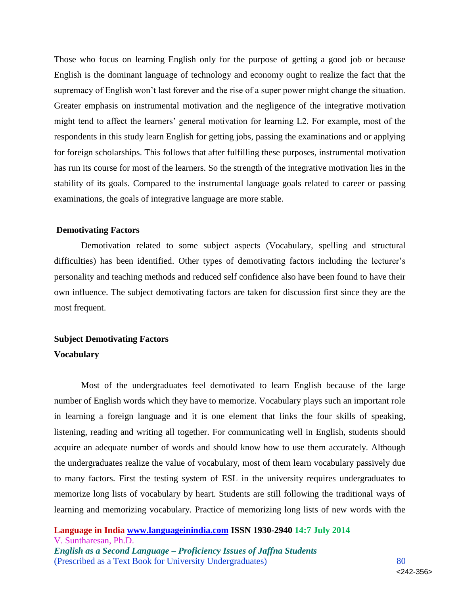Those who focus on learning English only for the purpose of getting a good job or because English is the dominant language of technology and economy ought to realize the fact that the supremacy of English won't last forever and the rise of a super power might change the situation. Greater emphasis on instrumental motivation and the negligence of the integrative motivation might tend to affect the learners' general motivation for learning L2. For example, most of the respondents in this study learn English for getting jobs, passing the examinations and or applying for foreign scholarships. This follows that after fulfilling these purposes, instrumental motivation has run its course for most of the learners. So the strength of the integrative motivation lies in the stability of its goals. Compared to the instrumental language goals related to career or passing examinations, the goals of integrative language are more stable.

#### **Demotivating Factors**

Demotivation related to some subject aspects (Vocabulary, spelling and structural difficulties) has been identified. Other types of demotivating factors including the lecturer's personality and teaching methods and reduced self confidence also have been found to have their own influence. The subject demotivating factors are taken for discussion first since they are the most frequent.

# **Subject Demotivating Factors Vocabulary**

Most of the undergraduates feel demotivated to learn English because of the large number of English words which they have to memorize. Vocabulary plays such an important role in learning a foreign language and it is one element that links the four skills of speaking, listening, reading and writing all together. For communicating well in English, students should acquire an adequate number of words and should know how to use them accurately. Although the undergraduates realize the value of vocabulary, most of them learn vocabulary passively due to many factors. First the testing system of ESL in the university requires undergraduates to memorize long lists of vocabulary by heart. Students are still following the traditional ways of learning and memorizing vocabulary. Practice of memorizing long lists of new words with the

**Language in India [www.languageinindia.com](http://www.languageinindia.com/) ISSN 1930-2940 14:7 July 2014** V. Suntharesan, Ph.D. *English as a Second Language – Proficiency Issues of Jaffna Students* (Prescribed as a Text Book for University Undergraduates) 80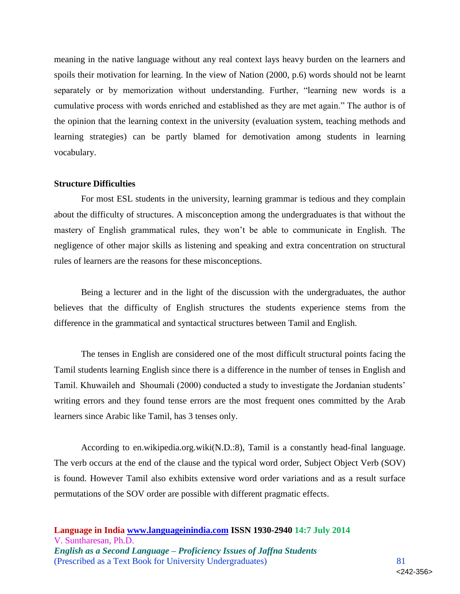meaning in the native language without any real context lays heavy burden on the learners and spoils their motivation for learning. In the view of Nation (2000, p.6) words should not be learnt separately or by memorization without understanding. Further, "learning new words is a cumulative process with words enriched and established as they are met again." The author is of the opinion that the learning context in the university (evaluation system, teaching methods and learning strategies) can be partly blamed for demotivation among students in learning vocabulary.

## **Structure Difficulties**

For most ESL students in the university, learning grammar is tedious and they complain about the difficulty of structures. A misconception among the undergraduates is that without the mastery of English grammatical rules, they won't be able to communicate in English. The negligence of other major skills as listening and speaking and extra concentration on structural rules of learners are the reasons for these misconceptions.

Being a lecturer and in the light of the discussion with the undergraduates, the author believes that the difficulty of English structures the students experience stems from the difference in the grammatical and syntactical structures between Tamil and English.

The tenses in English are considered one of the most difficult structural points facing the Tamil students learning English since there is a difference in the number of tenses in English and Tamil. Khuwaileh and Shoumali (2000) conducted a study to investigate the Jordanian students' writing errors and they found tense errors are the most frequent ones committed by the Arab learners since Arabic like Tamil, has 3 tenses only.

According to en.wikipedia.org.wiki(N.D.:8), Tamil is a constantly head-final language. The verb occurs at the end of the clause and the typical word order, Subject Object Verb (SOV) is found. However Tamil also exhibits extensive word order variations and as a result surface permutations of the SOV order are possible with different pragmatic effects.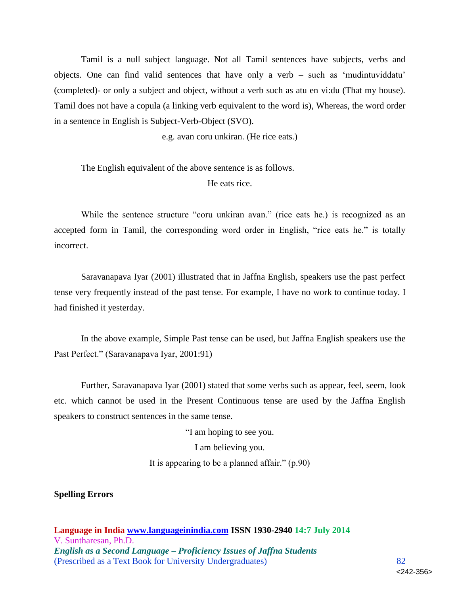Tamil is a null subject language. Not all Tamil sentences have subjects, verbs and objects. One can find valid sentences that have only a verb – such as 'mudintuviddatu' (completed)- or only a subject and object, without a verb such as atu en vi:du (That my house). Tamil does not have a copula (a linking verb equivalent to the word is), Whereas, the word order in a sentence in English is Subject-Verb-Object (SVO).

e.g. avan coru unkiran. (He rice eats.)

The English equivalent of the above sentence is as follows. He eats rice.

While the sentence structure "coru unkiran avan." (rice eats he.) is recognized as an accepted form in Tamil, the corresponding word order in English, "rice eats he." is totally incorrect.

Saravanapava Iyar (2001) illustrated that in Jaffna English, speakers use the past perfect tense very frequently instead of the past tense. For example, I have no work to continue today. I had finished it yesterday.

In the above example, Simple Past tense can be used, but Jaffna English speakers use the Past Perfect." (Saravanapava Iyar, 2001:91)

Further, Saravanapava Iyar (2001) stated that some verbs such as appear, feel, seem, look etc. which cannot be used in the Present Continuous tense are used by the Jaffna English speakers to construct sentences in the same tense.

"I am hoping to see you.

I am believing you.

It is appearing to be a planned affair." (p.90)

# **Spelling Errors**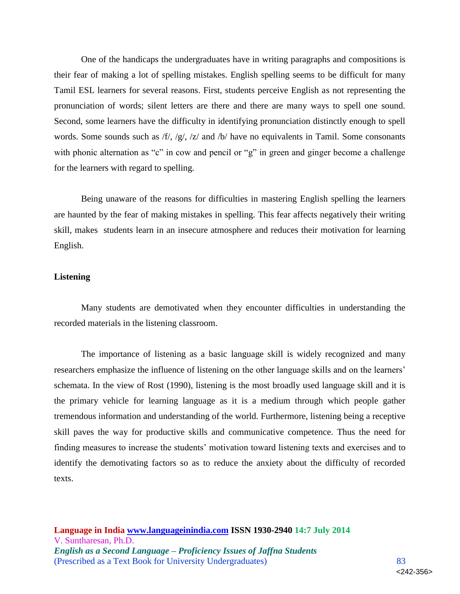One of the handicaps the undergraduates have in writing paragraphs and compositions is their fear of making a lot of spelling mistakes. English spelling seems to be difficult for many Tamil ESL learners for several reasons. First, students perceive English as not representing the pronunciation of words; silent letters are there and there are many ways to spell one sound. Second, some learners have the difficulty in identifying pronunciation distinctly enough to spell words. Some sounds such as  $/f/$ ,  $/g/$ ,  $/z/$  and  $/b/$  have no equivalents in Tamil. Some consonants with phonic alternation as "c" in cow and pencil or "g" in green and ginger become a challenge for the learners with regard to spelling.

Being unaware of the reasons for difficulties in mastering English spelling the learners are haunted by the fear of making mistakes in spelling. This fear affects negatively their writing skill, makes students learn in an insecure atmosphere and reduces their motivation for learning English.

# **Listening**

Many students are demotivated when they encounter difficulties in understanding the recorded materials in the listening classroom.

The importance of listening as a basic language skill is widely recognized and many researchers emphasize the influence of listening on the other language skills and on the learners' schemata. In the view of Rost (1990), listening is the most broadly used language skill and it is the primary vehicle for learning language as it is a medium through which people gather tremendous information and understanding of the world. Furthermore, listening being a receptive skill paves the way for productive skills and communicative competence. Thus the need for finding measures to increase the students' motivation toward listening texts and exercises and to identify the demotivating factors so as to reduce the anxiety about the difficulty of recorded texts.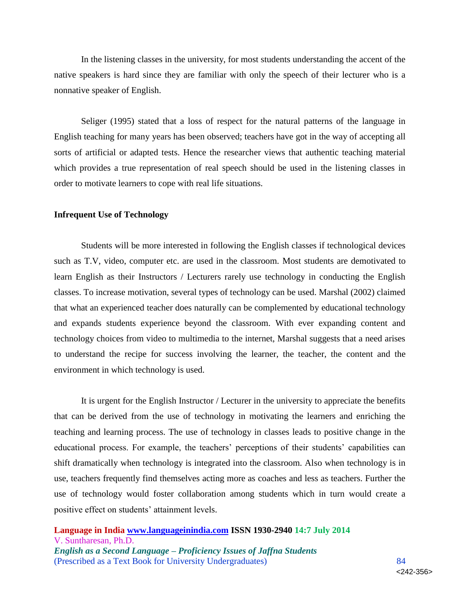In the listening classes in the university, for most students understanding the accent of the native speakers is hard since they are familiar with only the speech of their lecturer who is a nonnative speaker of English.

Seliger (1995) stated that a loss of respect for the natural patterns of the language in English teaching for many years has been observed; teachers have got in the way of accepting all sorts of artificial or adapted tests. Hence the researcher views that authentic teaching material which provides a true representation of real speech should be used in the listening classes in order to motivate learners to cope with real life situations.

#### **Infrequent Use of Technology**

Students will be more interested in following the English classes if technological devices such as T.V, video, computer etc. are used in the classroom. Most students are demotivated to learn English as their Instructors / Lecturers rarely use technology in conducting the English classes. To increase motivation, several types of technology can be used. Marshal (2002) claimed that what an experienced teacher does naturally can be complemented by educational technology and expands students experience beyond the classroom. With ever expanding content and technology choices from video to multimedia to the internet, Marshal suggests that a need arises to understand the recipe for success involving the learner, the teacher, the content and the environment in which technology is used.

It is urgent for the English Instructor / Lecturer in the university to appreciate the benefits that can be derived from the use of technology in motivating the learners and enriching the teaching and learning process. The use of technology in classes leads to positive change in the educational process. For example, the teachers' perceptions of their students' capabilities can shift dramatically when technology is integrated into the classroom. Also when technology is in use, teachers frequently find themselves acting more as coaches and less as teachers. Further the use of technology would foster collaboration among students which in turn would create a positive effect on students' attainment levels.

**Language in India [www.languageinindia.com](http://www.languageinindia.com/) ISSN 1930-2940 14:7 July 2014** V. Suntharesan, Ph.D. *English as a Second Language – Proficiency Issues of Jaffna Students* (Prescribed as a Text Book for University Undergraduates) 84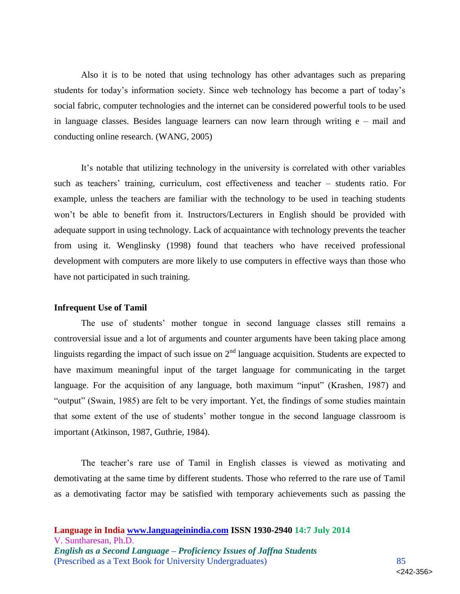Also it is to be noted that using technology has other advantages such as preparing students for today's information society. Since web technology has become a part of today's social fabric, computer technologies and the internet can be considered powerful tools to be used in language classes. Besides language learners can now learn through writing e – mail and conducting online research. (WANG, 2005)

It's notable that utilizing technology in the university is correlated with other variables such as teachers' training, curriculum, cost effectiveness and teacher – students ratio. For example, unless the teachers are familiar with the technology to be used in teaching students won't be able to benefit from it. Instructors/Lecturers in English should be provided with adequate support in using technology. Lack of acquaintance with technology prevents the teacher from using it. Wenglinsky (1998) found that teachers who have received professional development with computers are more likely to use computers in effective ways than those who have not participated in such training.

## **Infrequent Use of Tamil**

The use of students' mother tongue in second language classes still remains a controversial issue and a lot of arguments and counter arguments have been taking place among linguists regarding the impact of such issue on  $2<sup>nd</sup>$  language acquisition. Students are expected to have maximum meaningful input of the target language for communicating in the target language. For the acquisition of any language, both maximum "input" (Krashen, 1987) and "output" (Swain, 1985) are felt to be very important. Yet, the findings of some studies maintain that some extent of the use of students' mother tongue in the second language classroom is important (Atkinson, 1987, Guthrie, 1984).

The teacher's rare use of Tamil in English classes is viewed as motivating and demotivating at the same time by different students. Those who referred to the rare use of Tamil as a demotivating factor may be satisfied with temporary achievements such as passing the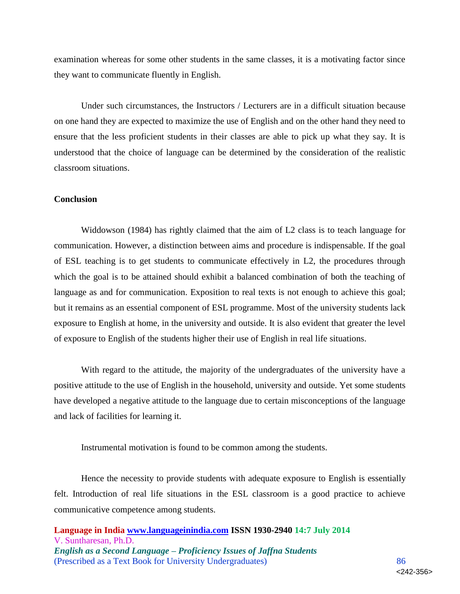examination whereas for some other students in the same classes, it is a motivating factor since they want to communicate fluently in English.

Under such circumstances, the Instructors / Lecturers are in a difficult situation because on one hand they are expected to maximize the use of English and on the other hand they need to ensure that the less proficient students in their classes are able to pick up what they say. It is understood that the choice of language can be determined by the consideration of the realistic classroom situations.

#### **Conclusion**

Widdowson (1984) has rightly claimed that the aim of L2 class is to teach language for communication. However, a distinction between aims and procedure is indispensable. If the goal of ESL teaching is to get students to communicate effectively in L2, the procedures through which the goal is to be attained should exhibit a balanced combination of both the teaching of language as and for communication. Exposition to real texts is not enough to achieve this goal; but it remains as an essential component of ESL programme. Most of the university students lack exposure to English at home, in the university and outside. It is also evident that greater the level of exposure to English of the students higher their use of English in real life situations.

With regard to the attitude, the majority of the undergraduates of the university have a positive attitude to the use of English in the household, university and outside. Yet some students have developed a negative attitude to the language due to certain misconceptions of the language and lack of facilities for learning it.

Instrumental motivation is found to be common among the students.

Hence the necessity to provide students with adequate exposure to English is essentially felt. Introduction of real life situations in the ESL classroom is a good practice to achieve communicative competence among students.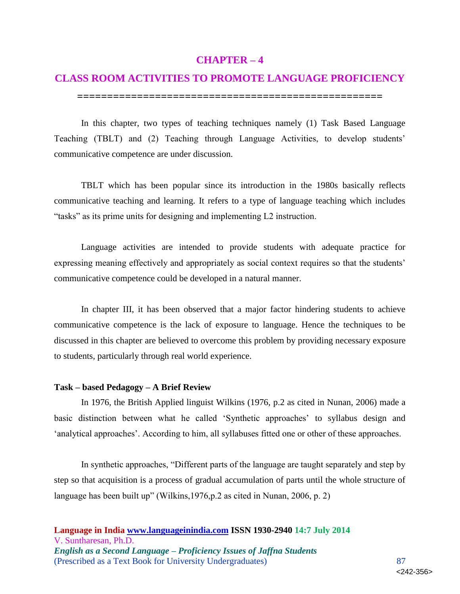# **CHAPTER – 4**

# **CLASS ROOM ACTIVITIES TO PROMOTE LANGUAGE PROFICIENCY**

**===================================================**

In this chapter, two types of teaching techniques namely (1) Task Based Language Teaching (TBLT) and (2) Teaching through Language Activities, to develop students' communicative competence are under discussion.

TBLT which has been popular since its introduction in the 1980s basically reflects communicative teaching and learning. It refers to a type of language teaching which includes "tasks" as its prime units for designing and implementing L2 instruction.

Language activities are intended to provide students with adequate practice for expressing meaning effectively and appropriately as social context requires so that the students' communicative competence could be developed in a natural manner.

In chapter III, it has been observed that a major factor hindering students to achieve communicative competence is the lack of exposure to language. Hence the techniques to be discussed in this chapter are believed to overcome this problem by providing necessary exposure to students, particularly through real world experience.

# **Task – based Pedagogy – A Brief Review**

In 1976, the British Applied linguist Wilkins (1976, p.2 as cited in Nunan, 2006) made a basic distinction between what he called 'Synthetic approaches' to syllabus design and 'analytical approaches'. According to him, all syllabuses fitted one or other of these approaches.

In synthetic approaches, "Different parts of the language are taught separately and step by step so that acquisition is a process of gradual accumulation of parts until the whole structure of language has been built up" (Wilkins, 1976, p. 2 as cited in Nunan, 2006, p. 2)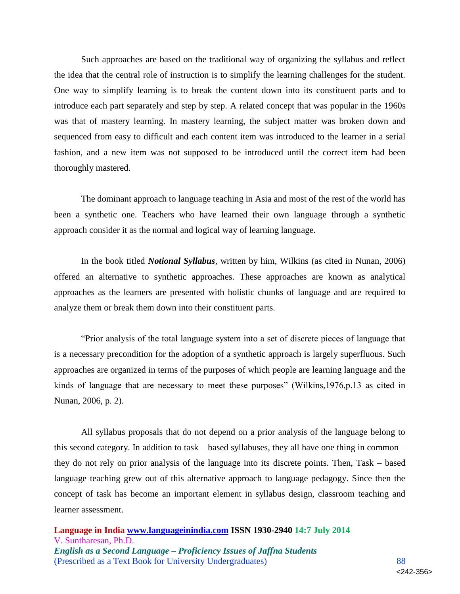Such approaches are based on the traditional way of organizing the syllabus and reflect the idea that the central role of instruction is to simplify the learning challenges for the student. One way to simplify learning is to break the content down into its constituent parts and to introduce each part separately and step by step. A related concept that was popular in the 1960s was that of mastery learning. In mastery learning, the subject matter was broken down and sequenced from easy to difficult and each content item was introduced to the learner in a serial fashion, and a new item was not supposed to be introduced until the correct item had been thoroughly mastered.

The dominant approach to language teaching in Asia and most of the rest of the world has been a synthetic one. Teachers who have learned their own language through a synthetic approach consider it as the normal and logical way of learning language.

In the book titled *Notional Syllabus*, written by him, Wilkins (as cited in Nunan, 2006) offered an alternative to synthetic approaches. These approaches are known as analytical approaches as the learners are presented with holistic chunks of language and are required to analyze them or break them down into their constituent parts.

"Prior analysis of the total language system into a set of discrete pieces of language that is a necessary precondition for the adoption of a synthetic approach is largely superfluous. Such approaches are organized in terms of the purposes of which people are learning language and the kinds of language that are necessary to meet these purposes" (Wilkins,1976,p.13 as cited in Nunan, 2006, p. 2).

All syllabus proposals that do not depend on a prior analysis of the language belong to this second category. In addition to task – based syllabuses, they all have one thing in common – they do not rely on prior analysis of the language into its discrete points. Then, Task – based language teaching grew out of this alternative approach to language pedagogy. Since then the concept of task has become an important element in syllabus design, classroom teaching and learner assessment.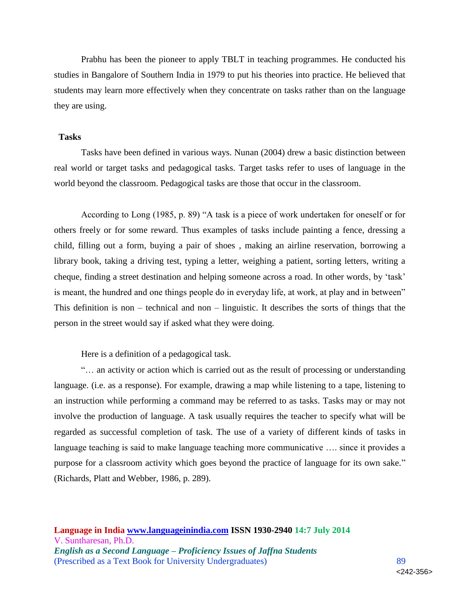Prabhu has been the pioneer to apply TBLT in teaching programmes. He conducted his studies in Bangalore of Southern India in 1979 to put his theories into practice. He believed that students may learn more effectively when they concentrate on tasks rather than on the language they are using.

#### **Tasks**

Tasks have been defined in various ways. Nunan (2004) drew a basic distinction between real world or target tasks and pedagogical tasks. Target tasks refer to uses of language in the world beyond the classroom. Pedagogical tasks are those that occur in the classroom.

According to Long (1985, p. 89) "A task is a piece of work undertaken for oneself or for others freely or for some reward. Thus examples of tasks include painting a fence, dressing a child, filling out a form, buying a pair of shoes , making an airline reservation, borrowing a library book, taking a driving test, typing a letter, weighing a patient, sorting letters, writing a cheque, finding a street destination and helping someone across a road. In other words, by 'task' is meant, the hundred and one things people do in everyday life, at work, at play and in between" This definition is non – technical and non – linguistic. It describes the sorts of things that the person in the street would say if asked what they were doing.

Here is a definition of a pedagogical task.

"… an activity or action which is carried out as the result of processing or understanding language. (i.e. as a response). For example, drawing a map while listening to a tape, listening to an instruction while performing a command may be referred to as tasks. Tasks may or may not involve the production of language. A task usually requires the teacher to specify what will be regarded as successful completion of task. The use of a variety of different kinds of tasks in language teaching is said to make language teaching more communicative …. since it provides a purpose for a classroom activity which goes beyond the practice of language for its own sake." (Richards, Platt and Webber, 1986, p. 289).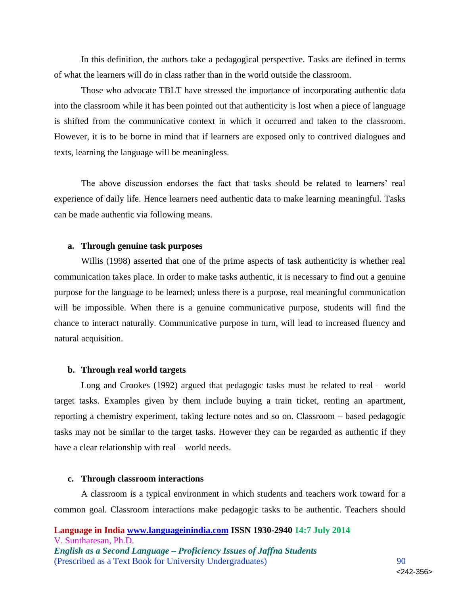In this definition, the authors take a pedagogical perspective. Tasks are defined in terms of what the learners will do in class rather than in the world outside the classroom.

Those who advocate TBLT have stressed the importance of incorporating authentic data into the classroom while it has been pointed out that authenticity is lost when a piece of language is shifted from the communicative context in which it occurred and taken to the classroom. However, it is to be borne in mind that if learners are exposed only to contrived dialogues and texts, learning the language will be meaningless.

The above discussion endorses the fact that tasks should be related to learners' real experience of daily life. Hence learners need authentic data to make learning meaningful. Tasks can be made authentic via following means.

#### **a. Through genuine task purposes**

Willis (1998) asserted that one of the prime aspects of task authenticity is whether real communication takes place. In order to make tasks authentic, it is necessary to find out a genuine purpose for the language to be learned; unless there is a purpose, real meaningful communication will be impossible. When there is a genuine communicative purpose, students will find the chance to interact naturally. Communicative purpose in turn, will lead to increased fluency and natural acquisition.

## **b. Through real world targets**

Long and Crookes (1992) argued that pedagogic tasks must be related to real – world target tasks. Examples given by them include buying a train ticket, renting an apartment, reporting a chemistry experiment, taking lecture notes and so on. Classroom – based pedagogic tasks may not be similar to the target tasks. However they can be regarded as authentic if they have a clear relationship with real – world needs.

## **c. Through classroom interactions**

A classroom is a typical environment in which students and teachers work toward for a common goal. Classroom interactions make pedagogic tasks to be authentic. Teachers should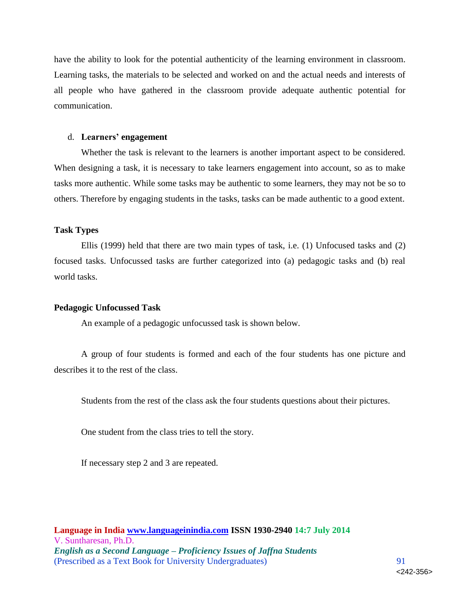have the ability to look for the potential authenticity of the learning environment in classroom. Learning tasks, the materials to be selected and worked on and the actual needs and interests of all people who have gathered in the classroom provide adequate authentic potential for communication.

#### d. **Learners' engagement**

Whether the task is relevant to the learners is another important aspect to be considered. When designing a task, it is necessary to take learners engagement into account, so as to make tasks more authentic. While some tasks may be authentic to some learners, they may not be so to others. Therefore by engaging students in the tasks, tasks can be made authentic to a good extent.

#### **Task Types**

Ellis (1999) held that there are two main types of task, i.e. (1) Unfocused tasks and (2) focused tasks. Unfocussed tasks are further categorized into (a) pedagogic tasks and (b) real world tasks.

#### **Pedagogic Unfocussed Task**

An example of a pedagogic unfocussed task is shown below.

A group of four students is formed and each of the four students has one picture and describes it to the rest of the class.

Students from the rest of the class ask the four students questions about their pictures.

One student from the class tries to tell the story.

If necessary step 2 and 3 are repeated.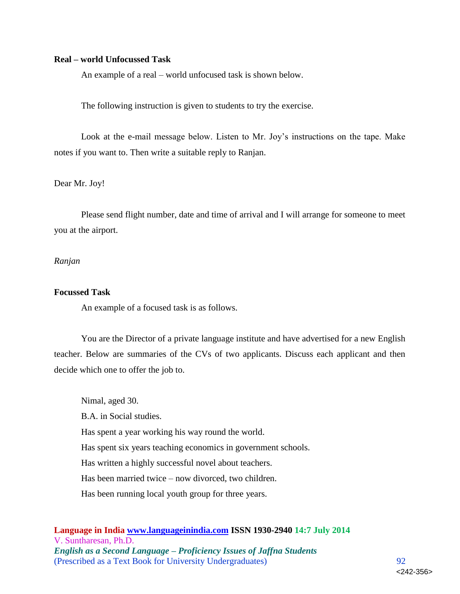## **Real – world Unfocussed Task**

An example of a real – world unfocused task is shown below.

The following instruction is given to students to try the exercise.

Look at the e-mail message below. Listen to Mr. Joy's instructions on the tape. Make notes if you want to. Then write a suitable reply to Ranjan.

Dear Mr. Joy!

Please send flight number, date and time of arrival and I will arrange for someone to meet you at the airport.

*Ranjan*

## **Focussed Task**

An example of a focused task is as follows.

You are the Director of a private language institute and have advertised for a new English teacher. Below are summaries of the CVs of two applicants. Discuss each applicant and then decide which one to offer the job to.

Nimal, aged 30. B.A. in Social studies. Has spent a year working his way round the world. Has spent six years teaching economics in government schools. Has written a highly successful novel about teachers. Has been married twice – now divorced, two children. Has been running local youth group for three years.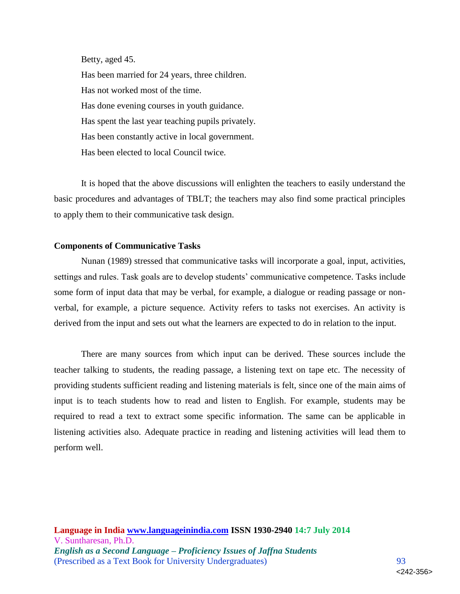Betty, aged 45. Has been married for 24 years, three children. Has not worked most of the time. Has done evening courses in youth guidance. Has spent the last year teaching pupils privately. Has been constantly active in local government. Has been elected to local Council twice.

It is hoped that the above discussions will enlighten the teachers to easily understand the basic procedures and advantages of TBLT; the teachers may also find some practical principles to apply them to their communicative task design.

## **Components of Communicative Tasks**

Nunan (1989) stressed that communicative tasks will incorporate a goal, input, activities, settings and rules. Task goals are to develop students' communicative competence. Tasks include some form of input data that may be verbal, for example, a dialogue or reading passage or nonverbal, for example, a picture sequence. Activity refers to tasks not exercises. An activity is derived from the input and sets out what the learners are expected to do in relation to the input.

There are many sources from which input can be derived. These sources include the teacher talking to students, the reading passage, a listening text on tape etc. The necessity of providing students sufficient reading and listening materials is felt, since one of the main aims of input is to teach students how to read and listen to English. For example, students may be required to read a text to extract some specific information. The same can be applicable in listening activities also. Adequate practice in reading and listening activities will lead them to perform well.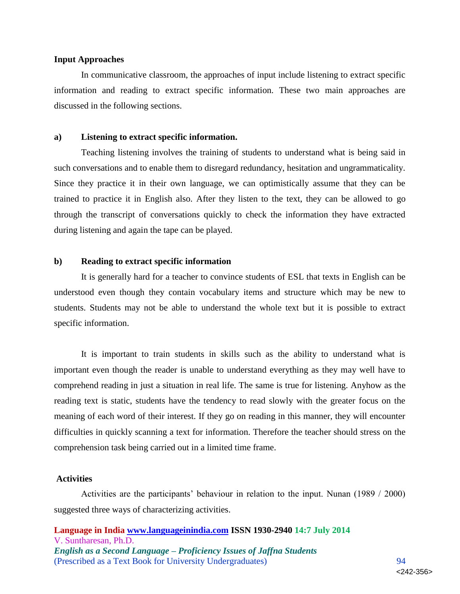## **Input Approaches**

In communicative classroom, the approaches of input include listening to extract specific information and reading to extract specific information. These two main approaches are discussed in the following sections.

# **a) Listening to extract specific information.**

Teaching listening involves the training of students to understand what is being said in such conversations and to enable them to disregard redundancy, hesitation and ungrammaticality. Since they practice it in their own language, we can optimistically assume that they can be trained to practice it in English also. After they listen to the text, they can be allowed to go through the transcript of conversations quickly to check the information they have extracted during listening and again the tape can be played.

# **b) Reading to extract specific information**

It is generally hard for a teacher to convince students of ESL that texts in English can be understood even though they contain vocabulary items and structure which may be new to students. Students may not be able to understand the whole text but it is possible to extract specific information.

It is important to train students in skills such as the ability to understand what is important even though the reader is unable to understand everything as they may well have to comprehend reading in just a situation in real life. The same is true for listening. Anyhow as the reading text is static, students have the tendency to read slowly with the greater focus on the meaning of each word of their interest. If they go on reading in this manner, they will encounter difficulties in quickly scanning a text for information. Therefore the teacher should stress on the comprehension task being carried out in a limited time frame.

# **Activities**

Activities are the participants' behaviour in relation to the input. Nunan (1989 / 2000) suggested three ways of characterizing activities.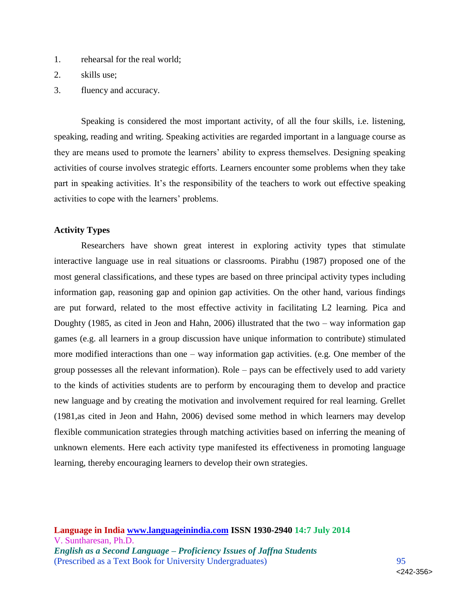- 1. rehearsal for the real world;
- 2. skills use;
- 3. fluency and accuracy.

Speaking is considered the most important activity, of all the four skills, i.e. listening, speaking, reading and writing. Speaking activities are regarded important in a language course as they are means used to promote the learners' ability to express themselves. Designing speaking activities of course involves strategic efforts. Learners encounter some problems when they take part in speaking activities. It's the responsibility of the teachers to work out effective speaking activities to cope with the learners' problems.

## **Activity Types**

Researchers have shown great interest in exploring activity types that stimulate interactive language use in real situations or classrooms. Pirabhu (1987) proposed one of the most general classifications, and these types are based on three principal activity types including information gap, reasoning gap and opinion gap activities. On the other hand, various findings are put forward, related to the most effective activity in facilitating L2 learning. Pica and Doughty (1985, as cited in Jeon and Hahn, 2006) illustrated that the two – way information gap games (e.g. all learners in a group discussion have unique information to contribute) stimulated more modified interactions than one – way information gap activities. (e.g. One member of the group possesses all the relevant information). Role – pays can be effectively used to add variety to the kinds of activities students are to perform by encouraging them to develop and practice new language and by creating the motivation and involvement required for real learning. Grellet (1981,as cited in Jeon and Hahn, 2006) devised some method in which learners may develop flexible communication strategies through matching activities based on inferring the meaning of unknown elements. Here each activity type manifested its effectiveness in promoting language learning, thereby encouraging learners to develop their own strategies.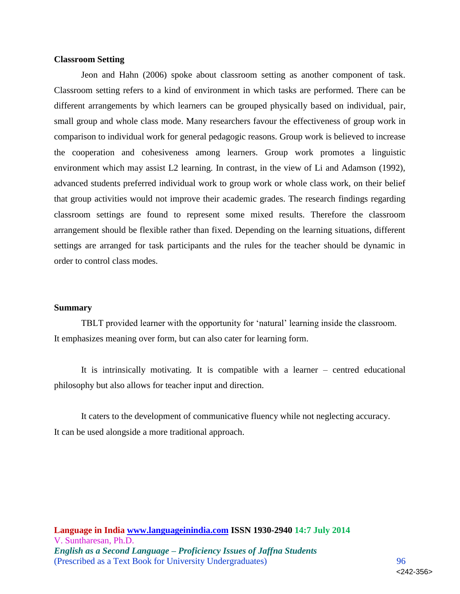#### **Classroom Setting**

Jeon and Hahn (2006) spoke about classroom setting as another component of task. Classroom setting refers to a kind of environment in which tasks are performed. There can be different arrangements by which learners can be grouped physically based on individual, pair, small group and whole class mode. Many researchers favour the effectiveness of group work in comparison to individual work for general pedagogic reasons. Group work is believed to increase the cooperation and cohesiveness among learners. Group work promotes a linguistic environment which may assist L2 learning. In contrast, in the view of Li and Adamson (1992), advanced students preferred individual work to group work or whole class work, on their belief that group activities would not improve their academic grades. The research findings regarding classroom settings are found to represent some mixed results. Therefore the classroom arrangement should be flexible rather than fixed. Depending on the learning situations, different settings are arranged for task participants and the rules for the teacher should be dynamic in order to control class modes.

#### **Summary**

TBLT provided learner with the opportunity for 'natural' learning inside the classroom. It emphasizes meaning over form, but can also cater for learning form.

It is intrinsically motivating. It is compatible with a learner – centred educational philosophy but also allows for teacher input and direction.

It caters to the development of communicative fluency while not neglecting accuracy. It can be used alongside a more traditional approach.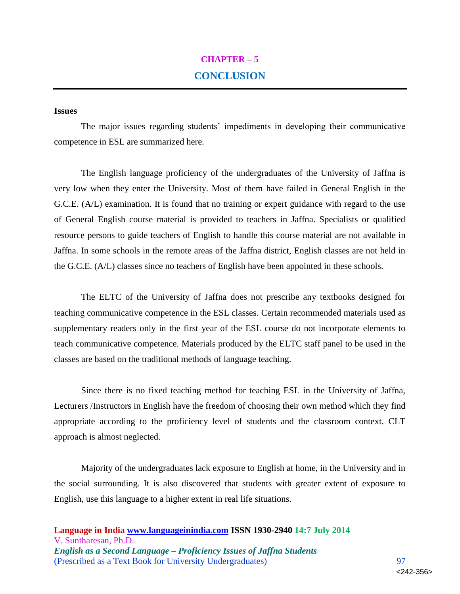# **CHAPTER – 5 CONCLUSION**

# **Issues**

The major issues regarding students' impediments in developing their communicative competence in ESL are summarized here.

The English language proficiency of the undergraduates of the University of Jaffna is very low when they enter the University. Most of them have failed in General English in the G.C.E. (A/L) examination. It is found that no training or expert guidance with regard to the use of General English course material is provided to teachers in Jaffna. Specialists or qualified resource persons to guide teachers of English to handle this course material are not available in Jaffna. In some schools in the remote areas of the Jaffna district, English classes are not held in the G.C.E. (A/L) classes since no teachers of English have been appointed in these schools.

The ELTC of the University of Jaffna does not prescribe any textbooks designed for teaching communicative competence in the ESL classes. Certain recommended materials used as supplementary readers only in the first year of the ESL course do not incorporate elements to teach communicative competence. Materials produced by the ELTC staff panel to be used in the classes are based on the traditional methods of language teaching.

Since there is no fixed teaching method for teaching ESL in the University of Jaffna, Lecturers /Instructors in English have the freedom of choosing their own method which they find appropriate according to the proficiency level of students and the classroom context. CLT approach is almost neglected.

Majority of the undergraduates lack exposure to English at home, in the University and in the social surrounding. It is also discovered that students with greater extent of exposure to English, use this language to a higher extent in real life situations.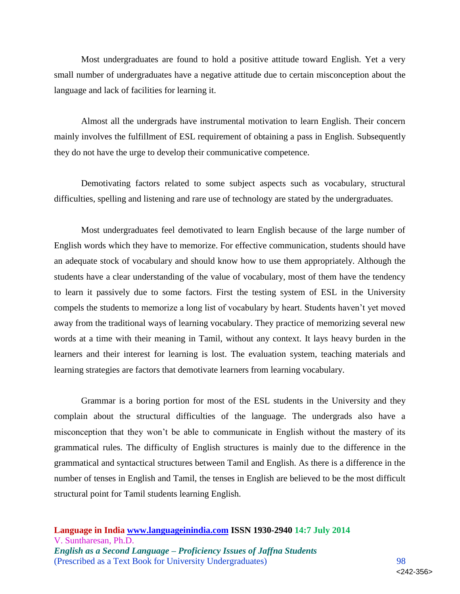Most undergraduates are found to hold a positive attitude toward English. Yet a very small number of undergraduates have a negative attitude due to certain misconception about the language and lack of facilities for learning it.

Almost all the undergrads have instrumental motivation to learn English. Their concern mainly involves the fulfillment of ESL requirement of obtaining a pass in English. Subsequently they do not have the urge to develop their communicative competence.

Demotivating factors related to some subject aspects such as vocabulary, structural difficulties, spelling and listening and rare use of technology are stated by the undergraduates.

Most undergraduates feel demotivated to learn English because of the large number of English words which they have to memorize. For effective communication, students should have an adequate stock of vocabulary and should know how to use them appropriately. Although the students have a clear understanding of the value of vocabulary, most of them have the tendency to learn it passively due to some factors. First the testing system of ESL in the University compels the students to memorize a long list of vocabulary by heart. Students haven't yet moved away from the traditional ways of learning vocabulary. They practice of memorizing several new words at a time with their meaning in Tamil, without any context. It lays heavy burden in the learners and their interest for learning is lost. The evaluation system, teaching materials and learning strategies are factors that demotivate learners from learning vocabulary.

Grammar is a boring portion for most of the ESL students in the University and they complain about the structural difficulties of the language. The undergrads also have a misconception that they won't be able to communicate in English without the mastery of its grammatical rules. The difficulty of English structures is mainly due to the difference in the grammatical and syntactical structures between Tamil and English. As there is a difference in the number of tenses in English and Tamil, the tenses in English are believed to be the most difficult structural point for Tamil students learning English.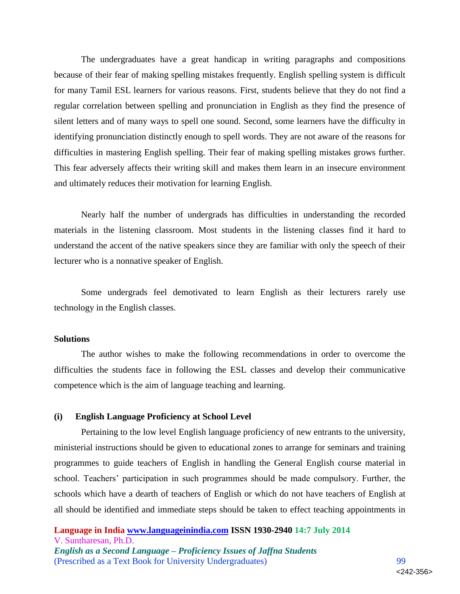The undergraduates have a great handicap in writing paragraphs and compositions because of their fear of making spelling mistakes frequently. English spelling system is difficult for many Tamil ESL learners for various reasons. First, students believe that they do not find a regular correlation between spelling and pronunciation in English as they find the presence of silent letters and of many ways to spell one sound. Second, some learners have the difficulty in identifying pronunciation distinctly enough to spell words. They are not aware of the reasons for difficulties in mastering English spelling. Their fear of making spelling mistakes grows further. This fear adversely affects their writing skill and makes them learn in an insecure environment and ultimately reduces their motivation for learning English.

Nearly half the number of undergrads has difficulties in understanding the recorded materials in the listening classroom. Most students in the listening classes find it hard to understand the accent of the native speakers since they are familiar with only the speech of their lecturer who is a nonnative speaker of English.

Some undergrads feel demotivated to learn English as their lecturers rarely use technology in the English classes.

# **Solutions**

The author wishes to make the following recommendations in order to overcome the difficulties the students face in following the ESL classes and develop their communicative competence which is the aim of language teaching and learning.

## **(i) English Language Proficiency at School Level**

Pertaining to the low level English language proficiency of new entrants to the university, ministerial instructions should be given to educational zones to arrange for seminars and training programmes to guide teachers of English in handling the General English course material in school. Teachers' participation in such programmes should be made compulsory. Further, the schools which have a dearth of teachers of English or which do not have teachers of English at all should be identified and immediate steps should be taken to effect teaching appointments in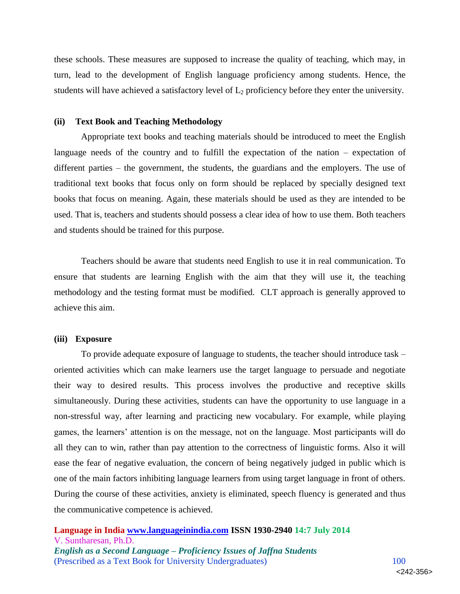these schools. These measures are supposed to increase the quality of teaching, which may, in turn, lead to the development of English language proficiency among students. Hence, the students will have achieved a satisfactory level of  $L_2$  proficiency before they enter the university.

#### **(ii) Text Book and Teaching Methodology**

Appropriate text books and teaching materials should be introduced to meet the English language needs of the country and to fulfill the expectation of the nation – expectation of different parties – the government, the students, the guardians and the employers. The use of traditional text books that focus only on form should be replaced by specially designed text books that focus on meaning. Again, these materials should be used as they are intended to be used. That is, teachers and students should possess a clear idea of how to use them. Both teachers and students should be trained for this purpose.

Teachers should be aware that students need English to use it in real communication. To ensure that students are learning English with the aim that they will use it, the teaching methodology and the testing format must be modified. CLT approach is generally approved to achieve this aim.

## **(iii) Exposure**

To provide adequate exposure of language to students, the teacher should introduce task – oriented activities which can make learners use the target language to persuade and negotiate their way to desired results. This process involves the productive and receptive skills simultaneously. During these activities, students can have the opportunity to use language in a non-stressful way, after learning and practicing new vocabulary. For example, while playing games, the learners' attention is on the message, not on the language. Most participants will do all they can to win, rather than pay attention to the correctness of linguistic forms. Also it will ease the fear of negative evaluation, the concern of being negatively judged in public which is one of the main factors inhibiting language learners from using target language in front of others. During the course of these activities, anxiety is eliminated, speech fluency is generated and thus the communicative competence is achieved.

**Language in India [www.languageinindia.com](http://www.languageinindia.com/) ISSN 1930-2940 14:7 July 2014** V. Suntharesan, Ph.D. *English as a Second Language – Proficiency Issues of Jaffna Students* (Prescribed as a Text Book for University Undergraduates) 100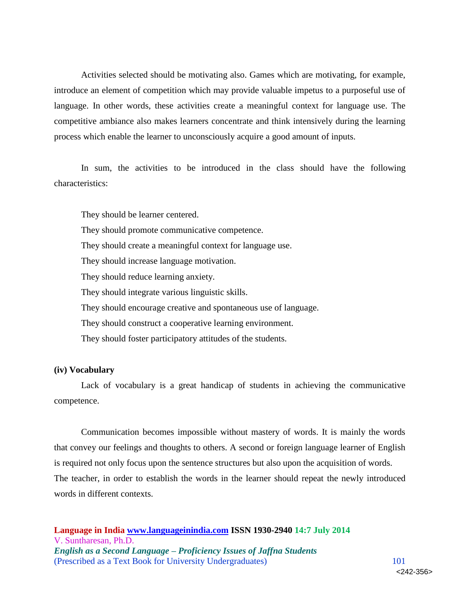Activities selected should be motivating also. Games which are motivating, for example, introduce an element of competition which may provide valuable impetus to a purposeful use of language. In other words, these activities create a meaningful context for language use. The competitive ambiance also makes learners concentrate and think intensively during the learning process which enable the learner to unconsciously acquire a good amount of inputs.

In sum, the activities to be introduced in the class should have the following characteristics:

They should be learner centered. They should promote communicative competence. They should create a meaningful context for language use. They should increase language motivation. They should reduce learning anxiety. They should integrate various linguistic skills. They should encourage creative and spontaneous use of language. They should construct a cooperative learning environment. They should foster participatory attitudes of the students.

## **(iv) Vocabulary**

Lack of vocabulary is a great handicap of students in achieving the communicative competence.

Communication becomes impossible without mastery of words. It is mainly the words that convey our feelings and thoughts to others. A second or foreign language learner of English is required not only focus upon the sentence structures but also upon the acquisition of words. The teacher, in order to establish the words in the learner should repeat the newly introduced words in different contexts.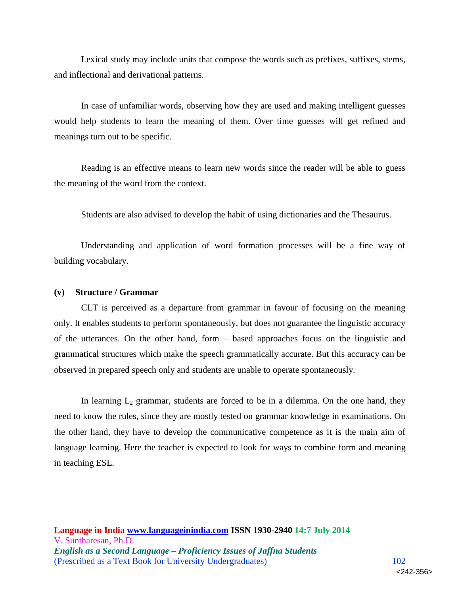Lexical study may include units that compose the words such as prefixes, suffixes, stems, and inflectional and derivational patterns.

In case of unfamiliar words, observing how they are used and making intelligent guesses would help students to learn the meaning of them. Over time guesses will get refined and meanings turn out to be specific.

Reading is an effective means to learn new words since the reader will be able to guess the meaning of the word from the context.

Students are also advised to develop the habit of using dictionaries and the Thesaurus.

Understanding and application of word formation processes will be a fine way of building vocabulary.

#### **(v) Structure / Grammar**

CLT is perceived as a departure from grammar in favour of focusing on the meaning only. It enables students to perform spontaneously, but does not guarantee the linguistic accuracy of the utterances. On the other hand, form – based approaches focus on the linguistic and grammatical structures which make the speech grammatically accurate. But this accuracy can be observed in prepared speech only and students are unable to operate spontaneously.

In learning  $L_2$  grammar, students are forced to be in a dilemma. On the one hand, they need to know the rules, since they are mostly tested on grammar knowledge in examinations. On the other hand, they have to develop the communicative competence as it is the main aim of language learning. Here the teacher is expected to look for ways to combine form and meaning in teaching ESL.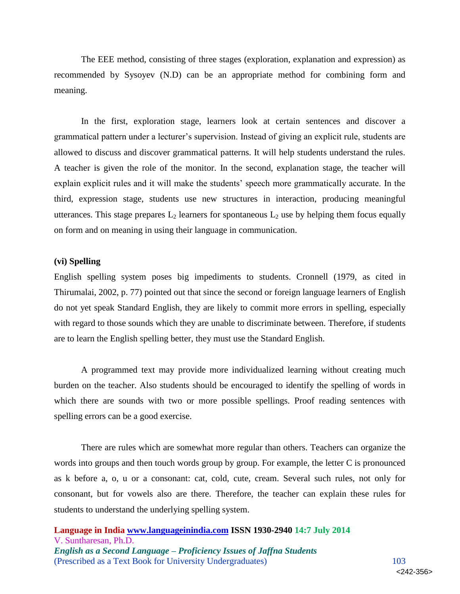The EEE method, consisting of three stages (exploration, explanation and expression) as recommended by Sysoyev (N.D) can be an appropriate method for combining form and meaning.

In the first, exploration stage, learners look at certain sentences and discover a grammatical pattern under a lecturer's supervision. Instead of giving an explicit rule, students are allowed to discuss and discover grammatical patterns. It will help students understand the rules. A teacher is given the role of the monitor. In the second, explanation stage, the teacher will explain explicit rules and it will make the students' speech more grammatically accurate. In the third, expression stage, students use new structures in interaction, producing meaningful utterances. This stage prepares  $L_2$  learners for spontaneous  $L_2$  use by helping them focus equally on form and on meaning in using their language in communication.

## **(vi) Spelling**

English spelling system poses big impediments to students. Cronnell (1979, as cited in Thirumalai, 2002, p. 77) pointed out that since the second or foreign language learners of English do not yet speak Standard English, they are likely to commit more errors in spelling, especially with regard to those sounds which they are unable to discriminate between. Therefore, if students are to learn the English spelling better, they must use the Standard English.

A programmed text may provide more individualized learning without creating much burden on the teacher. Also students should be encouraged to identify the spelling of words in which there are sounds with two or more possible spellings. Proof reading sentences with spelling errors can be a good exercise.

There are rules which are somewhat more regular than others. Teachers can organize the words into groups and then touch words group by group. For example, the letter C is pronounced as k before a, o, u or a consonant: cat, cold, cute, cream. Several such rules, not only for consonant, but for vowels also are there. Therefore, the teacher can explain these rules for students to understand the underlying spelling system.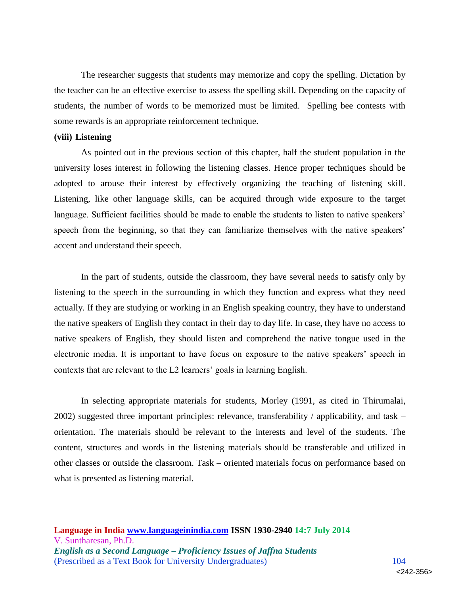The researcher suggests that students may memorize and copy the spelling. Dictation by the teacher can be an effective exercise to assess the spelling skill. Depending on the capacity of students, the number of words to be memorized must be limited. Spelling bee contests with some rewards is an appropriate reinforcement technique.

## **(viii) Listening**

As pointed out in the previous section of this chapter, half the student population in the university loses interest in following the listening classes. Hence proper techniques should be adopted to arouse their interest by effectively organizing the teaching of listening skill. Listening, like other language skills, can be acquired through wide exposure to the target language. Sufficient facilities should be made to enable the students to listen to native speakers' speech from the beginning, so that they can familiarize themselves with the native speakers' accent and understand their speech.

In the part of students, outside the classroom, they have several needs to satisfy only by listening to the speech in the surrounding in which they function and express what they need actually. If they are studying or working in an English speaking country, they have to understand the native speakers of English they contact in their day to day life. In case, they have no access to native speakers of English, they should listen and comprehend the native tongue used in the electronic media. It is important to have focus on exposure to the native speakers' speech in contexts that are relevant to the L2 learners' goals in learning English.

In selecting appropriate materials for students, Morley (1991, as cited in Thirumalai, 2002) suggested three important principles: relevance, transferability / applicability, and task – orientation. The materials should be relevant to the interests and level of the students. The content, structures and words in the listening materials should be transferable and utilized in other classes or outside the classroom. Task – oriented materials focus on performance based on what is presented as listening material.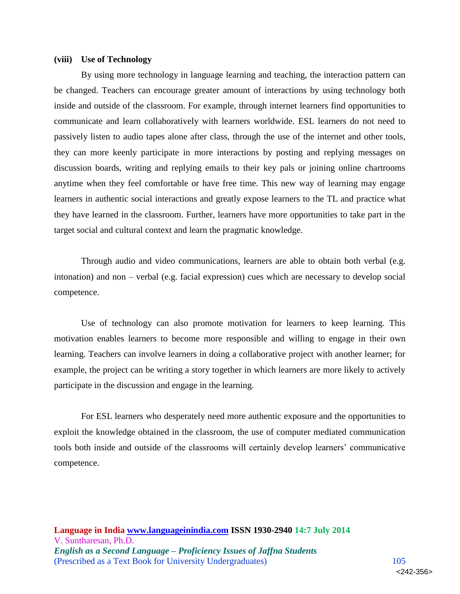## **(viii) Use of Technology**

By using more technology in language learning and teaching, the interaction pattern can be changed. Teachers can encourage greater amount of interactions by using technology both inside and outside of the classroom. For example, through internet learners find opportunities to communicate and learn collaboratively with learners worldwide. ESL learners do not need to passively listen to audio tapes alone after class, through the use of the internet and other tools, they can more keenly participate in more interactions by posting and replying messages on discussion boards, writing and replying emails to their key pals or joining online chartrooms anytime when they feel comfortable or have free time. This new way of learning may engage learners in authentic social interactions and greatly expose learners to the TL and practice what they have learned in the classroom. Further, learners have more opportunities to take part in the target social and cultural context and learn the pragmatic knowledge.

Through audio and video communications, learners are able to obtain both verbal (e.g. intonation) and non – verbal (e.g. facial expression) cues which are necessary to develop social competence.

Use of technology can also promote motivation for learners to keep learning. This motivation enables learners to become more responsible and willing to engage in their own learning. Teachers can involve learners in doing a collaborative project with another learner; for example, the project can be writing a story together in which learners are more likely to actively participate in the discussion and engage in the learning.

For ESL learners who desperately need more authentic exposure and the opportunities to exploit the knowledge obtained in the classroom, the use of computer mediated communication tools both inside and outside of the classrooms will certainly develop learners' communicative competence.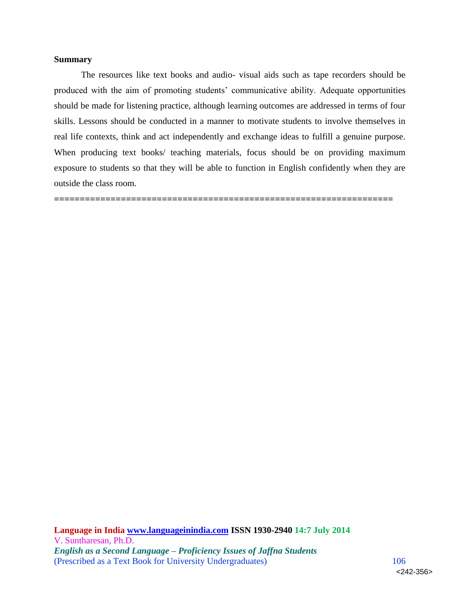#### **Summary**

The resources like text books and audio- visual aids such as tape recorders should be produced with the aim of promoting students' communicative ability. Adequate opportunities should be made for listening practice, although learning outcomes are addressed in terms of four skills. Lessons should be conducted in a manner to motivate students to involve themselves in real life contexts, think and act independently and exchange ideas to fulfill a genuine purpose. When producing text books/ teaching materials, focus should be on providing maximum exposure to students so that they will be able to function in English confidently when they are outside the class room.

**==================================================================**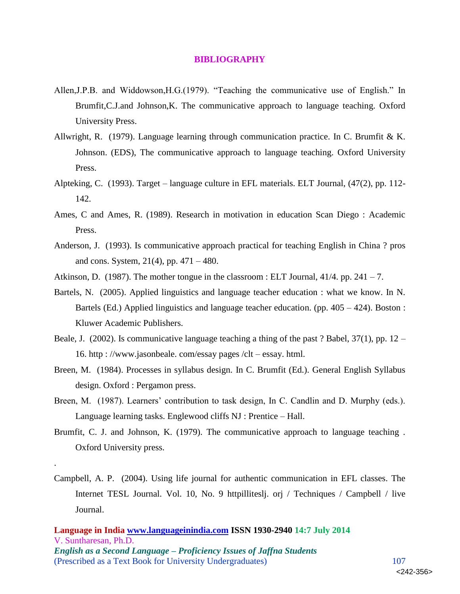#### **BIBLIOGRAPHY**

- Allen,J.P.B. and Widdowson,H.G.(1979). "Teaching the communicative use of English." In Brumfit,C.J.and Johnson,K. The communicative approach to language teaching. Oxford University Press.
- Allwright, R. (1979). Language learning through communication practice. In C. Brumfit & K. Johnson. (EDS), The communicative approach to language teaching. Oxford University Press.
- Alpteking, C. (1993). Target language culture in EFL materials. ELT Journal, (47(2), pp. 112- 142.
- Ames, C and Ames, R. (1989). Research in motivation in education Scan Diego : Academic Press.
- Anderson, J. (1993). Is communicative approach practical for teaching English in China ? pros and cons. System,  $21(4)$ , pp.  $471 - 480$ .
- Atkinson, D. (1987). The mother tongue in the classroom : ELT Journal,  $41/4$ . pp.  $241 7$ .
- Bartels, N. (2005). Applied linguistics and language teacher education : what we know. In N. Bartels (Ed.) Applied linguistics and language teacher education. (pp.  $405 - 424$ ). Boston : Kluwer Academic Publishers.
- Beale, J. (2002). Is communicative language teaching a thing of the past ? Babel, 37(1), pp. 12 16. http : //www.jasonbeale. com/essay pages /clt – essay. html.
- Breen, M. (1984). Processes in syllabus design. In C. Brumfit (Ed.). General English Syllabus design. Oxford : Pergamon press.
- Breen, M. (1987). Learners' contribution to task design, In C. Candlin and D. Murphy (eds.). Language learning tasks. Englewood cliffs NJ : Prentice – Hall.
- Brumfit, C. J. and Johnson, K. (1979). The communicative approach to language teaching . Oxford University press.
- Campbell, A. P. (2004). Using life journal for authentic communication in EFL classes. The Internet TESL Journal. Vol. 10, No. 9 httpilliteslj. orj / Techniques / Campbell / live Journal.

.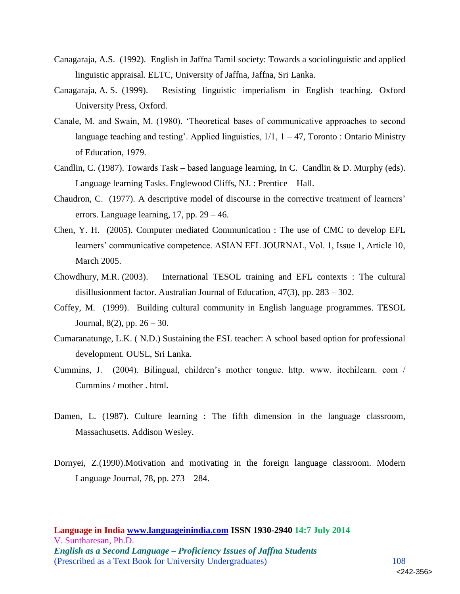- Canagaraja, A.S. (1992). English in Jaffna Tamil society: Towards a sociolinguistic and applied linguistic appraisal. ELTC, University of Jaffna, Jaffna, Sri Lanka.
- Canagaraja, A. S. (1999). Resisting linguistic imperialism in English teaching. Oxford University Press, Oxford.
- Canale, M. and Swain, M. (1980). 'Theoretical bases of communicative approaches to second language teaching and testing'. Applied linguistics,  $1/1$ ,  $1 - 47$ , Toronto: Ontario Ministry of Education, 1979.
- Candlin, C. (1987). Towards Task based language learning, In C. Candlin & D. Murphy (eds). Language learning Tasks. Englewood Cliffs, NJ. : Prentice – Hall.
- Chaudron, C. (1977). A descriptive model of discourse in the corrective treatment of learners' errors. Language learning, 17, pp. 29 – 46.
- Chen, Y. H. (2005). Computer mediated Communication : The use of CMC to develop EFL learners' communicative competence. ASIAN EFL JOURNAL, Vol. 1, Issue 1, Article 10, March 2005.
- Chowdhury, M.R. (2003). International TESOL training and EFL contexts : The cultural disillusionment factor. Australian Journal of Education, 47(3), pp. 283 – 302.
- Coffey, M. (1999). Building cultural community in English language programmes. TESOL Journal,  $8(2)$ , pp.  $26 - 30$ .
- Cumaranatunge, L.K. ( N.D.) Sustaining the ESL teacher: A school based option for professional development. OUSL, Sri Lanka.
- Cummins, J. (2004). Bilingual, children's mother tongue. http. www. itechilearn. com / Cummins / mother . html.
- Damen, L. (1987). Culture learning : The fifth dimension in the language classroom, Massachusetts. Addison Wesley.
- Dornyei, Z.(1990).Motivation and motivating in the foreign language classroom. Modern Language Journal, 78, pp. 273 – 284.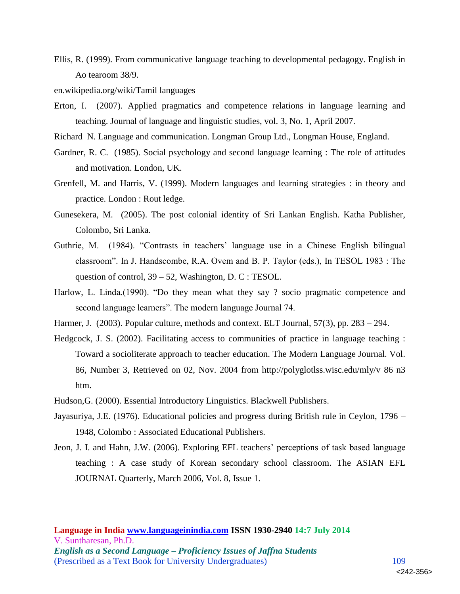Ellis, R. (1999). From communicative language teaching to developmental pedagogy. English in Ao tearoom 38/9.

en.wikipedia.org/wiki/Tamil languages

Erton, I. (2007). Applied pragmatics and competence relations in language learning and teaching. Journal of language and linguistic studies, vol. 3, No. 1, April 2007.

Richard N. Language and communication. Longman Group Ltd., Longman House, England.

- Gardner, R. C. (1985). Social psychology and second language learning : The role of attitudes and motivation. London, UK.
- Grenfell, M. and Harris, V. (1999). Modern languages and learning strategies : in theory and practice. London : Rout ledge.
- Gunesekera, M. (2005). The post colonial identity of Sri Lankan English. Katha Publisher, Colombo, Sri Lanka.
- Guthrie, M. (1984). "Contrasts in teachers' language use in a Chinese English bilingual classroom". In J. Handscombe, R.A. Ovem and B. P. Taylor (eds.), In TESOL 1983 : The question of control,  $39 - 52$ , Washington, D. C : TESOL.
- Harlow, L. Linda.(1990). "Do they mean what they say ? socio pragmatic competence and second language learners". The modern language Journal 74.
- Harmer, J. (2003). Popular culture, methods and context. ELT Journal, 57(3), pp. 283 294.
- Hedgcock, J. S. (2002). Facilitating access to communities of practice in language teaching : Toward a socioliterate approach to teacher education. The Modern Language Journal. Vol. 86, Number 3, Retrieved on 02, Nov. 2004 from http://polyglotlss.wisc.edu/mly/v 86 n3 htm.
- Hudson,G. (2000). Essential Introductory Linguistics. Blackwell Publishers.
- Jayasuriya, J.E. (1976). Educational policies and progress during British rule in Ceylon, 1796 1948, Colombo : Associated Educational Publishers.
- Jeon, J. I. and Hahn, J.W. (2006). Exploring EFL teachers' perceptions of task based language teaching : A case study of Korean secondary school classroom. The ASIAN EFL JOURNAL Quarterly, March 2006, Vol. 8, Issue 1.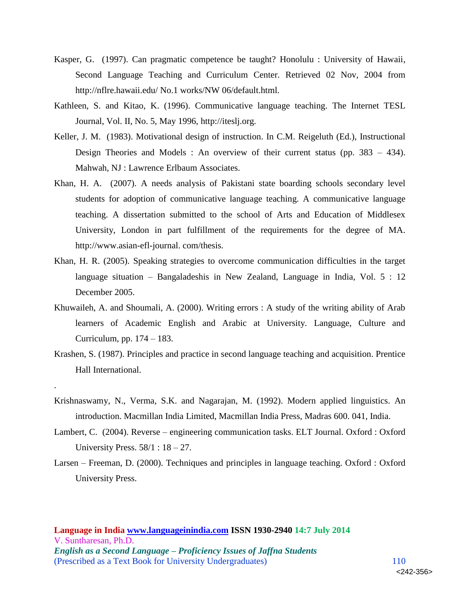- Kasper, G. (1997). Can pragmatic competence be taught? Honolulu : University of Hawaii, Second Language Teaching and Curriculum Center. Retrieved 02 Nov, 2004 from http://nflre.hawaii.edu/ No.1 works/NW 06/default.html.
- Kathleen, S. and Kitao, K. (1996). Communicative language teaching. The Internet TESL Journal, Vol. II, No. 5, May 1996, http://iteslj.org.
- Keller, J. M. (1983). Motivational design of instruction. In C.M. Reigeluth (Ed.), Instructional Design Theories and Models : An overview of their current status (pp. 383 – 434). Mahwah, NJ : Lawrence Erlbaum Associates.
- Khan, H. A. (2007). A needs analysis of Pakistani state boarding schools secondary level students for adoption of communicative language teaching. A communicative language teaching. A dissertation submitted to the school of Arts and Education of Middlesex University, London in part fulfillment of the requirements for the degree of MA. http://www.asian-efl-journal. com/thesis.
- Khan, H. R. (2005). Speaking strategies to overcome communication difficulties in the target language situation – Bangaladeshis in New Zealand, Language in India, Vol. 5 : 12 December 2005.
- Khuwaileh, A. and Shoumali, A. (2000). Writing errors : A study of the writing ability of Arab learners of Academic English and Arabic at University. Language, Culture and Curriculum, pp. 174 – 183.
- Krashen, S. (1987). Principles and practice in second language teaching and acquisition. Prentice Hall International.
- Krishnaswamy, N., Verma, S.K. and Nagarajan, M. (1992). Modern applied linguistics. An introduction. Macmillan India Limited, Macmillan India Press, Madras 600. 041, India.
- Lambert, C. (2004). Reverse engineering communication tasks. ELT Journal. Oxford : Oxford University Press.  $58/1$ :  $18 - 27$ .
- Larsen Freeman, D. (2000). Techniques and principles in language teaching. Oxford : Oxford University Press.

.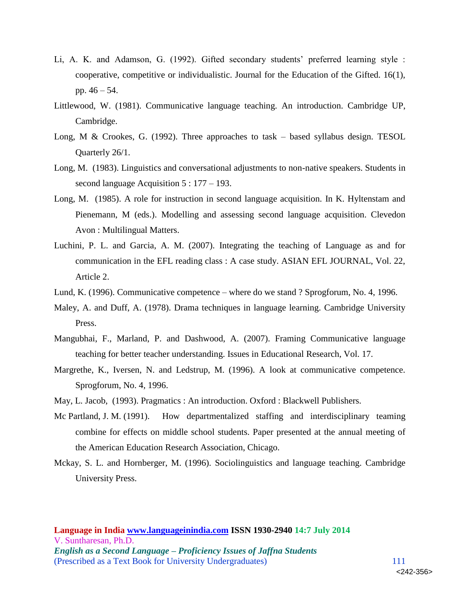- Li, A. K. and Adamson, G. (1992). Gifted secondary students' preferred learning style : cooperative, competitive or individualistic. Journal for the Education of the Gifted. 16(1), pp. 46 – 54.
- Littlewood, W. (1981). Communicative language teaching. An introduction. Cambridge UP, Cambridge.
- Long, M & Crookes, G. (1992). Three approaches to task based syllabus design. TESOL Quarterly 26/1.
- Long, M. (1983). Linguistics and conversational adjustments to non-native speakers. Students in second language Acquisition 5 : 177 – 193.
- Long, M. (1985). A role for instruction in second language acquisition. In K. Hyltenstam and Pienemann, M (eds.). Modelling and assessing second language acquisition. Clevedon Avon : Multilingual Matters.
- Luchini, P. L. and Garcia, A. M. (2007). Integrating the teaching of Language as and for communication in the EFL reading class : A case study. ASIAN EFL JOURNAL, Vol. 22, Article 2.
- Lund, K. (1996). Communicative competence where do we stand ? Sprogforum, No. 4, 1996.
- Maley, A. and Duff, A. (1978). Drama techniques in language learning. Cambridge University Press.
- Mangubhai, F., Marland, P. and Dashwood, A. (2007). Framing Communicative language teaching for better teacher understanding. Issues in Educational Research, Vol. 17.
- Margrethe, K., Iversen, N. and Ledstrup, M. (1996). A look at communicative competence. Sprogforum, No. 4, 1996.
- May, L. Jacob, (1993). Pragmatics : An introduction. Oxford : Blackwell Publishers.
- Mc Partland, J. M. (1991). How departmentalized staffing and interdisciplinary teaming combine for effects on middle school students. Paper presented at the annual meeting of the American Education Research Association, Chicago.
- Mckay, S. L. and Hornberger, M. (1996). Sociolinguistics and language teaching. Cambridge University Press.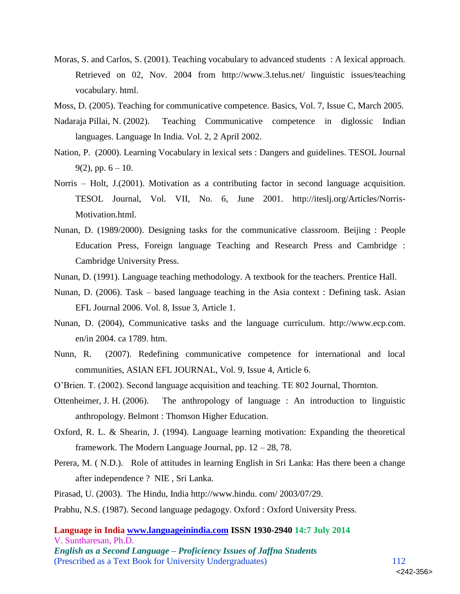- Moras, S. and Carlos, S. (2001). Teaching vocabulary to advanced students : A lexical approach. Retrieved on 02, Nov. 2004 from http://www.3.telus.net/ linguistic issues/teaching vocabulary. html.
- Moss, D. (2005). Teaching for communicative competence. Basics, Vol. 7, Issue C, March 2005.
- Nadaraja Pillai, N. (2002). Teaching Communicative competence in diglossic Indian languages. Language In India. Vol. 2, 2 April 2002.
- Nation, P. (2000). Learning Vocabulary in lexical sets : Dangers and guidelines. TESOL Journal  $9(2)$ , pp.  $6 - 10$ .
- Norris Holt, J.(2001). Motivation as a contributing factor in second language acquisition. TESOL Journal, Vol. VII, No. 6, June 2001. http://iteslj.org/Articles/Norris-Motivation.html.
- Nunan, D. (1989/2000). Designing tasks for the communicative classroom. Beijing : People Education Press, Foreign language Teaching and Research Press and Cambridge : Cambridge University Press.
- Nunan, D. (1991). Language teaching methodology. A textbook for the teachers. Prentice Hall.
- Nunan, D. (2006). Task based language teaching in the Asia context : Defining task. Asian EFL Journal 2006. Vol. 8, Issue 3, Article 1.
- Nunan, D. (2004), Communicative tasks and the language curriculum. http://www.ecp.com. en/in 2004. ca 1789. htm.
- Nunn, R. (2007). Redefining communicative competence for international and local communities, ASIAN EFL JOURNAL, Vol. 9, Issue 4, Article 6.
- O'Brien. T. (2002). Second language acquisition and teaching. TE 802 Journal, Thornton.
- Ottenheimer, J. H. (2006). The anthropology of language : An introduction to linguistic anthropology. Belmont : Thomson Higher Education.
- Oxford, R. L. & Shearin, J. (1994). Language learning motivation: Expanding the theoretical framework. The Modern Language Journal, pp. 12 – 28, 78.
- Perera, M. ( N.D.). Role of attitudes in learning English in Sri Lanka: Has there been a change after independence ? NIE , Sri Lanka.
- Pirasad, U. (2003). The Hindu, India http://www.hindu. com/ 2003/07/29.

**Language in India [www.languageinindia.com](http://www.languageinindia.com/) ISSN 1930-2940 14:7 July 2014** V. Suntharesan, Ph.D. *English as a Second Language – Proficiency Issues of Jaffna Students* (Prescribed as a Text Book for University Undergraduates) 112

Prabhu, N.S. (1987). Second language pedagogy. Oxford : Oxford University Press.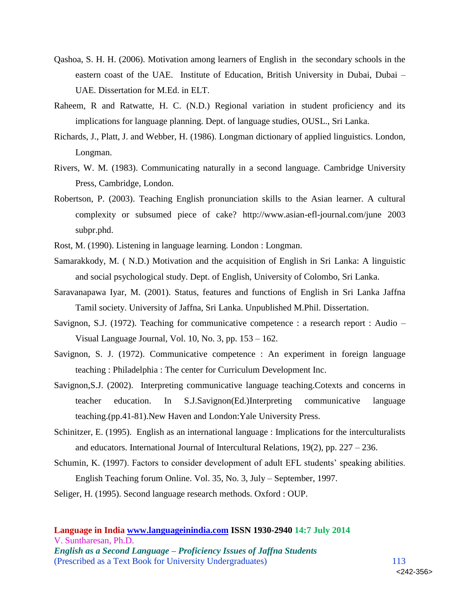- Qashoa, S. H. H. (2006). Motivation among learners of English in the secondary schools in the eastern coast of the UAE. Institute of Education, British University in Dubai, Dubai – UAE. Dissertation for M.Ed. in ELT.
- Raheem, R and Ratwatte, H. C. (N.D.) Regional variation in student proficiency and its implications for language planning. Dept. of language studies, OUSL., Sri Lanka.
- Richards, J., Platt, J. and Webber, H. (1986). Longman dictionary of applied linguistics. London, Longman.
- Rivers, W. M. (1983). Communicating naturally in a second language. Cambridge University Press, Cambridge, London.
- Robertson, P. (2003). Teaching English pronunciation skills to the Asian learner. A cultural complexity or subsumed piece of cake? http://www.asian-efl-journal.com/june 2003 subpr.phd.
- Rost, M. (1990). Listening in language learning. London : Longman.
- Samarakkody, M. ( N.D.) Motivation and the acquisition of English in Sri Lanka: A linguistic and social psychological study. Dept. of English, University of Colombo, Sri Lanka.
- Saravanapawa Iyar, M. (2001). Status, features and functions of English in Sri Lanka Jaffna Tamil society. University of Jaffna, Sri Lanka. Unpublished M.Phil. Dissertation.
- Savignon, S.J. (1972). Teaching for communicative competence : a research report : Audio Visual Language Journal, Vol. 10, No. 3, pp. 153 – 162.
- Savignon, S. J. (1972). Communicative competence : An experiment in foreign language teaching : Philadelphia : The center for Curriculum Development Inc.
- Savignon,S.J. (2002). Interpreting communicative language teaching.Cotexts and concerns in teacher education. In S.J.Savignon(Ed.)Interpreting communicative language teaching.(pp.41-81).New Haven and London:Yale University Press.
- Schinitzer, E. (1995). English as an international language : Implications for the interculturalists and educators. International Journal of Intercultural Relations, 19(2), pp. 227 – 236.
- Schumin, K. (1997). Factors to consider development of adult EFL students' speaking abilities. English Teaching forum Online. Vol. 35, No. 3, July – September, 1997.
- Seliger, H. (1995). Second language research methods. Oxford : OUP.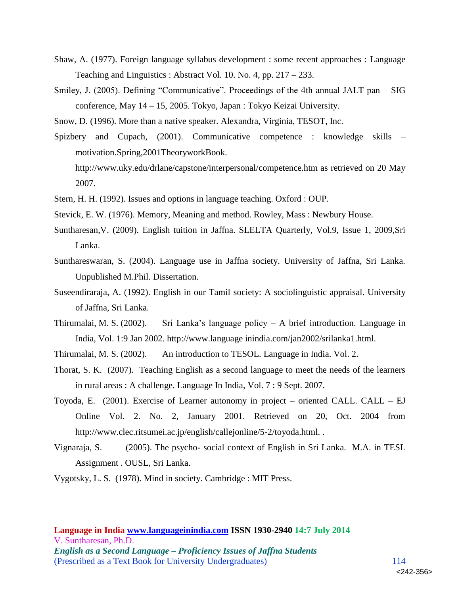- Shaw, A. (1977). Foreign language syllabus development : some recent approaches : Language Teaching and Linguistics : Abstract Vol. 10. No. 4, pp. 217 – 233.
- Smiley, J. (2005). Defining "Communicative". Proceedings of the 4th annual JALT pan SIG conference, May 14 – 15, 2005. Tokyo, Japan : Tokyo Keizai University.
- Snow, D. (1996). More than a native speaker. Alexandra, Virginia, TESOT, Inc.
- Spizbery and Cupach, (2001). Communicative competence : knowledge skills motivation.Spring,2001TheoryworkBook. http://www.uky.edu/drlane/capstone/interpersonal/competence.htm as retrieved on 20 May 2007.
- Stern, H. H. (1992). Issues and options in language teaching. Oxford : OUP.
- Stevick, E. W. (1976). Memory, Meaning and method. Rowley, Mass : Newbury House.
- Suntharesan,V. (2009). English tuition in Jaffna. SLELTA Quarterly, Vol.9, Issue 1, 2009,Sri Lanka.
- Sunthareswaran, S. (2004). Language use in Jaffna society. University of Jaffna, Sri Lanka. Unpublished M.Phil. Dissertation.
- Suseendiraraja, A. (1992). English in our Tamil society: A sociolinguistic appraisal. University of Jaffna, Sri Lanka.
- Thirumalai, M. S. (2002). Sri Lanka's language policy A brief introduction. Language in India, Vol. 1:9 Jan 2002. http://www.language inindia.com/jan2002/srilanka1.html.
- Thirumalai, M. S. (2002). An introduction to TESOL. Language in India. Vol. 2.
- Thorat, S. K. (2007). Teaching English as a second language to meet the needs of the learners in rural areas : A challenge. Language In India, Vol. 7 : 9 Sept. 2007.
- Toyoda, E. (2001). Exercise of Learner autonomy in project oriented CALL. CALL EJ Online Vol. 2. No. 2, January 2001. Retrieved on 20, Oct. 2004 from http://www.clec.ritsumei.ac.jp/english/callejonline/5-2/toyoda.html...
- Vignaraja, S. (2005). The psycho- social context of English in Sri Lanka. M.A. in TESL Assignment . OUSL, Sri Lanka.
- Vygotsky, L. S. (1978). Mind in society. Cambridge : MIT Press.